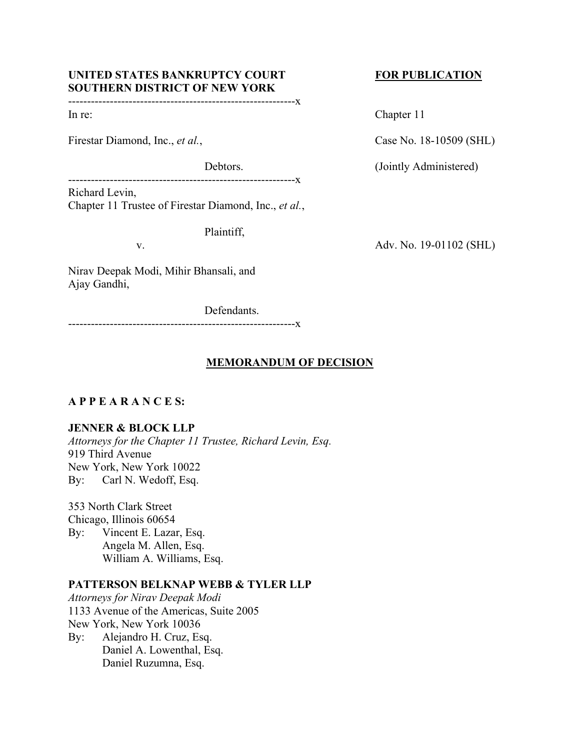# UNITED STATES BANKRUPTCY COURT FOR PUBLICATION **SOUTHERN DISTRICT OF NEW YORK**

------------------------------------------------------------x

Firestar Diamond, Inc., *et al.*, Case No. 18-10509 (SHL)

------------------------------------------------------------x Richard Levin,

Chapter 11 Trustee of Firestar Diamond, Inc., *et al.*,

Plaintiff,

Nirav Deepak Modi, Mihir Bhansali, and Ajay Gandhi,

Defendants.

------------------------------------------------------------x

# **MEMORANDUM OF DECISION**

# **A P P E A R A N C E S:**

# **JENNER & BLOCK LLP**

*Attorneys for the Chapter 11 Trustee, Richard Levin, Esq.* 919 Third Avenue New York, New York 10022 By: Carl N. Wedoff, Esq.

353 North Clark Street Chicago, Illinois 60654 By: Vincent E. Lazar, Esq. Angela M. Allen, Esq. William A. Williams, Esq.

# **PATTERSON BELKNAP WEBB & TYLER LLP**

*Attorneys for Nirav Deepak Modi* 1133 Avenue of the Americas, Suite 2005 New York, New York 10036 By: Alejandro H. Cruz, Esq. Daniel A. Lowenthal, Esq. Daniel Ruzumna, Esq.

In re: Chapter 11

Debtors. (Jointly Administered)

v. Adv. No. 19-01102 (SHL)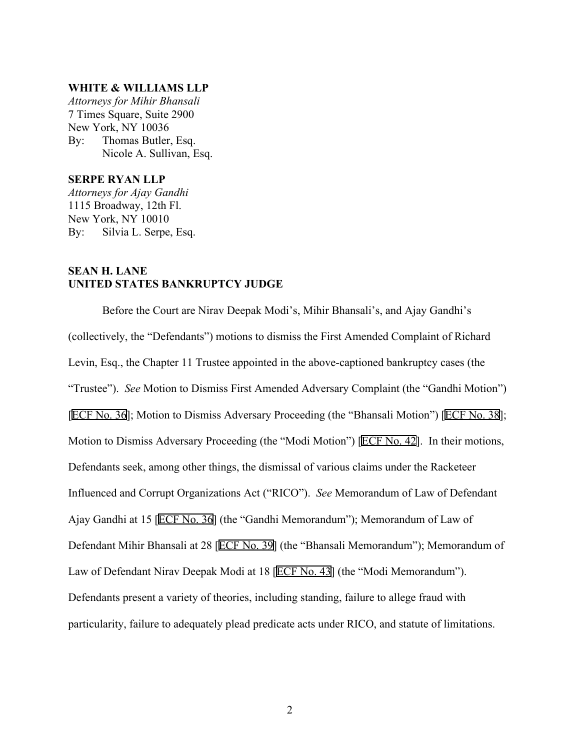# **WHITE & WILLIAMS LLP**

*Attorneys for Mihir Bhansali* 7 Times Square, Suite 2900 New York, NY 10036 By: Thomas Butler, Esq. Nicole A. Sullivan, Esq.

# **SERPE RYAN LLP**

*Attorneys for Ajay Gandhi* 1115 Broadway, 12th Fl. New York, NY 10010 By: Silvia L. Serpe, Esq.

# **SEAN H. LANE UNITED STATES BANKRUPTCY JUDGE**

Before the Court are Nirav Deepak Modi's, Mihir Bhansali's, and Ajay Gandhi's (collectively, the "Defendants") motions to dismiss the First Amended Complaint of Richard Levin, Esq., the Chapter 11 Trustee appointed in the above-captioned bankruptcy cases (the "Trustee"). *See* Motion to Dismiss First Amended Adversary Complaint (the "Gandhi Motion") [ECF No. 36]; Motion to Dismiss Adversary Proceeding (the "Bhansali Motion") [ECF No. 38]; Motion to Dismiss Adversary Proceeding (the "Modi Motion") [ECF No. 42]. In their motions, Defendants seek, among other things, the dismissal of various claims under the Racketeer Influenced and Corrupt Organizations Act ("RICO"). *See* Memorandum of Law of Defendant Ajay Gandhi at 15 [ECF No. 36] (the "Gandhi Memorandum"); Memorandum of Law of Defendant Mihir Bhansali at 28 [ECF No. 39] (the "Bhansali Memorandum"); Memorandum of Law of Defendant Nirav Deepak Modi at 18 [ECF No. 43] (the "Modi Memorandum"). Defendants present a variety of theories, including standing, failure to allege fraud with particularity, failure to adequately plead predicate acts under RICO, and statute of limitations.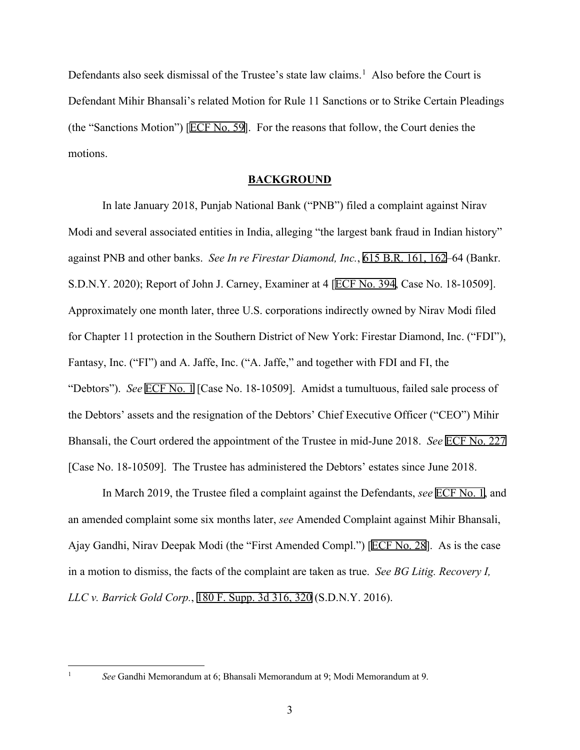Defendants also seek dismissal of the Trustee's state law claims.<sup>[1](#page-2-0)</sup> Also before the Court is Defendant Mihir Bhansali's related Motion for Rule 11 Sanctions or to Strike Certain Pleadings (the "Sanctions Motion") [ECF No. 59]. For the reasons that follow, the Court denies the motions.

#### **BACKGROUND**

In late January 2018, Punjab National Bank ("PNB") filed a complaint against Nirav Modi and several associated entities in India, alleging "the largest bank fraud in Indian history" against PNB and other banks. *See In re Firestar Diamond, Inc.*, 615 B.R. 161, 162–64 (Bankr. S.D.N.Y. 2020); Report of John J. Carney, Examiner at 4 [ECF No. 394, Case No. 18-10509]. Approximately one month later, three U.S. corporations indirectly owned by Nirav Modi filed for Chapter 11 protection in the Southern District of New York: Firestar Diamond, Inc. ("FDI"), Fantasy, Inc. ("FI") and A. Jaffe, Inc. ("A. Jaffe," and together with FDI and FI, the "Debtors"). *See* ECF No. 1 [Case No. 18-10509]. Amidst a tumultuous, failed sale process of the Debtors' assets and the resignation of the Debtors' Chief Executive Officer ("CEO") Mihir Bhansali, the Court ordered the appointment of the Trustee in mid-June 2018. *See* ECF No. 227 [Case No. 18-10509]. The Trustee has administered the Debtors' estates since June 2018.

In March 2019, the Trustee filed a complaint against the Defendants, *see* ECF No. 1, and an amended complaint some six months later, *see* Amended Complaint against Mihir Bhansali, Ajay Gandhi, Nirav Deepak Modi (the "First Amended Compl.") [ECF No. 28]. As is the case in a motion to dismiss, the facts of the complaint are taken as true. *See BG Litig. Recovery I, LLC v. Barrick Gold Corp.*, 180 F. Supp. 3d 316, 320 (S.D.N.Y. 2016).

<span id="page-2-0"></span><sup>1</sup> *See* Gandhi Memorandum at 6; Bhansali Memorandum at 9; Modi Memorandum at 9.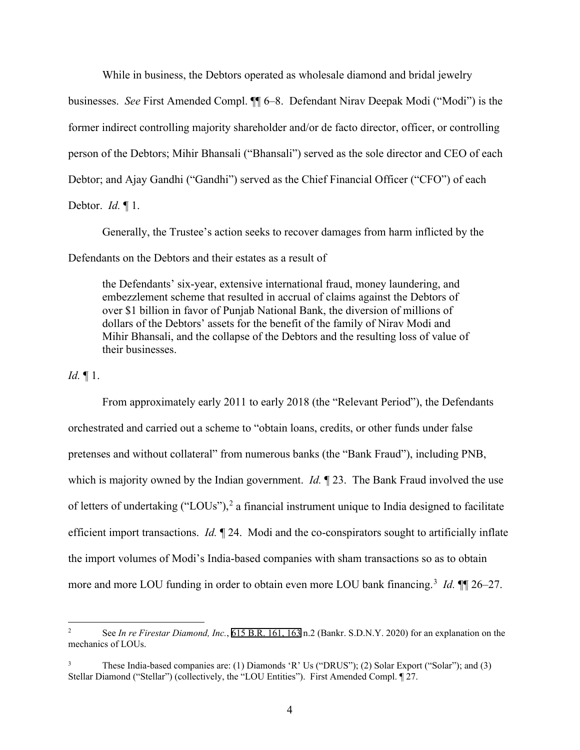While in business, the Debtors operated as wholesale diamond and bridal jewelry

businesses. *See* First Amended Compl. ¶¶ 6–8. Defendant Nirav Deepak Modi ("Modi") is the former indirect controlling majority shareholder and/or de facto director, officer, or controlling person of the Debtors; Mihir Bhansali ("Bhansali") served as the sole director and CEO of each Debtor; and Ajay Gandhi ("Gandhi") served as the Chief Financial Officer ("CFO") of each

Debtor. *Id.* ¶ 1.

Generally, the Trustee's action seeks to recover damages from harm inflicted by the

Defendants on the Debtors and their estates as a result of

the Defendants' six-year, extensive international fraud, money laundering, and embezzlement scheme that resulted in accrual of claims against the Debtors of over \$1 billion in favor of Punjab National Bank, the diversion of millions of dollars of the Debtors' assets for the benefit of the family of Nirav Modi and Mihir Bhansali, and the collapse of the Debtors and the resulting loss of value of their businesses.

*Id.* ¶ 1.

From approximately early 2011 to early 2018 (the "Relevant Period"), the Defendants orchestrated and carried out a scheme to "obtain loans, credits, or other funds under false pretenses and without collateral" from numerous banks (the "Bank Fraud"), including PNB, which is majority owned by the Indian government. *Id.* 123. The Bank Fraud involved the use of letters of undertaking ("LOUs"),<sup>[2](#page-3-0)</sup> a financial instrument unique to India designed to facilitate efficient import transactions. *Id.* ¶ 24. Modi and the co-conspirators sought to artificially inflate the import volumes of Modi's India-based companies with sham transactions so as to obtain more and more LOU funding in order to obtain even more LOU bank financing. [3](#page-3-1) *Id.* ¶¶ 26–27.

<span id="page-3-0"></span><sup>2</sup> See *In re Firestar Diamond, Inc.*, 615 B.R. 161, 163 n.2 (Bankr. S.D.N.Y. 2020) for an explanation on the mechanics of LOUs.

<span id="page-3-1"></span><sup>&</sup>lt;sup>3</sup> These India-based companies are: (1) Diamonds 'R' Us ("DRUS"); (2) Solar Export ("Solar"); and (3) Stellar Diamond ("Stellar") (collectively, the "LOU Entities"). First Amended Compl. ¶ 27.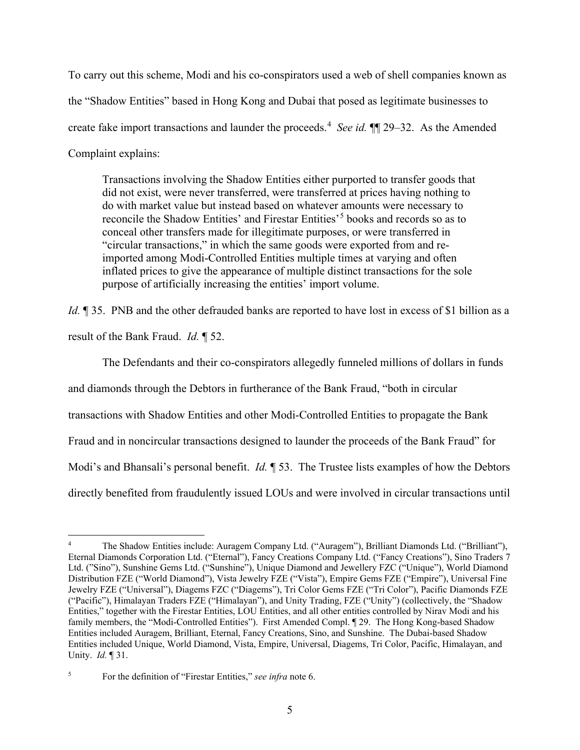To carry out this scheme, Modi and his co-conspirators used a web of shell companies known as the "Shadow Entities" based in Hong Kong and Dubai that posed as legitimate businesses to create fake import transactions and launder the proceeds.[4](#page-4-0) *See id.* ¶¶ 29–32. As the Amended Complaint explains:

Transactions involving the Shadow Entities either purported to transfer goods that did not exist, were never transferred, were transferred at prices having nothing to do with market value but instead based on whatever amounts were necessary to reconcile the Shadow Entities' and Firestar Entities'<sup>[5](#page-4-1)</sup> books and records so as to conceal other transfers made for illegitimate purposes, or were transferred in "circular transactions," in which the same goods were exported from and reimported among Modi-Controlled Entities multiple times at varying and often inflated prices to give the appearance of multiple distinct transactions for the sole purpose of artificially increasing the entities' import volume.

*Id.*  $\parallel$  35. PNB and the other defrauded banks are reported to have lost in excess of \$1 billion as a result of the Bank Fraud. *Id.* ¶ 52.

The Defendants and their co-conspirators allegedly funneled millions of dollars in funds and diamonds through the Debtors in furtherance of the Bank Fraud, "both in circular transactions with Shadow Entities and other Modi-Controlled Entities to propagate the Bank Fraud and in noncircular transactions designed to launder the proceeds of the Bank Fraud" for Modi's and Bhansali's personal benefit. *Id.* ¶ 53. The Trustee lists examples of how the Debtors directly benefited from fraudulently issued LOUs and were involved in circular transactions until

<span id="page-4-0"></span><sup>4</sup> The Shadow Entities include: Auragem Company Ltd. ("Auragem"), Brilliant Diamonds Ltd. ("Brilliant"), Eternal Diamonds Corporation Ltd. ("Eternal"), Fancy Creations Company Ltd. ("Fancy Creations"), Sino Traders 7 Ltd. ("Sino"), Sunshine Gems Ltd. ("Sunshine"), Unique Diamond and Jewellery FZC ("Unique"), World Diamond Distribution FZE ("World Diamond"), Vista Jewelry FZE ("Vista"), Empire Gems FZE ("Empire"), Universal Fine Jewelry FZE ("Universal"), Diagems FZC ("Diagems"), Tri Color Gems FZE ("Tri Color"), Pacific Diamonds FZE ("Pacific"), Himalayan Traders FZE ("Himalayan"), and Unity Trading, FZE ("Unity") (collectively, the "Shadow Entities," together with the Firestar Entities, LOU Entities, and all other entities controlled by Nirav Modi and his family members, the "Modi-Controlled Entities"). First Amended Compl. ¶ 29. The Hong Kong-based Shadow Entities included Auragem, Brilliant, Eternal, Fancy Creations, Sino, and Sunshine. The Dubai-based Shadow Entities included Unique, World Diamond, Vista, Empire, Universal, Diagems, Tri Color, Pacific, Himalayan, and Unity. *Id.* ¶ 31.

<span id="page-4-1"></span><sup>5</sup> For the definition of "Firestar Entities," *see infra* note 6.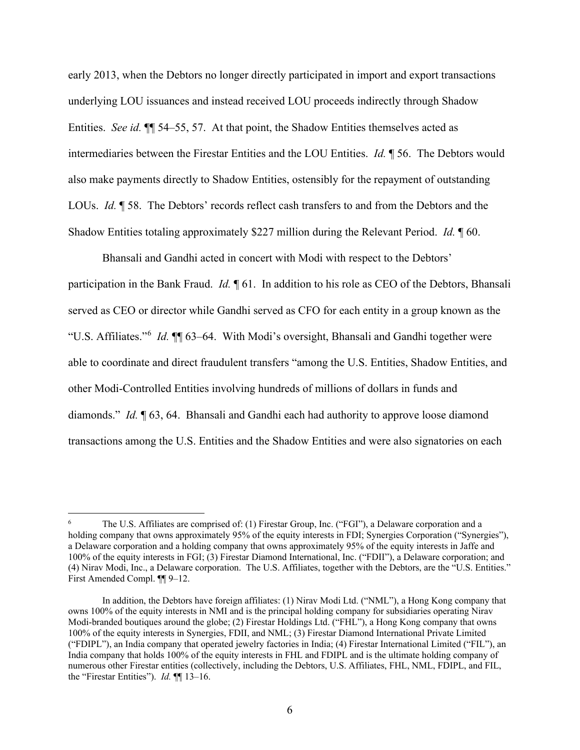early 2013, when the Debtors no longer directly participated in import and export transactions underlying LOU issuances and instead received LOU proceeds indirectly through Shadow Entities. *See id.* ¶¶ 54–55, 57. At that point, the Shadow Entities themselves acted as intermediaries between the Firestar Entities and the LOU Entities. *Id.* ¶ 56. The Debtors would also make payments directly to Shadow Entities, ostensibly for the repayment of outstanding LOUs. *Id.* ¶ 58. The Debtors' records reflect cash transfers to and from the Debtors and the Shadow Entities totaling approximately \$227 million during the Relevant Period. *Id.* ¶ 60.

Bhansali and Gandhi acted in concert with Modi with respect to the Debtors' participation in the Bank Fraud. *Id.* ¶ 61. In addition to his role as CEO of the Debtors, Bhansali served as CEO or director while Gandhi served as CFO for each entity in a group known as the "U.S. Affiliates."[6](#page-5-0) *Id.* ¶¶ 63–64. With Modi's oversight, Bhansali and Gandhi together were able to coordinate and direct fraudulent transfers "among the U.S. Entities, Shadow Entities, and other Modi-Controlled Entities involving hundreds of millions of dollars in funds and diamonds." *Id.* ¶ 63, 64. Bhansali and Gandhi each had authority to approve loose diamond transactions among the U.S. Entities and the Shadow Entities and were also signatories on each

<span id="page-5-0"></span><sup>6</sup> The U.S. Affiliates are comprised of: (1) Firestar Group, Inc. ("FGI"), a Delaware corporation and a holding company that owns approximately 95% of the equity interests in FDI; Synergies Corporation ("Synergies"), a Delaware corporation and a holding company that owns approximately 95% of the equity interests in Jaffe and 100% of the equity interests in FGI; (3) Firestar Diamond International, Inc. ("FDII"), a Delaware corporation; and (4) Nirav Modi, Inc., a Delaware corporation. The U.S. Affiliates, together with the Debtors, are the "U.S. Entities." First Amended Compl. ¶¶ 9–12.

In addition, the Debtors have foreign affiliates: (1) Nirav Modi Ltd. ("NML"), a Hong Kong company that owns 100% of the equity interests in NMI and is the principal holding company for subsidiaries operating Nirav Modi-branded boutiques around the globe; (2) Firestar Holdings Ltd. ("FHL"), a Hong Kong company that owns 100% of the equity interests in Synergies, FDII, and NML; (3) Firestar Diamond International Private Limited ("FDIPL"), an India company that operated jewelry factories in India; (4) Firestar International Limited ("FIL"), an India company that holds 100% of the equity interests in FHL and FDIPL and is the ultimate holding company of numerous other Firestar entities (collectively, including the Debtors, U.S. Affiliates, FHL, NML, FDIPL, and FIL, the "Firestar Entities"). *Id.* ¶¶ 13–16.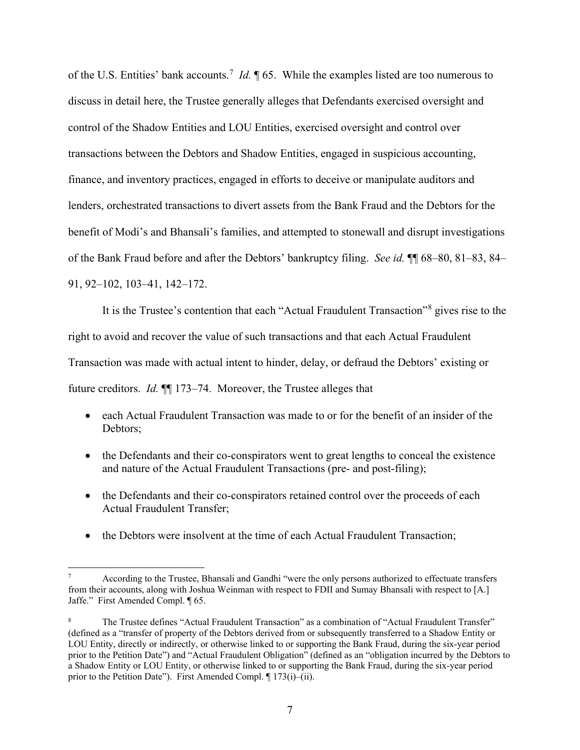of the U.S. Entities' bank accounts.<sup>[7](#page-6-0)</sup> *Id*. **[65.** While the examples listed are too numerous to discuss in detail here, the Trustee generally alleges that Defendants exercised oversight and control of the Shadow Entities and LOU Entities, exercised oversight and control over transactions between the Debtors and Shadow Entities, engaged in suspicious accounting, finance, and inventory practices, engaged in efforts to deceive or manipulate auditors and lenders, orchestrated transactions to divert assets from the Bank Fraud and the Debtors for the benefit of Modi's and Bhansali's families, and attempted to stonewall and disrupt investigations of the Bank Fraud before and after the Debtors' bankruptcy filing. *See id.* ¶¶ 68–80, 81–83, 84– 91, 92–102, 103–41, 142–172.

It is the Trustee's contention that each "Actual Fraudulent Transaction"[8](#page-6-1) gives rise to the right to avoid and recover the value of such transactions and that each Actual Fraudulent Transaction was made with actual intent to hinder, delay, or defraud the Debtors' existing or future creditors. *Id.* ¶¶ 173–74. Moreover, the Trustee alleges that

- each Actual Fraudulent Transaction was made to or for the benefit of an insider of the Debtors;
- the Defendants and their co-conspirators went to great lengths to conceal the existence and nature of the Actual Fraudulent Transactions (pre- and post-filing);
- the Defendants and their co-conspirators retained control over the proceeds of each Actual Fraudulent Transfer;
- the Debtors were insolvent at the time of each Actual Fraudulent Transaction;

<span id="page-6-0"></span>According to the Trustee, Bhansali and Gandhi "were the only persons authorized to effectuate transfers from their accounts, along with Joshua Weinman with respect to FDII and Sumay Bhansali with respect to [A.] Jaffe." First Amended Compl. ¶ 65.

<span id="page-6-1"></span>The Trustee defines "Actual Fraudulent Transaction" as a combination of "Actual Fraudulent Transfer" (defined as a "transfer of property of the Debtors derived from or subsequently transferred to a Shadow Entity or LOU Entity, directly or indirectly, or otherwise linked to or supporting the Bank Fraud, during the six-year period prior to the Petition Date") and "Actual Fraudulent Obligation" (defined as an "obligation incurred by the Debtors to a Shadow Entity or LOU Entity, or otherwise linked to or supporting the Bank Fraud, during the six-year period prior to the Petition Date"). First Amended Compl. ¶ 173(i)–(ii).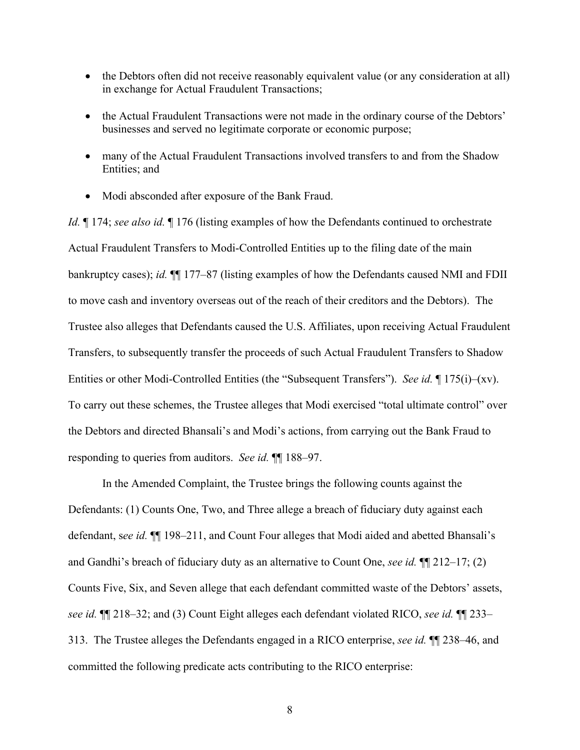- the Debtors often did not receive reasonably equivalent value (or any consideration at all) in exchange for Actual Fraudulent Transactions;
- the Actual Fraudulent Transactions were not made in the ordinary course of the Debtors' businesses and served no legitimate corporate or economic purpose;
- many of the Actual Fraudulent Transactions involved transfers to and from the Shadow Entities; and
- Modi absconded after exposure of the Bank Fraud.

*Id.* ¶ 174; *see also id.* ¶ 176 (listing examples of how the Defendants continued to orchestrate Actual Fraudulent Transfers to Modi-Controlled Entities up to the filing date of the main bankruptcy cases); *id.* ¶¶ 177–87 (listing examples of how the Defendants caused NMI and FDII to move cash and inventory overseas out of the reach of their creditors and the Debtors). The Trustee also alleges that Defendants caused the U.S. Affiliates, upon receiving Actual Fraudulent Transfers, to subsequently transfer the proceeds of such Actual Fraudulent Transfers to Shadow Entities or other Modi-Controlled Entities (the "Subsequent Transfers"). *See id.* ¶ 175(i)–(xv). To carry out these schemes, the Trustee alleges that Modi exercised "total ultimate control" over the Debtors and directed Bhansali's and Modi's actions, from carrying out the Bank Fraud to responding to queries from auditors. *See id.* ¶¶ 188–97.

In the Amended Complaint, the Trustee brings the following counts against the Defendants: (1) Counts One, Two, and Three allege a breach of fiduciary duty against each defendant, s*ee id.* ¶¶ 198–211, and Count Four alleges that Modi aided and abetted Bhansali's and Gandhi's breach of fiduciary duty as an alternative to Count One, *see id.* ¶¶ 212–17; (2) Counts Five, Six, and Seven allege that each defendant committed waste of the Debtors' assets, *see id.* ¶¶ 218–32; and (3) Count Eight alleges each defendant violated RICO, *see id.* ¶¶ 233– 313. The Trustee alleges the Defendants engaged in a RICO enterprise, *see id.* ¶¶ 238–46, and committed the following predicate acts contributing to the RICO enterprise: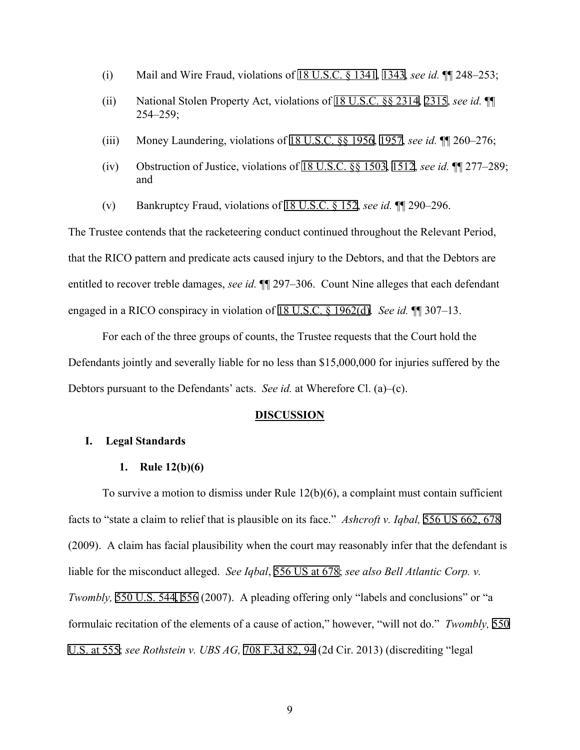- (i) Mail and Wire Fraud, violations of 18 U.S.C. § 1341, 1343, *see id.* ¶¶ 248–253;
- (ii) National Stolen Property Act, violations of 18 U.S.C. §§ 2314, 2315, *see id.* ¶¶ 254–259;
- (iii) Money Laundering, violations of 18 U.S.C. §§ 1956, 1957, *see id.* ¶¶ 260–276;
- (iv) Obstruction of Justice, violations of 18 U.S.C. §§ 1503, 1512, *see id.* ¶¶ 277–289; and
- (v) Bankruptcy Fraud, violations of 18 U.S.C. § 152, *see id.* ¶¶ 290–296.

The Trustee contends that the racketeering conduct continued throughout the Relevant Period, that the RICO pattern and predicate acts caused injury to the Debtors, and that the Debtors are entitled to recover treble damages, *see id.* ¶¶ 297–306. Count Nine alleges that each defendant engaged in a RICO conspiracy in violation of 18 U.S.C. § 1962(d). *See id.* ¶¶ 307–13.

For each of the three groups of counts, the Trustee requests that the Court hold the Defendants jointly and severally liable for no less than \$15,000,000 for injuries suffered by the Debtors pursuant to the Defendants' acts. *See id.* at Wherefore Cl. (a)–(c).

#### **DISCUSSION**

## **I. Legal Standards**

#### **1. Rule 12(b)(6)**

To survive a motion to dismiss under Rule 12(b)(6), a complaint must contain sufficient facts to "state a claim to relief that is plausible on its face." *Ashcroft v. Iqbal,* 556 US 662, 678 (2009). A claim has facial plausibility when the court may reasonably infer that the defendant is liable for the misconduct alleged. *See Iqbal*, 556 US at 678; *see also Bell Atlantic Corp. v. Twombly,* 550 U.S. 544, 556 (2007). A pleading offering only "labels and conclusions" or "a formulaic recitation of the elements of a cause of action," however, "will not do." *Twombly,* 550 U.S. at 555; *see Rothstein v. UBS AG,* 708 F.3d 82, 94 (2d Cir. 2013) (discrediting "legal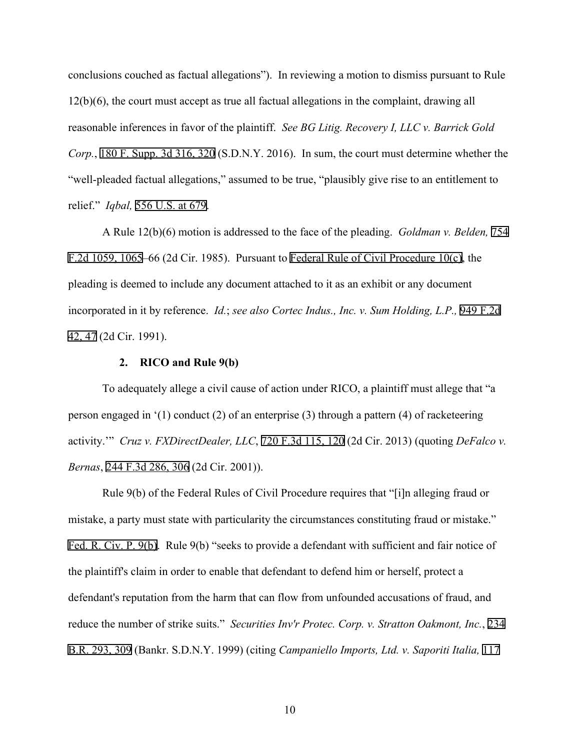conclusions couched as factual allegations"). In reviewing a motion to dismiss pursuant to Rule 12(b)(6), the court must accept as true all factual allegations in the complaint, drawing all reasonable inferences in favor of the plaintiff. *See BG Litig. Recovery I, LLC v. Barrick Gold Corp.*, 180 F. Supp. 3d 316, 320 (S.D.N.Y. 2016). In sum, the court must determine whether the "well-pleaded factual allegations," assumed to be true, "plausibly give rise to an entitlement to relief." *Iqbal,* 556 U.S. at 679.

A Rule 12(b)(6) motion is addressed to the face of the pleading. *Goldman v. Belden,* 754 F.2d 1059, 1065–66 (2d Cir. 1985). Pursuant to Federal Rule of Civil Procedure 10(c), the pleading is deemed to include any document attached to it as an exhibit or any document incorporated in it by reference. *Id.*; *see also Cortec Indus., Inc. v. Sum Holding, L.P.,* 949 F.2d 42, 47 (2d Cir. 1991).

## **2. RICO and Rule 9(b)**

To adequately allege a civil cause of action under RICO, a plaintiff must allege that "a person engaged in '(1) conduct (2) of an enterprise (3) through a pattern (4) of racketeering activity.'" *Cruz v. FXDirectDealer, LLC*, 720 F.3d 115, 120 (2d Cir. 2013) (quoting *DeFalco v. Bernas*, 244 F.3d 286, 306 (2d Cir. 2001)).

Rule 9(b) of the Federal Rules of Civil Procedure requires that "[i]n alleging fraud or mistake, a party must state with particularity the circumstances constituting fraud or mistake." Fed. R. Civ. P. 9(b). Rule 9(b) "seeks to provide a defendant with sufficient and fair notice of the plaintiff's claim in order to enable that defendant to defend him or herself, protect a defendant's reputation from the harm that can flow from unfounded accusations of fraud, and reduce the number of strike suits." *Securities Inv'r Protec. Corp. v. Stratton Oakmont, Inc.*, 234 B.R. 293, 309 (Bankr. S.D.N.Y. 1999) (citing *Campaniello Imports, Ltd. v. Saporiti Italia,* 117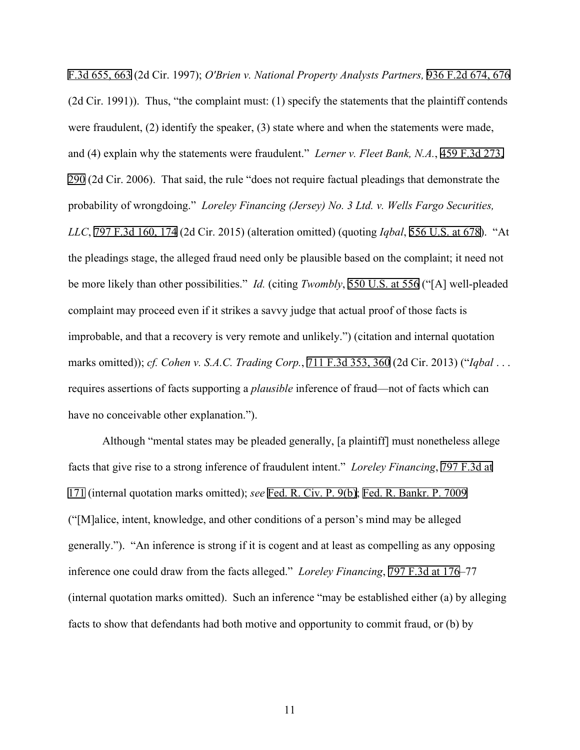F.3d 655, 663 (2d Cir. 1997); *O'Brien v. National Property Analysts Partners,* 936 F.2d 674, 676 (2d Cir. 1991)). Thus, "the complaint must: (1) specify the statements that the plaintiff contends were fraudulent, (2) identify the speaker, (3) state where and when the statements were made, and (4) explain why the statements were fraudulent." *Lerner v. Fleet Bank, N.A.*, 459 F.3d 273, 290 (2d Cir. 2006). That said, the rule "does not require factual pleadings that demonstrate the probability of wrongdoing." *Loreley Financing (Jersey) No. 3 Ltd. v. Wells Fargo Securities, LLC*, 797 F.3d 160, 174 (2d Cir. 2015) (alteration omitted) (quoting *Iqbal*, 556 U.S. at 678). "At the pleadings stage, the alleged fraud need only be plausible based on the complaint; it need not be more likely than other possibilities." *Id.* (citing *Twombly*, 550 U.S. at 556 ("[A] well-pleaded complaint may proceed even if it strikes a savvy judge that actual proof of those facts is improbable, and that a recovery is very remote and unlikely.") (citation and internal quotation marks omitted)); *cf. Cohen v. S.A.C. Trading Corp.*, 711 F.3d 353, 360 (2d Cir. 2013) ("*Iqbal* . . . requires assertions of facts supporting a *plausible* inference of fraud—not of facts which can have no conceivable other explanation.").

Although "mental states may be pleaded generally, [a plaintiff] must nonetheless allege facts that give rise to a strong inference of fraudulent intent." *Loreley Financing*, 797 F.3d at 171 (internal quotation marks omitted); *see* Fed. R. Civ. P. 9(b); Fed. R. Bankr. P. 7009 ("[M]alice, intent, knowledge, and other conditions of a person's mind may be alleged generally."). "An inference is strong if it is cogent and at least as compelling as any opposing inference one could draw from the facts alleged." *Loreley Financing*, 797 F.3d at 176–77 (internal quotation marks omitted). Such an inference "may be established either (a) by alleging facts to show that defendants had both motive and opportunity to commit fraud, or (b) by

11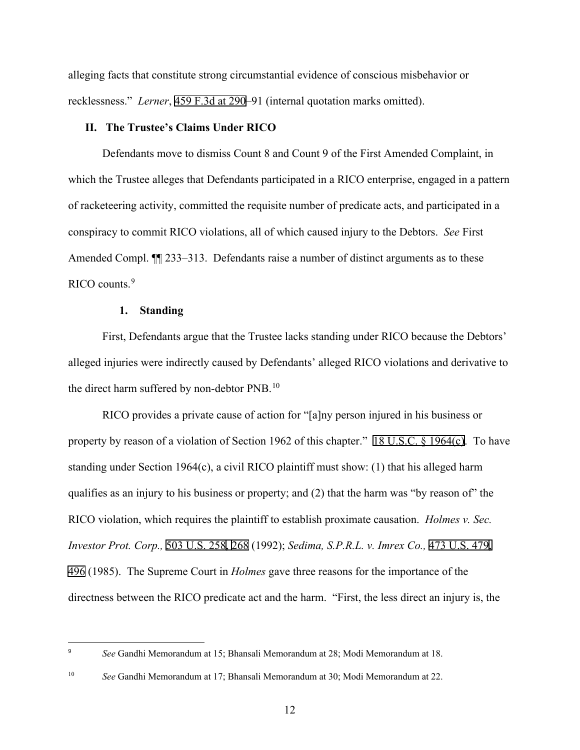alleging facts that constitute strong circumstantial evidence of conscious misbehavior or recklessness." *Lerner*, 459 F.3d at 290–91 (internal quotation marks omitted).

#### **II. The Trustee's Claims Under RICO**

Defendants move to dismiss Count 8 and Count 9 of the First Amended Complaint, in which the Trustee alleges that Defendants participated in a RICO enterprise, engaged in a pattern of racketeering activity, committed the requisite number of predicate acts, and participated in a conspiracy to commit RICO violations, all of which caused injury to the Debtors. *See* First Amended Compl.  $\P$  233–313. Defendants raise a number of distinct arguments as to these RICO counts.<sup>[9](#page-11-0)</sup>

#### **1. Standing**

First, Defendants argue that the Trustee lacks standing under RICO because the Debtors' alleged injuries were indirectly caused by Defendants' alleged RICO violations and derivative to the direct harm suffered by non-debtor PNB.<sup>[10](#page-11-1)</sup>

RICO provides a private cause of action for "[a]ny person injured in his business or property by reason of a violation of Section 1962 of this chapter." 18 U.S.C. § 1964(c). To have standing under Section 1964(c), a civil RICO plaintiff must show: (1) that his alleged harm qualifies as an injury to his business or property; and (2) that the harm was "by reason of" the RICO violation, which requires the plaintiff to establish proximate causation. *Holmes v. Sec. Investor Prot. Corp.,* 503 U.S. 258, 268 (1992); *Sedima, S.P.R.L. v. Imrex Co.,* 473 U.S. 479, 496 (1985). The Supreme Court in *Holmes* gave three reasons for the importance of the directness between the RICO predicate act and the harm. "First, the less direct an injury is, the

<span id="page-11-0"></span><sup>9</sup> *See* Gandhi Memorandum at 15; Bhansali Memorandum at 28; Modi Memorandum at 18.

<span id="page-11-1"></span><sup>10</sup> *See* Gandhi Memorandum at 17; Bhansali Memorandum at 30; Modi Memorandum at 22.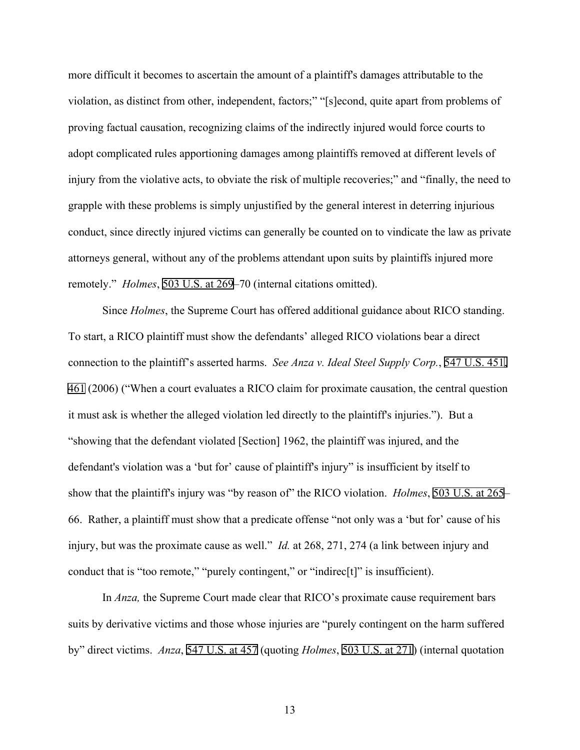more difficult it becomes to ascertain the amount of a plaintiff's damages attributable to the violation, as distinct from other, independent, factors;" "[s]econd, quite apart from problems of proving factual causation, recognizing claims of the indirectly injured would force courts to adopt complicated rules apportioning damages among plaintiffs removed at different levels of injury from the violative acts, to obviate the risk of multiple recoveries;" and "finally, the need to grapple with these problems is simply unjustified by the general interest in deterring injurious conduct, since directly injured victims can generally be counted on to vindicate the law as private attorneys general, without any of the problems attendant upon suits by plaintiffs injured more remotely." *Holmes*, 503 U.S. at 269–70 (internal citations omitted).

Since *Holmes*, the Supreme Court has offered additional guidance about RICO standing. To start, a RICO plaintiff must show the defendants' alleged RICO violations bear a direct connection to the plaintiff's asserted harms. *See Anza v. Ideal Steel Supply Corp.*, 547 U.S. 451, 461 (2006) ("When a court evaluates a RICO claim for proximate causation, the central question it must ask is whether the alleged violation led directly to the plaintiff's injuries."). But a "showing that the defendant violated [Section] 1962, the plaintiff was injured, and the defendant's violation was a 'but for' cause of plaintiff's injury'' is insufficient by itself to show that the plaintiff's injury was "by reason of" the RICO violation. *Holmes*, 503 U.S. at 265– 66. Rather, a plaintiff must show that a predicate offense "not only was a 'but for' cause of his injury, but was the proximate cause as well." *Id.* at 268, 271, 274 (a link between injury and conduct that is "too remote," "purely contingent," or "indirec<sup>[t]"</sup> is insufficient).

In *Anza,* the Supreme Court made clear that RICO's proximate cause requirement bars suits by derivative victims and those whose injuries are "purely contingent on the harm suffered by" direct victims. *Anza*, 547 U.S. at 457 (quoting *Holmes*, 503 U.S. at 271) (internal quotation

13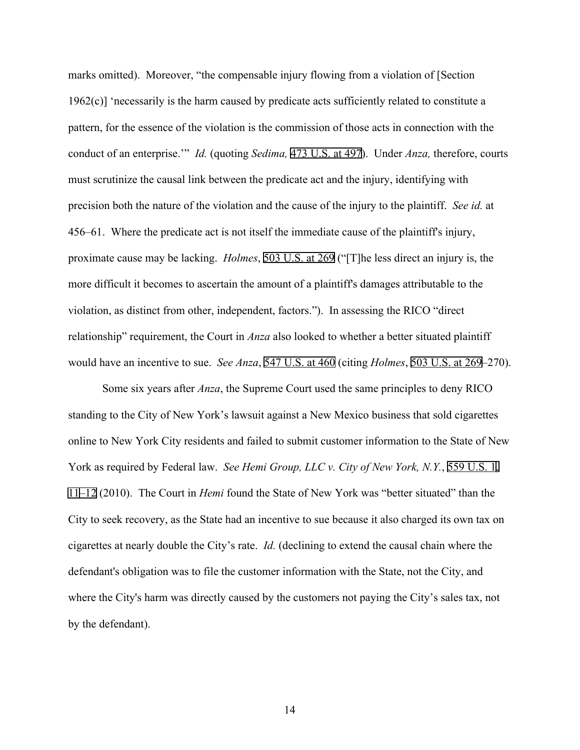marks omitted). Moreover, "the compensable injury flowing from a violation of [Section 1962(c)] 'necessarily is the harm caused by predicate acts sufficiently related to constitute a pattern, for the essence of the violation is the commission of those acts in connection with the conduct of an enterprise.'" *Id.* (quoting *Sedima,* 473 U.S. at 497). Under *Anza,* therefore, courts must scrutinize the causal link between the predicate act and the injury, identifying with precision both the nature of the violation and the cause of the injury to the plaintiff. *See id.* at 456–61. Where the predicate act is not itself the immediate cause of the plaintiff's injury, proximate cause may be lacking. *Holmes*, 503 U.S. at 269 ("[T]he less direct an injury is, the more difficult it becomes to ascertain the amount of a plaintiff's damages attributable to the violation, as distinct from other, independent, factors."). In assessing the RICO "direct relationship" requirement, the Court in *Anza* also looked to whether a better situated plaintiff would have an incentive to sue. *See Anza*, 547 U.S. at 460 (citing *Holmes*, 503 U.S. at 269–270).

Some six years after *Anza*, the Supreme Court used the same principles to deny RICO standing to the City of New York's lawsuit against a New Mexico business that sold cigarettes online to New York City residents and failed to submit customer information to the State of New York as required by Federal law. *See Hemi Group, LLC v. City of New York, N.Y.*, 559 U.S. 1, 11–12 (2010). The Court in *Hemi* found the State of New York was "better situated" than the City to seek recovery, as the State had an incentive to sue because it also charged its own tax on cigarettes at nearly double the City's rate. *Id.* (declining to extend the causal chain where the defendant's obligation was to file the customer information with the State, not the City, and where the City's harm was directly caused by the customers not paying the City's sales tax, not by the defendant).

14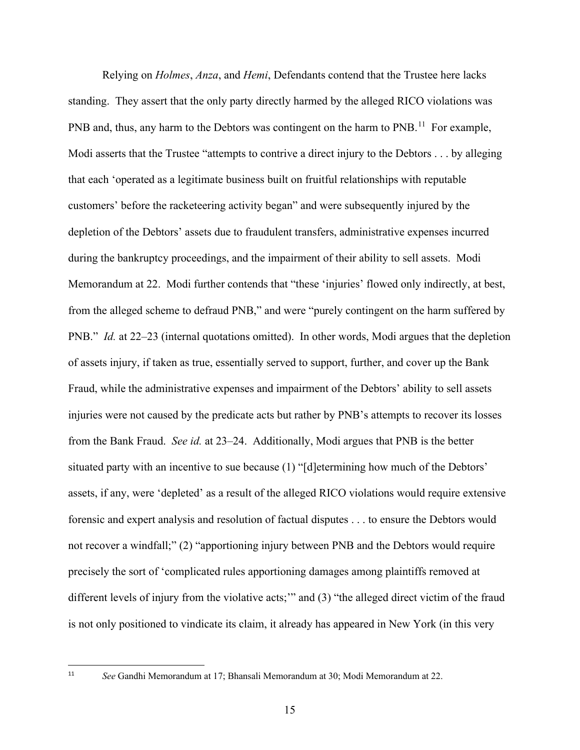Relying on *Holmes*, *Anza*, and *Hemi*, Defendants contend that the Trustee here lacks standing. They assert that the only party directly harmed by the alleged RICO violations was PNB and, thus, any harm to the Debtors was contingent on the harm to PNB.<sup>[11](#page-14-0)</sup> For example, Modi asserts that the Trustee "attempts to contrive a direct injury to the Debtors . . . by alleging that each 'operated as a legitimate business built on fruitful relationships with reputable customers' before the racketeering activity began" and were subsequently injured by the depletion of the Debtors' assets due to fraudulent transfers, administrative expenses incurred during the bankruptcy proceedings, and the impairment of their ability to sell assets. Modi Memorandum at 22. Modi further contends that "these 'injuries' flowed only indirectly, at best, from the alleged scheme to defraud PNB," and were "purely contingent on the harm suffered by PNB." *Id.* at 22–23 (internal quotations omitted). In other words, Modi argues that the depletion of assets injury, if taken as true, essentially served to support, further, and cover up the Bank Fraud, while the administrative expenses and impairment of the Debtors' ability to sell assets injuries were not caused by the predicate acts but rather by PNB's attempts to recover its losses from the Bank Fraud. *See id.* at 23–24. Additionally, Modi argues that PNB is the better situated party with an incentive to sue because (1) "[d]etermining how much of the Debtors' assets, if any, were 'depleted' as a result of the alleged RICO violations would require extensive forensic and expert analysis and resolution of factual disputes . . . to ensure the Debtors would not recover a windfall;" (2) "apportioning injury between PNB and the Debtors would require precisely the sort of 'complicated rules apportioning damages among plaintiffs removed at different levels of injury from the violative acts;" and (3) "the alleged direct victim of the fraud is not only positioned to vindicate its claim, it already has appeared in New York (in this very

<span id="page-14-0"></span><sup>11</sup> *See* Gandhi Memorandum at 17; Bhansali Memorandum at 30; Modi Memorandum at 22.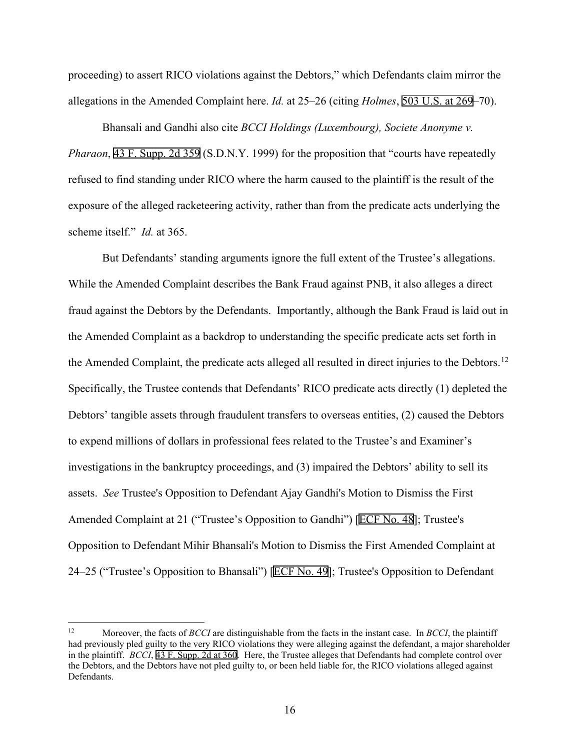proceeding) to assert RICO violations against the Debtors," which Defendants claim mirror the allegations in the Amended Complaint here. *Id.* at 25–26 (citing *Holmes*, 503 U.S. at 269–70).

Bhansali and Gandhi also cite *BCCI Holdings (Luxembourg), Societe Anonyme v. Pharaon*, 43 F. Supp. 2d 359 (S.D.N.Y. 1999) for the proposition that "courts have repeatedly refused to find standing under RICO where the harm caused to the plaintiff is the result of the exposure of the alleged racketeering activity, rather than from the predicate acts underlying the scheme itself." *Id.* at 365.

But Defendants' standing arguments ignore the full extent of the Trustee's allegations. While the Amended Complaint describes the Bank Fraud against PNB, it also alleges a direct fraud against the Debtors by the Defendants. Importantly, although the Bank Fraud is laid out in the Amended Complaint as a backdrop to understanding the specific predicate acts set forth in the Amended Complaint, the predicate acts alleged all resulted in direct injuries to the Debtors.<sup>[12](#page-15-0)</sup> Specifically, the Trustee contends that Defendants' RICO predicate acts directly (1) depleted the Debtors' tangible assets through fraudulent transfers to overseas entities, (2) caused the Debtors to expend millions of dollars in professional fees related to the Trustee's and Examiner's investigations in the bankruptcy proceedings, and (3) impaired the Debtors' ability to sell its assets. *See* Trustee's Opposition to Defendant Ajay Gandhi's Motion to Dismiss the First Amended Complaint at 21 ("Trustee's Opposition to Gandhi") [ECF No. 48]; Trustee's Opposition to Defendant Mihir Bhansali's Motion to Dismiss the First Amended Complaint at 24–25 ("Trustee's Opposition to Bhansali") [ECF No. 49]; Trustee's Opposition to Defendant

<span id="page-15-0"></span><sup>12</sup> Moreover, the facts of *BCCI* are distinguishable from the facts in the instant case. In *BCCI*, the plaintiff had previously pled guilty to the very RICO violations they were alleging against the defendant, a major shareholder in the plaintiff. *BCCI*, 43 F. Supp. 2d at 360. Here, the Trustee alleges that Defendants had complete control over the Debtors, and the Debtors have not pled guilty to, or been held liable for, the RICO violations alleged against Defendants.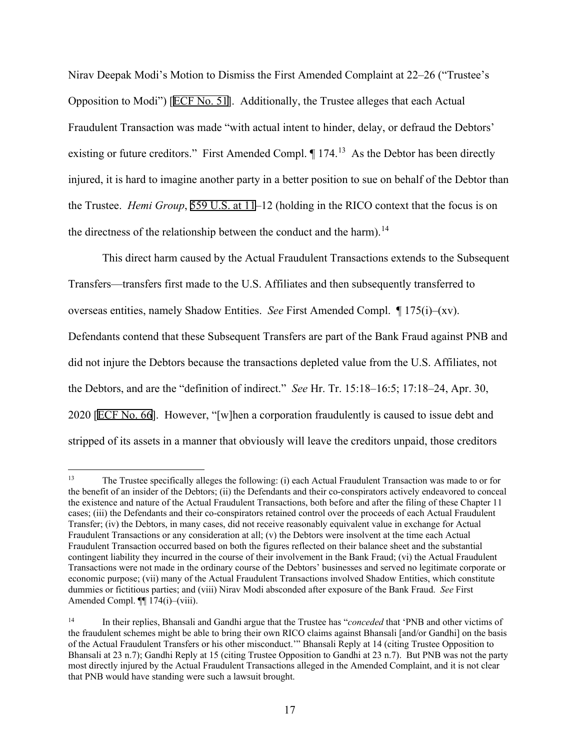Nirav Deepak Modi's Motion to Dismiss the First Amended Complaint at 22–26 ("Trustee's Opposition to Modi") [ECF No. 51]. Additionally, the Trustee alleges that each Actual Fraudulent Transaction was made "with actual intent to hinder, delay, or defraud the Debtors' existing or future creditors." First Amended Compl.  $\P$  174.<sup>[13](#page-16-0)</sup> As the Debtor has been directly injured, it is hard to imagine another party in a better position to sue on behalf of the Debtor than the Trustee. *Hemi Group*, 559 U.S. at 11–12 (holding in the RICO context that the focus is on the directness of the relationship between the conduct and the harm).<sup>14</sup>

This direct harm caused by the Actual Fraudulent Transactions extends to the Subsequent Transfers—transfers first made to the U.S. Affiliates and then subsequently transferred to overseas entities, namely Shadow Entities. *See* First Amended Compl. ¶ 175(i)–(xv). Defendants contend that these Subsequent Transfers are part of the Bank Fraud against PNB and did not injure the Debtors because the transactions depleted value from the U.S. Affiliates, not the Debtors, and are the "definition of indirect." *See* Hr. Tr. 15:18–16:5; 17:18–24, Apr. 30, 2020 [ECF No. 66]. However, "[w]hen a corporation fraudulently is caused to issue debt and stripped of its assets in a manner that obviously will leave the creditors unpaid, those creditors

<span id="page-16-0"></span><sup>13</sup> The Trustee specifically alleges the following: (i) each Actual Fraudulent Transaction was made to or for the benefit of an insider of the Debtors; (ii) the Defendants and their co-conspirators actively endeavored to conceal the existence and nature of the Actual Fraudulent Transactions, both before and after the filing of these Chapter 11 cases; (iii) the Defendants and their co-conspirators retained control over the proceeds of each Actual Fraudulent Transfer; (iv) the Debtors, in many cases, did not receive reasonably equivalent value in exchange for Actual Fraudulent Transactions or any consideration at all; (v) the Debtors were insolvent at the time each Actual Fraudulent Transaction occurred based on both the figures reflected on their balance sheet and the substantial contingent liability they incurred in the course of their involvement in the Bank Fraud; (vi) the Actual Fraudulent Transactions were not made in the ordinary course of the Debtors' businesses and served no legitimate corporate or economic purpose; (vii) many of the Actual Fraudulent Transactions involved Shadow Entities, which constitute dummies or fictitious parties; and (viii) Nirav Modi absconded after exposure of the Bank Fraud. *See* First Amended Compl. ¶¶ 174(i)–(viii).

<span id="page-16-1"></span><sup>14</sup> In their replies, Bhansali and Gandhi argue that the Trustee has "*conceded* that 'PNB and other victims of the fraudulent schemes might be able to bring their own RICO claims against Bhansali [and/or Gandhi] on the basis of the Actual Fraudulent Transfers or his other misconduct.'" Bhansali Reply at 14 (citing Trustee Opposition to Bhansali at 23 n.7); Gandhi Reply at 15 (citing Trustee Opposition to Gandhi at 23 n.7). But PNB was not the party most directly injured by the Actual Fraudulent Transactions alleged in the Amended Complaint, and it is not clear that PNB would have standing were such a lawsuit brought.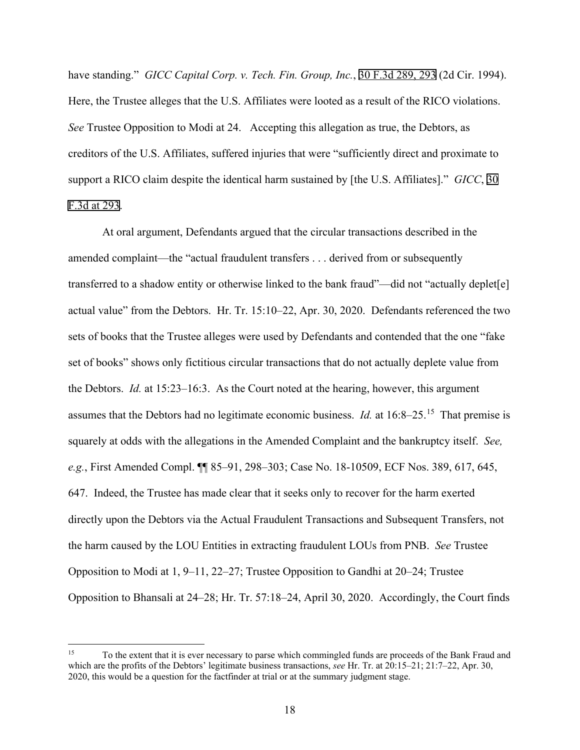have standing." *GICC Capital Corp. v. Tech. Fin. Group, Inc.*, 30 F.3d 289, 293 (2d Cir. 1994). Here, the Trustee alleges that the U.S. Affiliates were looted as a result of the RICO violations. *See* Trustee Opposition to Modi at 24. Accepting this allegation as true, the Debtors, as creditors of the U.S. Affiliates, suffered injuries that were "sufficiently direct and proximate to support a RICO claim despite the identical harm sustained by [the U.S. Affiliates]." *GICC*, 30 F.3d at 293.

At oral argument, Defendants argued that the circular transactions described in the amended complaint—the "actual fraudulent transfers . . . derived from or subsequently transferred to a shadow entity or otherwise linked to the bank fraud"—did not "actually deplet[e] actual value" from the Debtors. Hr. Tr. 15:10–22, Apr. 30, 2020. Defendants referenced the two sets of books that the Trustee alleges were used by Defendants and contended that the one "fake set of books" shows only fictitious circular transactions that do not actually deplete value from the Debtors. *Id.* at 15:23–16:3. As the Court noted at the hearing, however, this argument assumes that the Debtors had no legitimate economic business. *Id.* at 16:8–25. [15](#page-17-0) That premise is squarely at odds with the allegations in the Amended Complaint and the bankruptcy itself. *See, e.g.*, First Amended Compl. ¶¶ 85–91, 298–303; Case No. 18-10509, ECF Nos. 389, 617, 645, 647. Indeed, the Trustee has made clear that it seeks only to recover for the harm exerted directly upon the Debtors via the Actual Fraudulent Transactions and Subsequent Transfers, not the harm caused by the LOU Entities in extracting fraudulent LOUs from PNB. *See* Trustee Opposition to Modi at 1, 9–11, 22–27; Trustee Opposition to Gandhi at 20–24; Trustee Opposition to Bhansali at 24–28; Hr. Tr. 57:18–24, April 30, 2020. Accordingly, the Court finds

<span id="page-17-0"></span><sup>&</sup>lt;sup>15</sup> To the extent that it is ever necessary to parse which commingled funds are proceeds of the Bank Fraud and which are the profits of the Debtors' legitimate business transactions, *see* Hr. Tr. at 20:15–21; 21:7–22, Apr. 30, 2020, this would be a question for the factfinder at trial or at the summary judgment stage.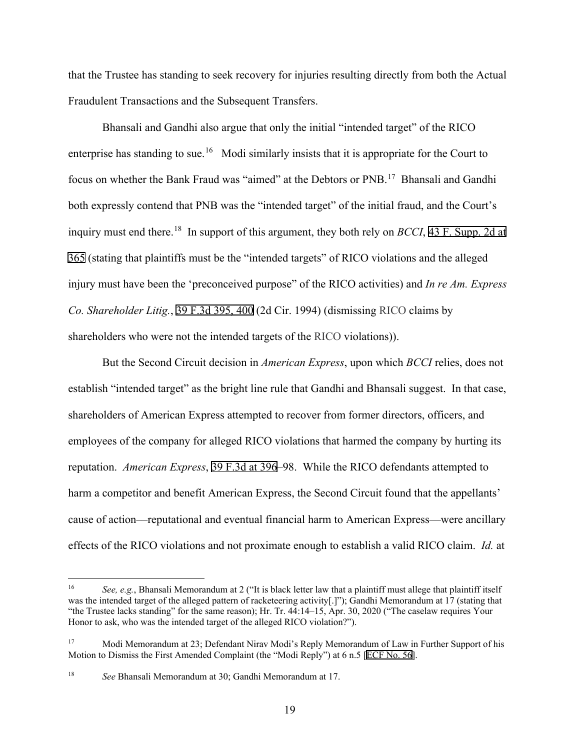that the Trustee has standing to seek recovery for injuries resulting directly from both the Actual Fraudulent Transactions and the Subsequent Transfers.

Bhansali and Gandhi also argue that only the initial "intended target" of the RICO enterprise has standing to sue.<sup>[16](#page-18-0)</sup> Modi similarly insists that it is appropriate for the Court to focus on whether the Bank Fraud was "aimed" at the Debtors or PNB.<sup>[17](#page-18-1)</sup> Bhansali and Gandhi both expressly contend that PNB was the "intended target" of the initial fraud, and the Court's inquiry must end there.[18](#page-18-2) In support of this argument, they both rely on *BCCI*, 43 F. Supp. 2d at 365 (stating that plaintiffs must be the "intended targets" of RICO violations and the alleged injury must have been the 'preconceived purpose" of the RICO activities) and *In re Am. Express Co. Shareholder Litig.*, 39 F.3d 395, 400 (2d Cir. 1994) (dismissing RICO claims by shareholders who were not the intended targets of the RICO violations)).

But the Second Circuit decision in *American Express*, upon which *BCCI* relies, does not establish "intended target" as the bright line rule that Gandhi and Bhansali suggest. In that case, shareholders of American Express attempted to recover from former directors, officers, and employees of the company for alleged RICO violations that harmed the company by hurting its reputation. *American Express*, 39 F.3d at 396–98. While the RICO defendants attempted to harm a competitor and benefit American Express, the Second Circuit found that the appellants' cause of action––reputational and eventual financial harm to American Express––were ancillary effects of the RICO violations and not proximate enough to establish a valid RICO claim. *Id.* at

<span id="page-18-0"></span><sup>16</sup> *See, e.g.*, Bhansali Memorandum at 2 ("It is black letter law that a plaintiff must allege that plaintiff itself was the intended target of the alleged pattern of racketeering activity[.]"); Gandhi Memorandum at 17 (stating that "the Trustee lacks standing" for the same reason); Hr. Tr. 44:14–15, Apr. 30, 2020 ("The caselaw requires Your Honor to ask, who was the intended target of the alleged RICO violation?").

<span id="page-18-1"></span><sup>&</sup>lt;sup>17</sup> Modi Memorandum at 23; Defendant Nirav Modi's Reply Memorandum of Law in Further Support of his Motion to Dismiss the First Amended Complaint (the "Modi Reply") at 6 n.5 [ECF No. 56].

<span id="page-18-2"></span><sup>18</sup> *See* Bhansali Memorandum at 30; Gandhi Memorandum at 17.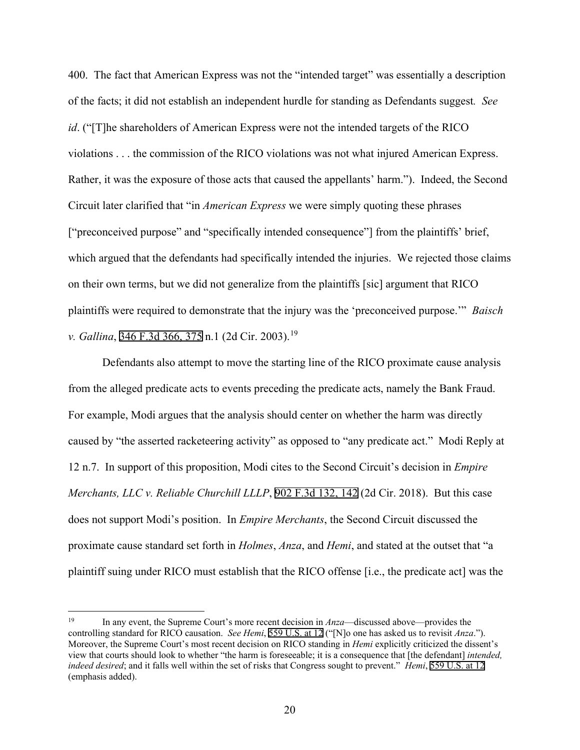400. The fact that American Express was not the "intended target" was essentially a description of the facts; it did not establish an independent hurdle for standing as Defendants suggest*. See id*. ("[T]he shareholders of American Express were not the intended targets of the RICO violations . . . the commission of the RICO violations was not what injured American Express. Rather, it was the exposure of those acts that caused the appellants' harm."). Indeed, the Second Circuit later clarified that "in *American Express* we were simply quoting these phrases ["preconceived purpose" and "specifically intended consequence"] from the plaintiffs' brief, which argued that the defendants had specifically intended the injuries. We rejected those claims on their own terms, but we did not generalize from the plaintiffs [sic] argument that RICO plaintiffs were required to demonstrate that the injury was the 'preconceived purpose.'" *Baisch v. Gallina*, 346 F.3d 366, 375 n.1 (2d Cir. 2003). [19](#page-19-0)

Defendants also attempt to move the starting line of the RICO proximate cause analysis from the alleged predicate acts to events preceding the predicate acts, namely the Bank Fraud. For example, Modi argues that the analysis should center on whether the harm was directly caused by "the asserted racketeering activity" as opposed to "any predicate act." Modi Reply at 12 n.7. In support of this proposition, Modi cites to the Second Circuit's decision in *Empire Merchants, LLC v. Reliable Churchill LLLP*, 902 F.3d 132, 142 (2d Cir. 2018). But this case does not support Modi's position. In *Empire Merchants*, the Second Circuit discussed the proximate cause standard set forth in *Holmes*, *Anza*, and *Hemi*, and stated at the outset that "a plaintiff suing under RICO must establish that the RICO offense [i.e., the predicate act] was the

<span id="page-19-0"></span><sup>19</sup> In any event, the Supreme Court's more recent decision in *Anza*—discussed above—provides the controlling standard for RICO causation. *See Hemi*, 559 U.S. at 12 ("[N]o one has asked us to revisit *Anza*."). Moreover, the Supreme Court's most recent decision on RICO standing in *Hemi* explicitly criticized the dissent's view that courts should look to whether "the harm is foreseeable; it is a consequence that [the defendant] *intended, indeed desired*; and it falls well within the set of risks that Congress sought to prevent." *Hemi*, 559 U.S. at 12 (emphasis added).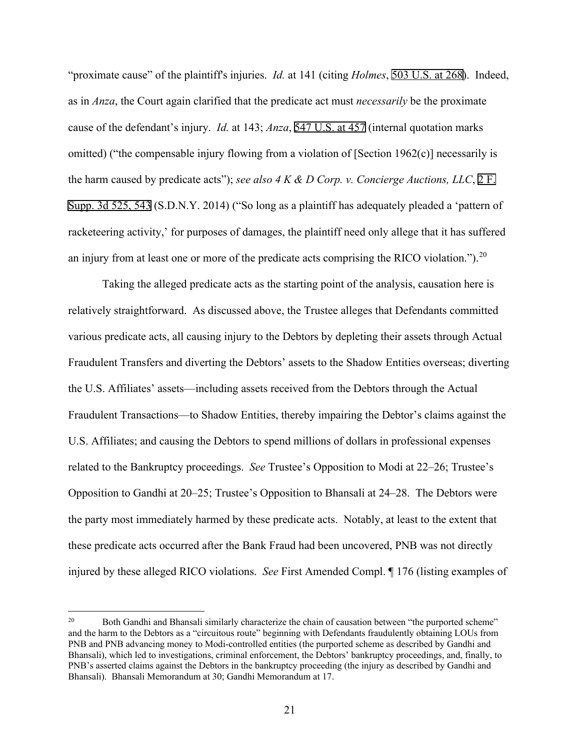"proximate cause" of the plaintiff's injuries. *Id.* at 141 (citing *Holmes*, 503 U.S. at 268). Indeed, as in *Anza*, the Court again clarified that the predicate act must *necessarily* be the proximate cause of the defendant's injury. *Id.* at 143; *Anza*, 547 U.S. at 457 (internal quotation marks omitted) ("the compensable injury flowing from a violation of [Section 1962(c)] necessarily is the harm caused by predicate acts"); *see also 4 K & D Corp. v. Concierge Auctions, LLC*, 2 F. Supp. 3d 525, 543 (S.D.N.Y. 2014) ("So long as a plaintiff has adequately pleaded a 'pattern of racketeering activity,' for purposes of damages, the plaintiff need only allege that it has suffered an injury from at least one or more of the predicate acts comprising the RICO violation.").<sup>[20](#page-20-0)</sup>

Taking the alleged predicate acts as the starting point of the analysis, causation here is relatively straightforward. As discussed above, the Trustee alleges that Defendants committed various predicate acts, all causing injury to the Debtors by depleting their assets through Actual Fraudulent Transfers and diverting the Debtors' assets to the Shadow Entities overseas; diverting the U.S. Affiliates' assets—including assets received from the Debtors through the Actual Fraudulent Transactions—to Shadow Entities, thereby impairing the Debtor's claims against the U.S. Affiliates; and causing the Debtors to spend millions of dollars in professional expenses related to the Bankruptcy proceedings. *See* Trustee's Opposition to Modi at 22–26; Trustee's Opposition to Gandhi at 20–25; Trustee's Opposition to Bhansali at 24–28. The Debtors were the party most immediately harmed by these predicate acts. Notably, at least to the extent that these predicate acts occurred after the Bank Fraud had been uncovered, PNB was not directly injured by these alleged RICO violations. *See* First Amended Compl. ¶ 176 (listing examples of

<span id="page-20-0"></span><sup>&</sup>lt;sup>20</sup> Both Gandhi and Bhansali similarly characterize the chain of causation between "the purported scheme" and the harm to the Debtors as a "circuitous route" beginning with Defendants fraudulently obtaining LOUs from PNB and PNB advancing money to Modi-controlled entities (the purported scheme as described by Gandhi and Bhansali), which led to investigations, criminal enforcement, the Debtors' bankruptcy proceedings, and, finally, to PNB's asserted claims against the Debtors in the bankruptcy proceeding (the injury as described by Gandhi and Bhansali). Bhansali Memorandum at 30; Gandhi Memorandum at 17.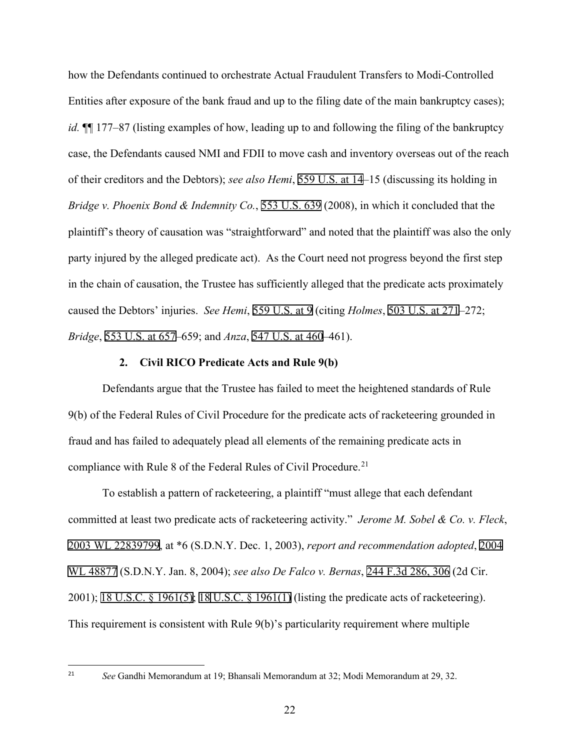how the Defendants continued to orchestrate Actual Fraudulent Transfers to Modi-Controlled Entities after exposure of the bank fraud and up to the filing date of the main bankruptcy cases); *id.*  $\P$  177–87 (listing examples of how, leading up to and following the filing of the bankruptcy case, the Defendants caused NMI and FDII to move cash and inventory overseas out of the reach of their creditors and the Debtors); *see also Hemi*, 559 U.S. at 14–15 (discussing its holding in *Bridge v. Phoenix Bond & Indemnity Co.*, 553 U.S. 639 (2008), in which it concluded that the plaintiff's theory of causation was "straightforward" and noted that the plaintiff was also the only party injured by the alleged predicate act). As the Court need not progress beyond the first step in the chain of causation, the Trustee has sufficiently alleged that the predicate acts proximately caused the Debtors' injuries. *See Hemi*, 559 U.S. at 9 (citing *Holmes*, 503 U.S. at 271–272; *Bridge*, 553 U.S. at 657–659; and *Anza*, 547 U.S. at 460–461).

## **2. Civil RICO Predicate Acts and Rule 9(b)**

Defendants argue that the Trustee has failed to meet the heightened standards of Rule 9(b) of the Federal Rules of Civil Procedure for the predicate acts of racketeering grounded in fraud and has failed to adequately plead all elements of the remaining predicate acts in compliance with Rule 8 of the Federal Rules of Civil Procedure.<sup>[21](#page-21-0)</sup>

To establish a pattern of racketeering, a plaintiff "must allege that each defendant committed at least two predicate acts of racketeering activity." *Jerome M. Sobel & Co. v. Fleck*, 2003 WL 22839799, at \*6 (S.D.N.Y. Dec. 1, 2003), *report and recommendation adopted*, 2004 WL 48877 (S.D.N.Y. Jan. 8, 2004); *see also De Falco v. Bernas*, 244 F.3d 286, 306 (2d Cir. 2001); 18 U.S.C. § 1961(5); 18 U.S.C. § 1961(1) (listing the predicate acts of racketeering). This requirement is consistent with Rule 9(b)'s particularity requirement where multiple

<span id="page-21-0"></span><sup>21</sup> *See* Gandhi Memorandum at 19; Bhansali Memorandum at 32; Modi Memorandum at 29, 32.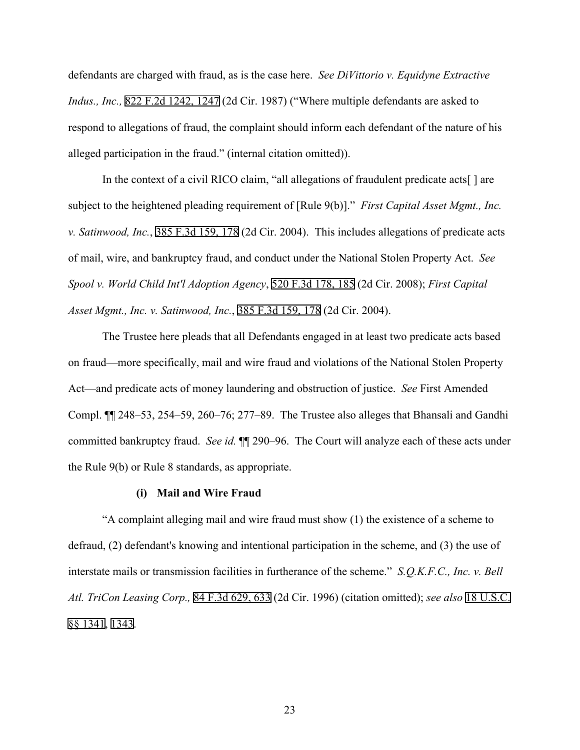defendants are charged with fraud, as is the case here. *See DiVittorio v. Equidyne Extractive Indus., Inc.,* 822 F.2d 1242, 1247 (2d Cir. 1987) ("Where multiple defendants are asked to respond to allegations of fraud, the complaint should inform each defendant of the nature of his alleged participation in the fraud." (internal citation omitted)).

In the context of a civil RICO claim, "all allegations of fraudulent predicate acts<sup>[]</sup> are subject to the heightened pleading requirement of [Rule 9(b)]." *First Capital Asset Mgmt., Inc. v. Satinwood, Inc.*, 385 F.3d 159, 178 (2d Cir. 2004). This includes allegations of predicate acts of mail, wire, and bankruptcy fraud, and conduct under the National Stolen Property Act. *See Spool v. World Child Int'l Adoption Agency*, 520 F.3d 178, 185 (2d Cir. 2008); *First Capital Asset Mgmt., Inc. v. Satinwood, Inc.*, 385 F.3d 159, 178 (2d Cir. 2004).

The Trustee here pleads that all Defendants engaged in at least two predicate acts based on fraud—more specifically, mail and wire fraud and violations of the National Stolen Property Act—and predicate acts of money laundering and obstruction of justice. *See* First Amended Compl. ¶¶ 248–53, 254–59, 260–76; 277–89. The Trustee also alleges that Bhansali and Gandhi committed bankruptcy fraud. *See id.* ¶¶ 290–96. The Court will analyze each of these acts under the Rule 9(b) or Rule 8 standards, as appropriate.

# **(i) Mail and Wire Fraud**

"A complaint alleging mail and wire fraud must show (1) the existence of a scheme to defraud, (2) defendant's knowing and intentional participation in the scheme, and (3) the use of interstate mails or transmission facilities in furtherance of the scheme." *S.Q.K.F.C., Inc. v. Bell Atl. TriCon Leasing Corp.,* 84 F.3d 629, 633 (2d Cir. 1996) (citation omitted); *see also* 18 U.S.C. §§ 1341, 1343.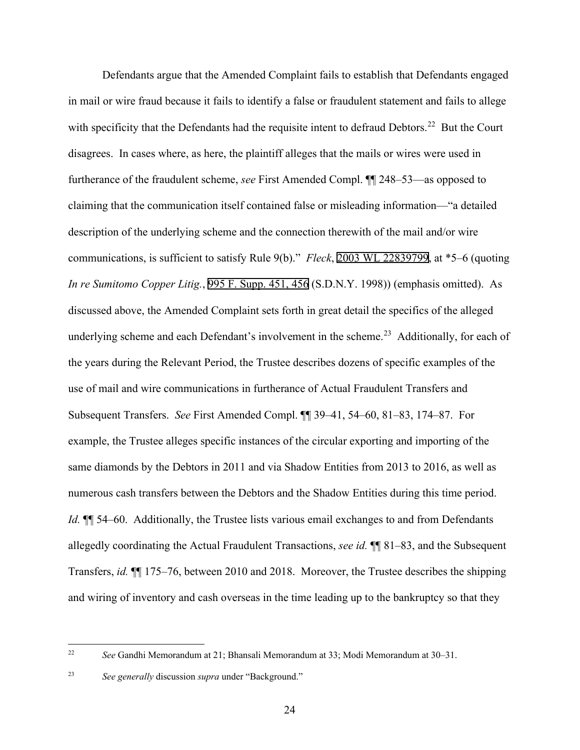Defendants argue that the Amended Complaint fails to establish that Defendants engaged in mail or wire fraud because it fails to identify a false or fraudulent statement and fails to allege with specificity that the Defendants had the requisite intent to defraud Debtors.<sup>22</sup> But the Court disagrees. In cases where, as here, the plaintiff alleges that the mails or wires were used in furtherance of the fraudulent scheme, *see* First Amended Compl. ¶¶ 248–53—as opposed to claiming that the communication itself contained false or misleading information—"a detailed description of the underlying scheme and the connection therewith of the mail and/or wire communications, is sufficient to satisfy Rule 9(b)." *Fleck*, 2003 WL 22839799, at \*5–6 (quoting *In re Sumitomo Copper Litig.*, 995 F. Supp. 451, 456 (S.D.N.Y. 1998)) (emphasis omitted). As discussed above, the Amended Complaint sets forth in great detail the specifics of the alleged underlying scheme and each Defendant's involvement in the scheme.<sup>[23](#page-23-1)</sup> Additionally, for each of the years during the Relevant Period, the Trustee describes dozens of specific examples of the use of mail and wire communications in furtherance of Actual Fraudulent Transfers and Subsequent Transfers. *See* First Amended Compl. ¶¶ 39–41, 54–60, 81–83, 174–87. For example, the Trustee alleges specific instances of the circular exporting and importing of the same diamonds by the Debtors in 2011 and via Shadow Entities from 2013 to 2016, as well as numerous cash transfers between the Debtors and the Shadow Entities during this time period. *Id.*  $\P$  54–60. Additionally, the Trustee lists various email exchanges to and from Defendants allegedly coordinating the Actual Fraudulent Transactions, *see id.* ¶¶ 81–83, and the Subsequent Transfers, *id.* ¶¶ 175–76, between 2010 and 2018. Moreover, the Trustee describes the shipping and wiring of inventory and cash overseas in the time leading up to the bankruptcy so that they

<span id="page-23-0"></span><sup>22</sup> *See* Gandhi Memorandum at 21; Bhansali Memorandum at 33; Modi Memorandum at 30–31.

<span id="page-23-1"></span><sup>23</sup> *See generally* discussion *supra* under "Background."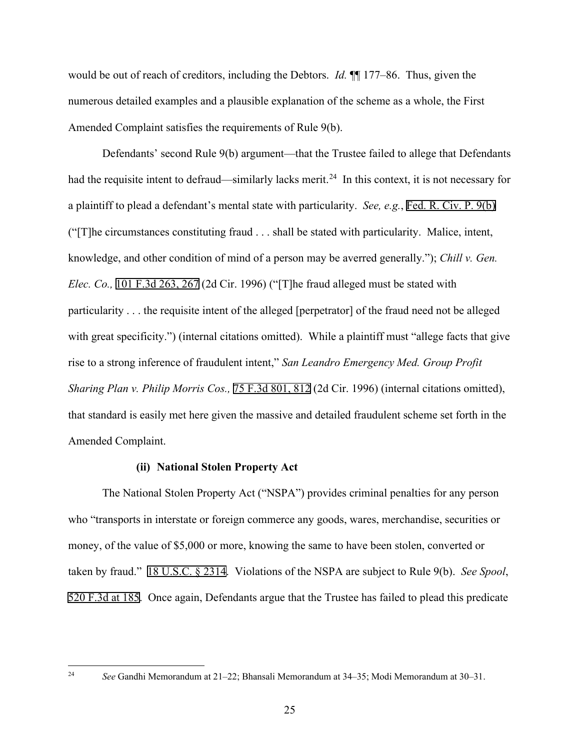would be out of reach of creditors, including the Debtors. *Id.* ¶¶ 177–86. Thus, given the numerous detailed examples and a plausible explanation of the scheme as a whole, the First Amended Complaint satisfies the requirements of Rule 9(b).

Defendants' second Rule 9(b) argument—that the Trustee failed to allege that Defendants had the requisite intent to defraud—similarly lacks merit.<sup>24</sup> In this context, it is not necessary for a plaintiff to plead a defendant's mental state with particularity. *See, e.g.*, Fed. R. Civ. P. 9(b) ("[T]he circumstances constituting fraud . . . shall be stated with particularity. Malice, intent, knowledge, and other condition of mind of a person may be averred generally."); *Chill v. Gen. Elec. Co.,* 101 F.3d 263, 267 (2d Cir. 1996) ("[T]he fraud alleged must be stated with particularity . . . the requisite intent of the alleged [perpetrator] of the fraud need not be alleged with great specificity.") (internal citations omitted). While a plaintiff must "allege facts that give rise to a strong inference of fraudulent intent," *San Leandro Emergency Med. Group Profit Sharing Plan v. Philip Morris Cos.,* 75 F.3d 801, 812 (2d Cir. 1996) (internal citations omitted), that standard is easily met here given the massive and detailed fraudulent scheme set forth in the Amended Complaint.

#### **(ii) National Stolen Property Act**

The National Stolen Property Act ("NSPA") provides criminal penalties for any person who "transports in interstate or foreign commerce any goods, wares, merchandise, securities or money, of the value of \$5,000 or more, knowing the same to have been stolen, converted or taken by fraud." 18 U.S.C. § 2314. Violations of the NSPA are subject to Rule 9(b). *See Spool*, 520 F.3d at 185. Once again, Defendants argue that the Trustee has failed to plead this predicate

<span id="page-24-0"></span><sup>24</sup> *See* Gandhi Memorandum at 21–22; Bhansali Memorandum at 34–35; Modi Memorandum at 30–31.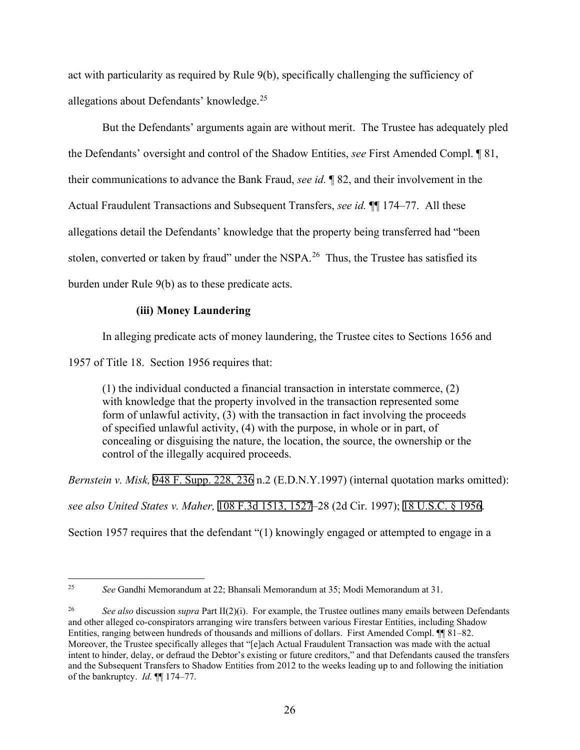act with particularity as required by Rule 9(b), specifically challenging the sufficiency of allegations about Defendants' knowledge.<sup>[25](#page-25-0)</sup>

But the Defendants' arguments again are without merit. The Trustee has adequately pled the Defendants' oversight and control of the Shadow Entities, *see* First Amended Compl. ¶ 81, their communications to advance the Bank Fraud, *see id.* ¶ 82, and their involvement in the Actual Fraudulent Transactions and Subsequent Transfers, *see id.* ¶¶ 174–77. All these allegations detail the Defendants' knowledge that the property being transferred had "been stolen, converted or taken by fraud" under the NSPA.<sup>26</sup> Thus, the Trustee has satisfied its burden under Rule 9(b) as to these predicate acts.

# **(iii) Money Laundering**

In alleging predicate acts of money laundering, the Trustee cites to Sections 1656 and

1957 of Title 18. Section 1956 requires that:

(1) the individual conducted a financial transaction in interstate commerce, (2) with knowledge that the property involved in the transaction represented some form of unlawful activity, (3) with the transaction in fact involving the proceeds of specified unlawful activity, (4) with the purpose, in whole or in part, of concealing or disguising the nature, the location, the source, the ownership or the control of the illegally acquired proceeds.

*Bernstein v. Misk,* 948 F. Supp. 228, 236 n.2 (E.D.N.Y.1997) (internal quotation marks omitted): *see also United States v. Maher,* 108 F.3d 1513, 1527–28 (2d Cir. 1997); 18 U.S.C. § 1956.

Section 1957 requires that the defendant "(1) knowingly engaged or attempted to engage in a

<span id="page-25-0"></span><sup>25</sup> *See* Gandhi Memorandum at 22; Bhansali Memorandum at 35; Modi Memorandum at 31.

<span id="page-25-1"></span><sup>26</sup> *See also* discussion *supra* Part II(2)(i). For example, the Trustee outlines many emails between Defendants and other alleged co-conspirators arranging wire transfers between various Firestar Entities, including Shadow Entities, ranging between hundreds of thousands and millions of dollars. First Amended Compl. ¶¶ 81–82. Moreover, the Trustee specifically alleges that "[e]ach Actual Fraudulent Transaction was made with the actual intent to hinder, delay, or defraud the Debtor's existing or future creditors," and that Defendants caused the transfers and the Subsequent Transfers to Shadow Entities from 2012 to the weeks leading up to and following the initiation of the bankruptcy. *Id.* ¶¶ 174–77.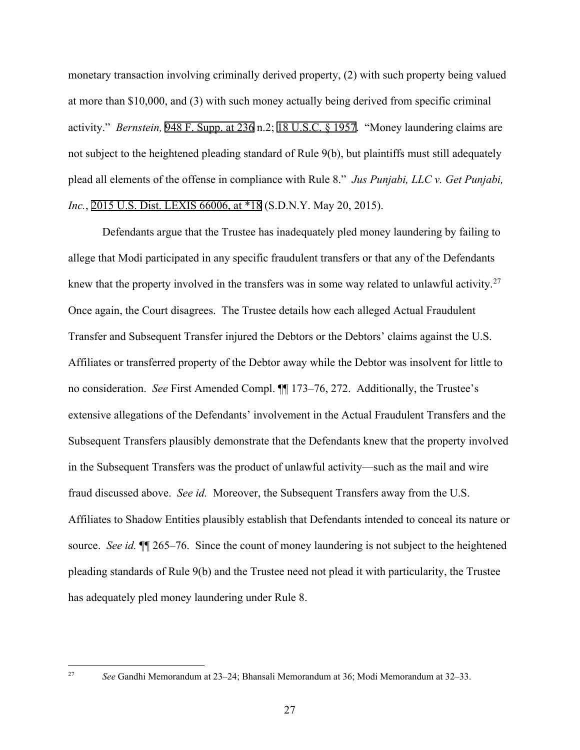monetary transaction involving criminally derived property, (2) with such property being valued at more than \$10,000, and (3) with such money actually being derived from specific criminal activity." *Bernstein,* 948 F. Supp. at 236 n.2; 18 U.S.C. § 1957. "Money laundering claims are not subject to the heightened pleading standard of Rule 9(b), but plaintiffs must still adequately plead all elements of the offense in compliance with Rule 8." *Jus Punjabi, LLC v. Get Punjabi, Inc.*, 2015 U.S. Dist. LEXIS 66006, at \*18 (S.D.N.Y. May 20, 2015).

Defendants argue that the Trustee has inadequately pled money laundering by failing to allege that Modi participated in any specific fraudulent transfers or that any of the Defendants knew that the property involved in the transfers was in some way related to unlawful activity.<sup>[27](#page-26-0)</sup> Once again, the Court disagrees. The Trustee details how each alleged Actual Fraudulent Transfer and Subsequent Transfer injured the Debtors or the Debtors' claims against the U.S. Affiliates or transferred property of the Debtor away while the Debtor was insolvent for little to no consideration. *See* First Amended Compl. ¶¶ 173–76, 272. Additionally, the Trustee's extensive allegations of the Defendants' involvement in the Actual Fraudulent Transfers and the Subsequent Transfers plausibly demonstrate that the Defendants knew that the property involved in the Subsequent Transfers was the product of unlawful activity—such as the mail and wire fraud discussed above. *See id.* Moreover, the Subsequent Transfers away from the U.S. Affiliates to Shadow Entities plausibly establish that Defendants intended to conceal its nature or source. *See id.* ¶¶ 265–76. Since the count of money laundering is not subject to the heightened pleading standards of Rule 9(b) and the Trustee need not plead it with particularity, the Trustee has adequately pled money laundering under Rule 8.

<span id="page-26-0"></span><sup>27</sup> *See* Gandhi Memorandum at 23–24; Bhansali Memorandum at 36; Modi Memorandum at 32–33.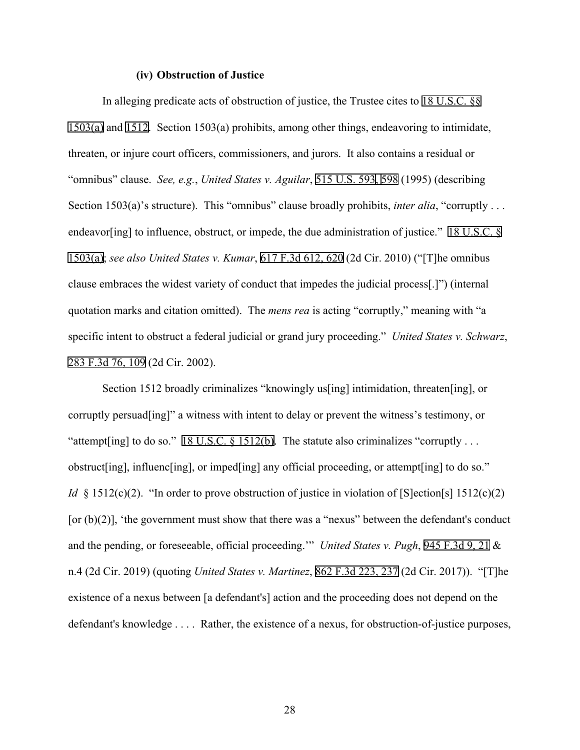## **(iv) Obstruction of Justice**

In alleging predicate acts of obstruction of justice, the Trustee cites to 18 U.S.C. §§ 1503(a) and 1512. Section 1503(a) prohibits, among other things, endeavoring to intimidate, threaten, or injure court officers, commissioners, and jurors. It also contains a residual or "omnibus" clause. *See, e.g.*, *United States v. Aguilar*, 515 U.S. 593, 598 (1995) (describing Section 1503(a)'s structure). This "omnibus" clause broadly prohibits, *inter alia*, "corruptly ... endeavor[ing] to influence, obstruct, or impede, the due administration of justice." 18 U.S.C. § 1503(a); *see also United States v. Kumar*, 617 F.3d 612, 620 (2d Cir. 2010) ("[T]he omnibus clause embraces the widest variety of conduct that impedes the judicial process[.]") (internal quotation marks and citation omitted). The *mens rea* is acting "corruptly," meaning with "a specific intent to obstruct a federal judicial or grand jury proceeding." *United States v. Schwarz*, 283 F.3d 76, 109 (2d Cir. 2002).

Section 1512 broadly criminalizes "knowingly us<sup>[ing]</sup> intimidation, threaten<sup>[ing]</sup>, or corruptly persuad [ing]" a witness with intent to delay or prevent the witness's testimony, or "attempt [ing] to do so." 18 U.S.C. § 1512(b). The statute also criminalizes "corruptly ... obstruct[ing], influenc[ing], or imped[ing] any official proceeding, or attempt[ing] to do so." *Id* § 1512(c)(2). "In order to prove obstruction of justice in violation of [S]ection [s] 1512(c)(2) [or  $(b)(2)$ ], 'the government must show that there was a "nexus" between the defendant's conduct and the pending, or foreseeable, official proceeding.'" *United States v. Pugh*, 945 F.3d 9, 21 & n.4 (2d Cir. 2019) (quoting *United States v. Martinez*, 862 F.3d 223, 237 (2d Cir. 2017)). "[T]he existence of a nexus between [a defendant's] action and the proceeding does not depend on the defendant's knowledge . . . . Rather, the existence of a nexus, for obstruction-of-justice purposes,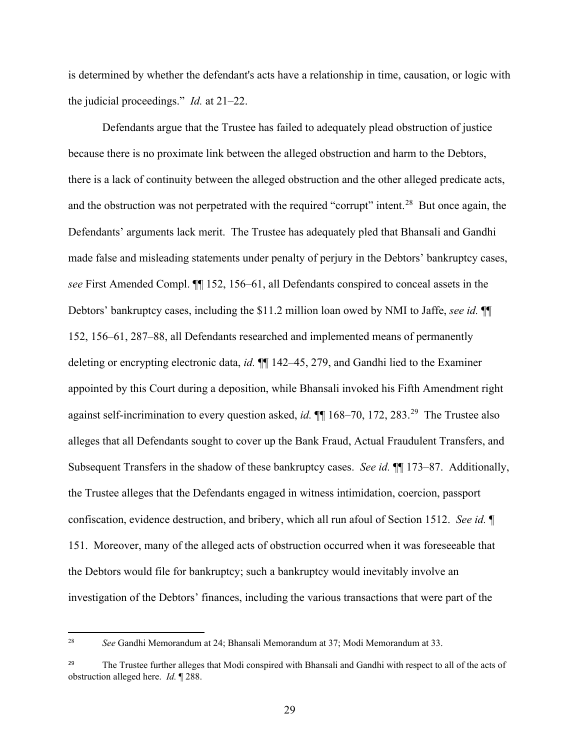is determined by whether the defendant's acts have a relationship in time, causation, or logic with the judicial proceedings." *Id.* at 21–22.

Defendants argue that the Trustee has failed to adequately plead obstruction of justice because there is no proximate link between the alleged obstruction and harm to the Debtors, there is a lack of continuity between the alleged obstruction and the other alleged predicate acts, and the obstruction was not perpetrated with the required "corrupt" intent.<sup>[28](#page-28-0)</sup> But once again, the Defendants' arguments lack merit. The Trustee has adequately pled that Bhansali and Gandhi made false and misleading statements under penalty of perjury in the Debtors' bankruptcy cases, *see* First Amended Compl. ¶¶ 152, 156–61, all Defendants conspired to conceal assets in the Debtors' bankruptcy cases, including the \$11.2 million loan owed by NMI to Jaffe, *see id.* ¶¶ 152, 156–61, 287–88, all Defendants researched and implemented means of permanently deleting or encrypting electronic data, *id.* ¶¶ 142–45, 279, and Gandhi lied to the Examiner appointed by this Court during a deposition, while Bhansali invoked his Fifth Amendment right against self-incrimination to every question asked, *id.*  $\P$  168–70, 172, 283.<sup>[29](#page-28-1)</sup> The Trustee also alleges that all Defendants sought to cover up the Bank Fraud, Actual Fraudulent Transfers, and Subsequent Transfers in the shadow of these bankruptcy cases. *See id.* ¶¶ 173–87. Additionally, the Trustee alleges that the Defendants engaged in witness intimidation, coercion, passport confiscation, evidence destruction, and bribery, which all run afoul of Section 1512. *See id.* ¶ 151. Moreover, many of the alleged acts of obstruction occurred when it was foreseeable that the Debtors would file for bankruptcy; such a bankruptcy would inevitably involve an investigation of the Debtors' finances, including the various transactions that were part of the

<span id="page-28-0"></span><sup>28</sup> *See* Gandhi Memorandum at 24; Bhansali Memorandum at 37; Modi Memorandum at 33.

<span id="page-28-1"></span><sup>&</sup>lt;sup>29</sup> The Trustee further alleges that Modi conspired with Bhansali and Gandhi with respect to all of the acts of obstruction alleged here. *Id.* ¶ 288.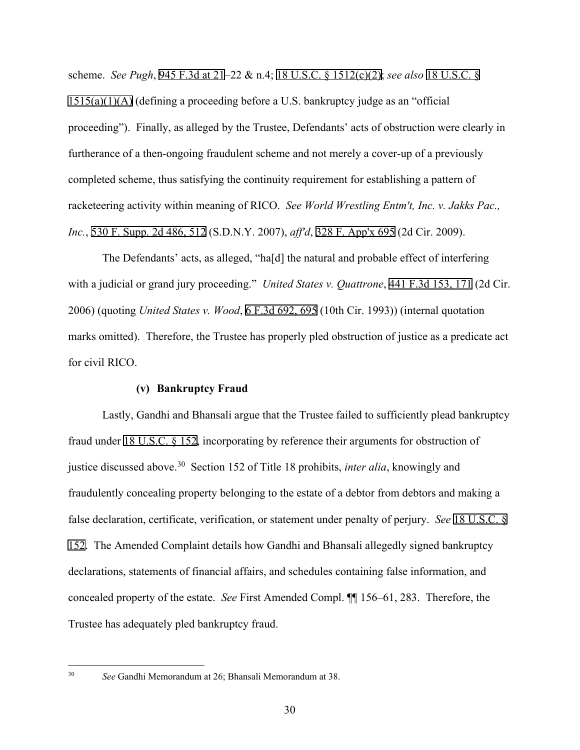scheme. *See Pugh*, 945 F.3d at 21–22 & n.4; 18 U.S.C. § 1512(c)(2); *see also* 18 U.S.C. §  $1515(a)(1)(A)$  (defining a proceeding before a U.S. bankruptcy judge as an "official proceeding"). Finally, as alleged by the Trustee, Defendants' acts of obstruction were clearly in furtherance of a then-ongoing fraudulent scheme and not merely a cover-up of a previously completed scheme, thus satisfying the continuity requirement for establishing a pattern of racketeering activity within meaning of RICO. *See World Wrestling Entm't, Inc. v. Jakks Pac., Inc.*, 530 F. Supp. 2d 486, 512 (S.D.N.Y. 2007), *aff'd*, 328 F. App'x 695 (2d Cir. 2009).

The Defendants' acts, as alleged, "ha[d] the natural and probable effect of interfering with a judicial or grand jury proceeding." *United States v. Quattrone*, 441 F.3d 153, 171 (2d Cir. 2006) (quoting *United States v. Wood*, 6 F.3d 692, 695 (10th Cir. 1993)) (internal quotation marks omitted). Therefore, the Trustee has properly pled obstruction of justice as a predicate act for civil RICO.

# **(v) Bankruptcy Fraud**

Lastly, Gandhi and Bhansali argue that the Trustee failed to sufficiently plead bankruptcy fraud under 18 U.S.C. § 152, incorporating by reference their arguments for obstruction of justice discussed above. [30](#page-29-0) Section 152 of Title 18 prohibits, *inter alia*, knowingly and fraudulently concealing property belonging to the estate of a debtor from debtors and making a false declaration, certificate, verification, or statement under penalty of perjury. *See* 18 U.S.C. § 152. The Amended Complaint details how Gandhi and Bhansali allegedly signed bankruptcy declarations, statements of financial affairs, and schedules containing false information, and concealed property of the estate. *See* First Amended Compl. ¶¶ 156–61, 283. Therefore, the Trustee has adequately pled bankruptcy fraud.

<span id="page-29-0"></span><sup>30</sup> *See* Gandhi Memorandum at 26; Bhansali Memorandum at 38.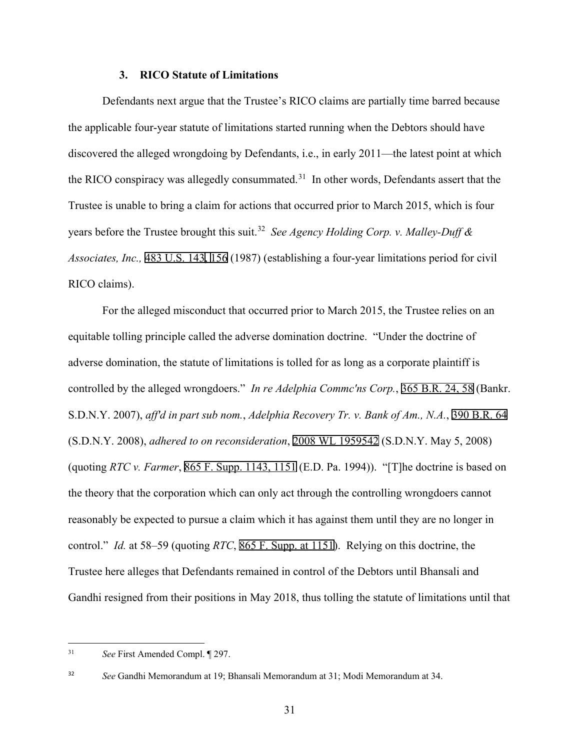#### **3. RICO Statute of Limitations**

Defendants next argue that the Trustee's RICO claims are partially time barred because the applicable four-year statute of limitations started running when the Debtors should have discovered the alleged wrongdoing by Defendants, i.e., in early 2011—the latest point at which the RICO conspiracy was allegedly consummated.<sup>[31](#page-30-0)</sup> In other words, Defendants assert that the Trustee is unable to bring a claim for actions that occurred prior to March 2015, which is four years before the Trustee brought this suit.[32](#page-30-1) *See Agency Holding Corp. v. Malley-Duff & Associates, Inc.,* 483 U.S. 143, 156 (1987) (establishing a four-year limitations period for civil RICO claims).

For the alleged misconduct that occurred prior to March 2015, the Trustee relies on an equitable tolling principle called the adverse domination doctrine. "Under the doctrine of adverse domination, the statute of limitations is tolled for as long as a corporate plaintiff is controlled by the alleged wrongdoers." *In re Adelphia Commc'ns Corp.*, 365 B.R. 24, 58 (Bankr. S.D.N.Y. 2007), *aff'd in part sub nom.*, *Adelphia Recovery Tr. v. Bank of Am., N.A.*, 390 B.R. 64 (S.D.N.Y. 2008), *adhered to on reconsideration*, 2008 WL 1959542 (S.D.N.Y. May 5, 2008) (quoting *RTC v. Farmer*, 865 F. Supp. 1143, 1151 (E.D. Pa. 1994)). "[T]he doctrine is based on the theory that the corporation which can only act through the controlling wrongdoers cannot reasonably be expected to pursue a claim which it has against them until they are no longer in control." *Id.* at 58–59 (quoting *RTC*, 865 F. Supp. at 1151). Relying on this doctrine, the Trustee here alleges that Defendants remained in control of the Debtors until Bhansali and Gandhi resigned from their positions in May 2018, thus tolling the statute of limitations until that

<span id="page-30-0"></span><sup>31</sup> *See* First Amended Compl. ¶ 297.

<span id="page-30-1"></span><sup>32</sup> *See* Gandhi Memorandum at 19; Bhansali Memorandum at 31; Modi Memorandum at 34.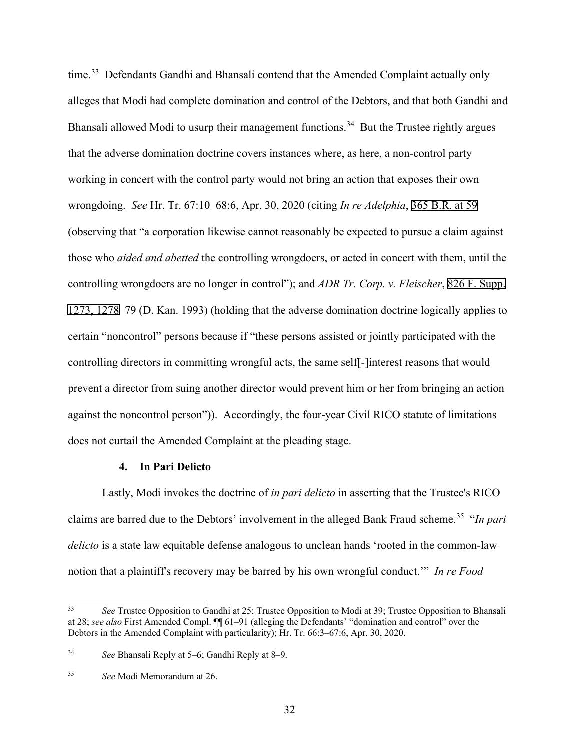time.<sup>33</sup> Defendants Gandhi and Bhansali contend that the Amended Complaint actually only alleges that Modi had complete domination and control of the Debtors, and that both Gandhi and Bhansali allowed Modi to usurp their management functions.<sup>[34](#page-31-1)</sup> But the Trustee rightly argues that the adverse domination doctrine covers instances where, as here, a non-control party working in concert with the control party would not bring an action that exposes their own wrongdoing. *See* Hr. Tr. 67:10–68:6, Apr. 30, 2020 (citing *In re Adelphia*, 365 B.R. at 59 (observing that "a corporation likewise cannot reasonably be expected to pursue a claim against those who *aided and abetted* the controlling wrongdoers, or acted in concert with them, until the controlling wrongdoers are no longer in control"); and *ADR Tr. Corp. v. Fleischer*, 826 F. Supp. 1273, 1278–79 (D. Kan. 1993) (holding that the adverse domination doctrine logically applies to certain "noncontrol" persons because if "these persons assisted or jointly participated with the controlling directors in committing wrongful acts, the same self- linterest reasons that would prevent a director from suing another director would prevent him or her from bringing an action against the noncontrol person")). Accordingly, the four-year Civil RICO statute of limitations does not curtail the Amended Complaint at the pleading stage.

## **4. In Pari Delicto**

Lastly, Modi invokes the doctrine of *in pari delicto* in asserting that the Trustee's RICO claims are barred due to the Debtors' involvement in the alleged Bank Fraud scheme.[35](#page-31-2) "*In pari delicto* is a state law equitable defense analogous to unclean hands 'rooted in the common-law notion that a plaintiff's recovery may be barred by his own wrongful conduct.'" *In re Food* 

<span id="page-31-0"></span><sup>33</sup> *See* Trustee Opposition to Gandhi at 25; Trustee Opposition to Modi at 39; Trustee Opposition to Bhansali at 28; *see also* First Amended Compl. ¶¶ 61–91 (alleging the Defendants' "domination and control" over the Debtors in the Amended Complaint with particularity); Hr. Tr. 66:3–67:6, Apr. 30, 2020.

<span id="page-31-1"></span><sup>34</sup> *See* Bhansali Reply at 5–6; Gandhi Reply at 8–9.

<span id="page-31-2"></span><sup>35</sup> *See* Modi Memorandum at 26.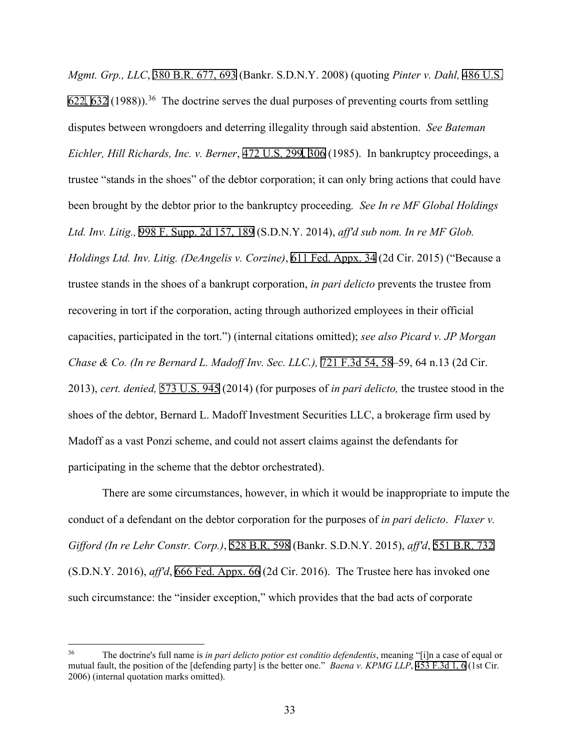*Mgmt. Grp., LLC*, 380 B.R. 677, 693 (Bankr. S.D.N.Y. 2008) (quoting *Pinter v. Dahl,* 486 U.S. 622, 632 (1988)).<sup>[36](#page-32-0)</sup> The doctrine serves the dual purposes of preventing courts from settling disputes between wrongdoers and deterring illegality through said abstention. *See Bateman Eichler, Hill Richards, Inc. v. Berner*, 472 U.S. 299, 306 (1985). In bankruptcy proceedings, a trustee "stands in the shoes" of the debtor corporation; it can only bring actions that could have been brought by the debtor prior to the bankruptcy proceeding*. See In re MF Global Holdings Ltd. Inv. Litig.,* 998 F. Supp. 2d 157, 189 (S.D.N.Y. 2014), *aff'd sub nom. In re MF Glob. Holdings Ltd. Inv. Litig. (DeAngelis v. Corzine)*, 611 Fed. Appx. 34 (2d Cir. 2015) ("Because a trustee stands in the shoes of a bankrupt corporation, *in pari delicto* prevents the trustee from recovering in tort if the corporation, acting through authorized employees in their official capacities, participated in the tort.") (internal citations omitted); *see also Picard v. JP Morgan Chase & Co. (In re Bernard L. Madoff Inv. Sec. LLC.),* 721 F.3d 54, 58–59, 64 n.13 (2d Cir. 2013), *cert. denied,* 573 U.S. 945 (2014) (for purposes of *in pari delicto,* the trustee stood in the shoes of the debtor, Bernard L. Madoff Investment Securities LLC, a brokerage firm used by Madoff as a vast Ponzi scheme, and could not assert claims against the defendants for participating in the scheme that the debtor orchestrated).

There are some circumstances, however, in which it would be inappropriate to impute the conduct of a defendant on the debtor corporation for the purposes of *in pari delicto*. *Flaxer v. Gifford (In re Lehr Constr. Corp.)*, 528 B.R. 598 (Bankr. S.D.N.Y. 2015), *aff'd*, 551 B.R. 732 (S.D.N.Y. 2016), *aff'd*, 666 Fed. Appx. 66 (2d Cir. 2016). The Trustee here has invoked one such circumstance: the "insider exception," which provides that the bad acts of corporate

<span id="page-32-0"></span><sup>36</sup> The doctrine's full name is *in pari delicto potior est conditio defendentis*, meaning "[i]n a case of equal or mutual fault, the position of the [defending party] is the better one." *Baena v. KPMG LLP*, 453 F.3d 1, 6 (1st Cir. 2006) (internal quotation marks omitted).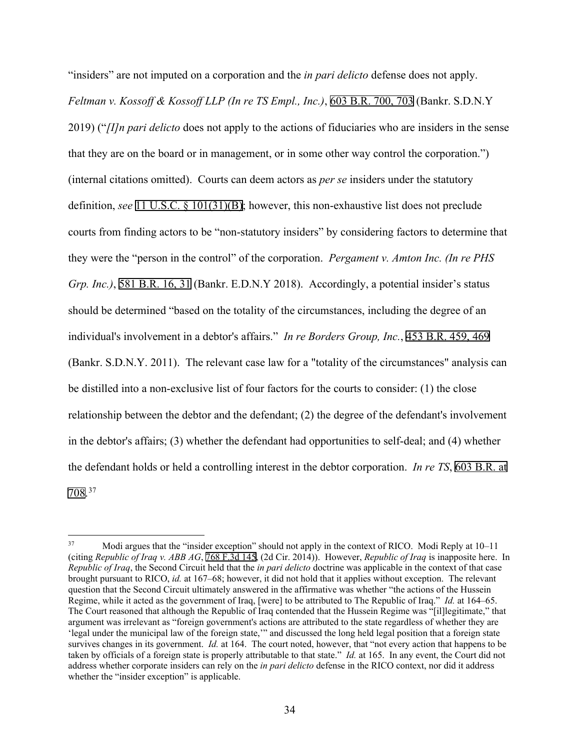"insiders" are not imputed on a corporation and the *in pari delicto* defense does not apply. *Feltman v. Kossoff & Kossoff LLP (In re TS Empl., Inc.)*, 603 B.R. 700, 703 (Bankr. S.D.N.Y 2019) ("*[I]n pari delicto* does not apply to the actions of fiduciaries who are insiders in the sense that they are on the board or in management, or in some other way control the corporation.") (internal citations omitted). Courts can deem actors as *per se* insiders under the statutory definition, *see* 11 U.S.C. § 101(31)(B); however, this non-exhaustive list does not preclude courts from finding actors to be "non-statutory insiders" by considering factors to determine that they were the "person in the control" of the corporation. *Pergament v. Amton Inc. (In re PHS Grp. Inc.)*, 581 B.R. 16, 31 (Bankr. E.D.N.Y 2018). Accordingly, a potential insider's status should be determined "based on the totality of the circumstances, including the degree of an individual's involvement in a debtor's affairs." *In re Borders Group, Inc.*, 453 B.R. 459, 469 (Bankr. S.D.N.Y. 2011). The relevant case law for a "totality of the circumstances" analysis can be distilled into a non-exclusive list of four factors for the courts to consider: (1) the close relationship between the debtor and the defendant; (2) the degree of the defendant's involvement in the debtor's affairs; (3) whether the defendant had opportunities to self-deal; and (4) whether the defendant holds or held a controlling interest in the debtor corporation. *In re TS*, 603 B.R. at 708.[37](#page-33-0)

<span id="page-33-0"></span><sup>37</sup> Modi argues that the "insider exception" should not apply in the context of RICO. Modi Reply at 10–11 (citing *Republic of Iraq v. ABB AG*, 768 F.3d 145, (2d Cir. 2014)). However, *Republic of Iraq* is inapposite here. In *Republic of Iraq*, the Second Circuit held that the *in pari delicto* doctrine was applicable in the context of that case brought pursuant to RICO, *id.* at 167–68; however, it did not hold that it applies without exception. The relevant question that the Second Circuit ultimately answered in the affirmative was whether "the actions of the Hussein Regime, while it acted as the government of Iraq, [were] to be attributed to The Republic of Iraq." *Id.* at 164–65. The Court reasoned that although the Republic of Iraq contended that the Hussein Regime was "[il]legitimate," that argument was irrelevant as "foreign government's actions are attributed to the state regardless of whether they are 'legal under the municipal law of the foreign state,'" and discussed the long held legal position that a foreign state survives changes in its government. *Id.* at 164. The court noted, however, that "not every action that happens to be taken by officials of a foreign state is properly attributable to that state." *Id.* at 165. In any event, the Court did not address whether corporate insiders can rely on the *in pari delicto* defense in the RICO context, nor did it address whether the "insider exception" is applicable.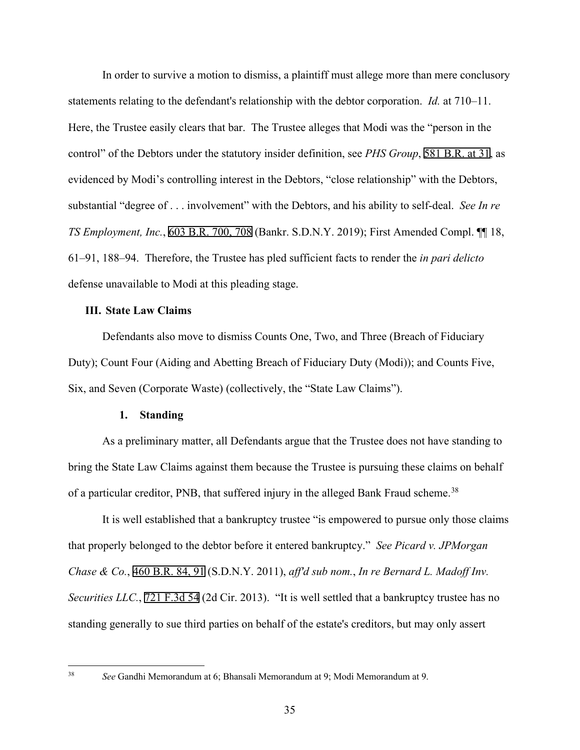In order to survive a motion to dismiss, a plaintiff must allege more than mere conclusory statements relating to the defendant's relationship with the debtor corporation. *Id.* at 710–11. Here, the Trustee easily clears that bar. The Trustee alleges that Modi was the "person in the control" of the Debtors under the statutory insider definition, see *PHS Group*, 581 B.R. at 31, as evidenced by Modi's controlling interest in the Debtors, "close relationship" with the Debtors, substantial "degree of . . . involvement" with the Debtors, and his ability to self-deal. *See In re TS Employment, Inc.*, 603 B.R. 700, 708 (Bankr. S.D.N.Y. 2019); First Amended Compl. ¶¶ 18, 61–91, 188–94. Therefore, the Trustee has pled sufficient facts to render the *in pari delicto* defense unavailable to Modi at this pleading stage.

# **III. State Law Claims**

Defendants also move to dismiss Counts One, Two, and Three (Breach of Fiduciary Duty); Count Four (Aiding and Abetting Breach of Fiduciary Duty (Modi)); and Counts Five, Six, and Seven (Corporate Waste) (collectively, the "State Law Claims").

#### **1. Standing**

As a preliminary matter, all Defendants argue that the Trustee does not have standing to bring the State Law Claims against them because the Trustee is pursuing these claims on behalf of a particular creditor, PNB, that suffered injury in the alleged Bank Fraud scheme.<sup>[38](#page-34-0)</sup>

It is well established that a bankruptcy trustee "is empowered to pursue only those claims that properly belonged to the debtor before it entered bankruptcy." *See Picard v. JPMorgan Chase & Co.*, 460 B.R. 84, 91 (S.D.N.Y. 2011), *aff'd sub nom.*, *In re Bernard L. Madoff Inv. Securities LLC.*, 721 F.3d 54 (2d Cir. 2013). "It is well settled that a bankruptcy trustee has no standing generally to sue third parties on behalf of the estate's creditors, but may only assert

<span id="page-34-0"></span><sup>38</sup> *See* Gandhi Memorandum at 6; Bhansali Memorandum at 9; Modi Memorandum at 9.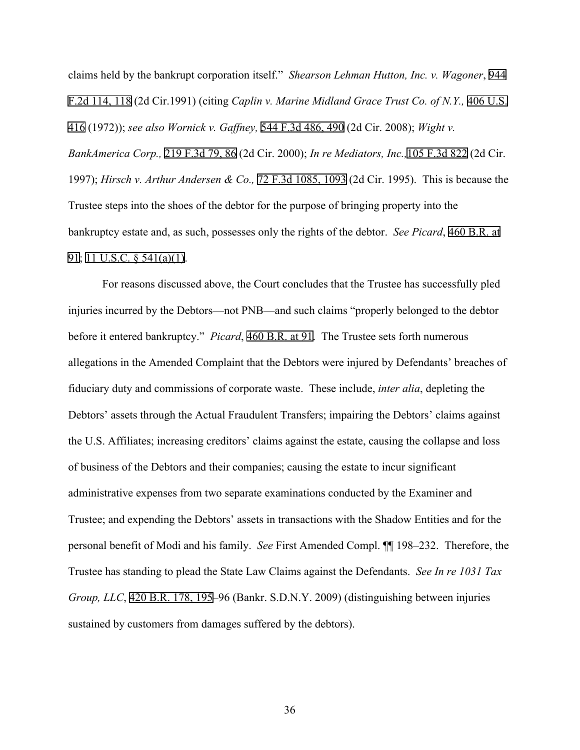claims held by the bankrupt corporation itself." *Shearson Lehman Hutton, Inc. v. Wagoner*, 944 F.2d 114, 118 (2d Cir.1991) (citing *Caplin v. Marine Midland Grace Trust Co. of N.Y.,* 406 U.S. 416 (1972)); *see also Wornick v. Gaffney,* 544 F.3d 486, 490 (2d Cir. 2008); *Wight v. BankAmerica Corp.,* 219 F.3d 79, 86 (2d Cir. 2000); *In re Mediators, Inc.,*105 F.3d 822 (2d Cir. 1997); *Hirsch v. Arthur Andersen & Co.,* 72 F.3d 1085, 1093 (2d Cir. 1995). This is because the Trustee steps into the shoes of the debtor for the purpose of bringing property into the bankruptcy estate and, as such, possesses only the rights of the debtor. *See Picard*, 460 B.R. at 91; 11 U.S.C. § 541(a)(1).

For reasons discussed above, the Court concludes that the Trustee has successfully pled injuries incurred by the Debtors—not PNB—and such claims "properly belonged to the debtor before it entered bankruptcy." *Picard*, 460 B.R. at 91. The Trustee sets forth numerous allegations in the Amended Complaint that the Debtors were injured by Defendants' breaches of fiduciary duty and commissions of corporate waste. These include, *inter alia*, depleting the Debtors' assets through the Actual Fraudulent Transfers; impairing the Debtors' claims against the U.S. Affiliates; increasing creditors' claims against the estate, causing the collapse and loss of business of the Debtors and their companies; causing the estate to incur significant administrative expenses from two separate examinations conducted by the Examiner and Trustee; and expending the Debtors' assets in transactions with the Shadow Entities and for the personal benefit of Modi and his family. *See* First Amended Compl. ¶¶ 198–232. Therefore, the Trustee has standing to plead the State Law Claims against the Defendants. *See In re 1031 Tax Group, LLC*, 420 B.R. 178, 195–96 (Bankr. S.D.N.Y. 2009) (distinguishing between injuries sustained by customers from damages suffered by the debtors).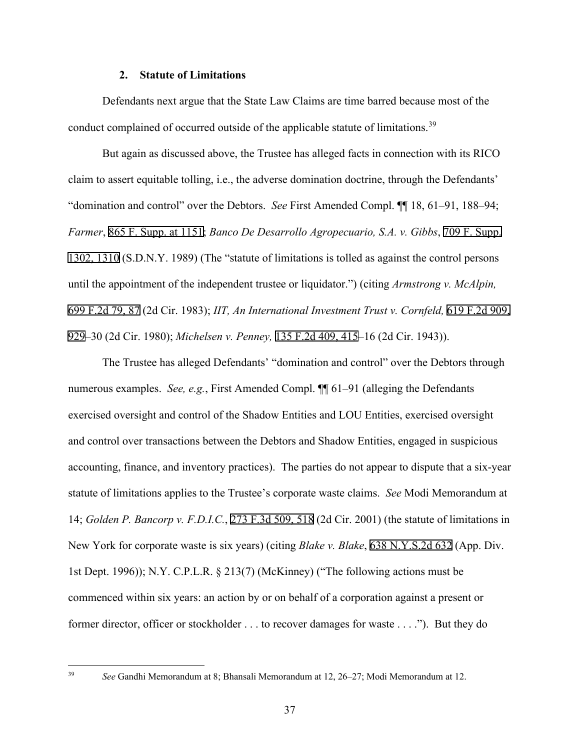## **2. Statute of Limitations**

Defendants next argue that the State Law Claims are time barred because most of the conduct complained of occurred outside of the applicable statute of limitations.<sup>[39](#page-36-0)</sup>

But again as discussed above, the Trustee has alleged facts in connection with its RICO claim to assert equitable tolling, i.e., the adverse domination doctrine, through the Defendants' "domination and control" over the Debtors. *See* First Amended Compl. ¶¶ 18, 61–91, 188–94; *Farmer*, 865 F. Supp. at 1151; *Banco De Desarrollo Agropecuario, S.A. v. Gibbs*, 709 F. Supp. 1302, 1310 (S.D.N.Y. 1989) (The "statute of limitations is tolled as against the control persons until the appointment of the independent trustee or liquidator.") (citing *Armstrong v. McAlpin,* 699 F.2d 79, 87 (2d Cir. 1983); *IIT, An International Investment Trust v. Cornfeld,* 619 F.2d 909, 929–30 (2d Cir. 1980); *Michelsen v. Penney,* 135 F.2d 409, 415–16 (2d Cir. 1943)).

The Trustee has alleged Defendants' "domination and control" over the Debtors through numerous examples. *See, e.g.*, First Amended Compl. ¶¶ 61–91 (alleging the Defendants exercised oversight and control of the Shadow Entities and LOU Entities, exercised oversight and control over transactions between the Debtors and Shadow Entities, engaged in suspicious accounting, finance, and inventory practices). The parties do not appear to dispute that a six-year statute of limitations applies to the Trustee's corporate waste claims. *See* Modi Memorandum at 14; *Golden P. Bancorp v. F.D.I.C.*, 273 F.3d 509, 518 (2d Cir. 2001) (the statute of limitations in New York for corporate waste is six years) (citing *Blake v. Blake*, 638 N.Y.S.2d 632 (App. Div. 1st Dept. 1996)); N.Y. C.P.L.R. § 213(7) (McKinney) ("The following actions must be commenced within six years: an action by or on behalf of a corporation against a present or former director, officer or stockholder . . . to recover damages for waste . . . ."). But they do

<span id="page-36-0"></span><sup>39</sup> *See* Gandhi Memorandum at 8; Bhansali Memorandum at 12, 26–27; Modi Memorandum at 12.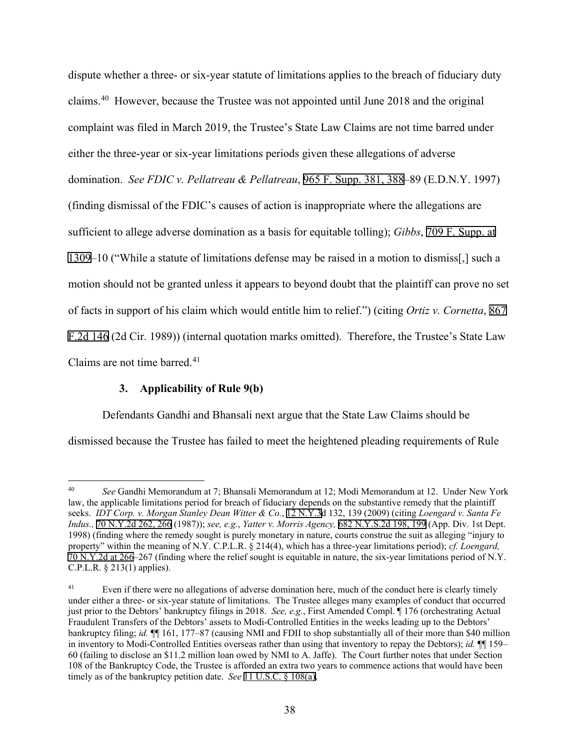dispute whether a three- or six-year statute of limitations applies to the breach of fiduciary duty claims.[40](#page-37-0) However, because the Trustee was not appointed until June 2018 and the original complaint was filed in March 2019, the Trustee's State Law Claims are not time barred under either the three-year or six-year limitations periods given these allegations of adverse domination. *See FDIC v. Pellatreau & Pellatreau*, 965 F. Supp. 381, 388–89 (E.D.N.Y. 1997) (finding dismissal of the FDIC's causes of action is inappropriate where the allegations are sufficient to allege adverse domination as a basis for equitable tolling); *Gibbs*, 709 F. Supp. at 1309–10 ("While a statute of limitations defense may be raised in a motion to dismiss[,] such a motion should not be granted unless it appears to beyond doubt that the plaintiff can prove no set of facts in support of his claim which would entitle him to relief.") (citing *Ortiz v. Cornetta*, 867 F.2d 146 (2d Cir. 1989)) (internal quotation marks omitted). Therefore, the Trustee's State Law Claims are not time barred. $41$ 

# **3. Applicability of Rule 9(b)**

Defendants Gandhi and Bhansali next argue that the State Law Claims should be

dismissed because the Trustee has failed to meet the heightened pleading requirements of Rule

<span id="page-37-0"></span><sup>40</sup> *See* Gandhi Memorandum at 7; Bhansali Memorandum at 12; Modi Memorandum at 12. Under New York law, the applicable limitations period for breach of fiduciary depends on the substantive remedy that the plaintiff seeks. *IDT Corp. v. Morgan Stanley Dean Witter & Co.*, 12 N.Y.3d 132, 139 (2009) (citing *Loengard v. Santa Fe Indus.,* 70 N.Y.2d 262, 266 (1987)); *see, e.g.*, *Yatter v. Morris Agency,* 682 N.Y.S.2d 198, 199 (App. Div. 1st Dept. 1998) (finding where the remedy sought is purely monetary in nature, courts construe the suit as alleging "injury to property" within the meaning of N.Y. C.P.L.R. § 214(4), which has a three-year limitations period); *cf. Loengard,* 70 N.Y.2d at 266–267 (finding where the relief sought is equitable in nature, the six-year limitations period of N.Y. C.P.L.R. § 213(1) applies).

<span id="page-37-1"></span><sup>&</sup>lt;sup>41</sup> Even if there were no allegations of adverse domination here, much of the conduct here is clearly timely under either a three- or six-year statute of limitations. The Trustee alleges many examples of conduct that occurred just prior to the Debtors' bankruptcy filings in 2018. *See, e.g.*, First Amended Compl. ¶ 176 (orchestrating Actual Fraudulent Transfers of the Debtors' assets to Modi-Controlled Entities in the weeks leading up to the Debtors' bankruptcy filing; *id.* ¶¶ 161, 177–87 (causing NMI and FDII to shop substantially all of their more than \$40 million in inventory to Modi-Controlled Entities overseas rather than using that inventory to repay the Debtors); *id.* ¶¶ 159– 60 (failing to disclose an \$11.2 million loan owed by NMI to A. Jaffe). The Court further notes that under Section 108 of the Bankruptcy Code, the Trustee is afforded an extra two years to commence actions that would have been timely as of the bankruptcy petition date. *See* 11 U.S.C. § 108(a).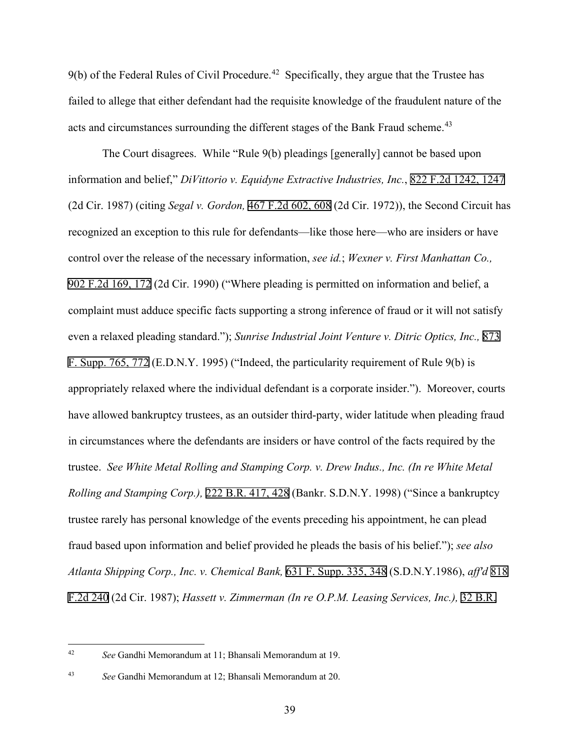$9(b)$  of the Federal Rules of Civil Procedure.<sup>[42](#page-38-0)</sup> Specifically, they argue that the Trustee has failed to allege that either defendant had the requisite knowledge of the fraudulent nature of the acts and circumstances surrounding the different stages of the Bank Fraud scheme.<sup>43</sup>

The Court disagrees. While "Rule 9(b) pleadings [generally] cannot be based upon information and belief," *DiVittorio v. Equidyne Extractive Industries, Inc.*, 822 F.2d 1242, 1247 (2d Cir. 1987) (citing *Segal v. Gordon,* 467 F.2d 602, 608 (2d Cir. 1972)), the Second Circuit has recognized an exception to this rule for defendants—like those here—who are insiders or have control over the release of the necessary information, *see id.*; *Wexner v. First Manhattan Co.,* 902 F.2d 169, 172 (2d Cir. 1990) ("Where pleading is permitted on information and belief, a complaint must adduce specific facts supporting a strong inference of fraud or it will not satisfy even a relaxed pleading standard."); *Sunrise Industrial Joint Venture v. Ditric Optics, Inc.,* 873 F. Supp. 765, 772 (E.D.N.Y. 1995) ("Indeed, the particularity requirement of Rule 9(b) is appropriately relaxed where the individual defendant is a corporate insider."). Moreover, courts have allowed bankruptcy trustees, as an outsider third-party, wider latitude when pleading fraud in circumstances where the defendants are insiders or have control of the facts required by the trustee. *See White Metal Rolling and Stamping Corp. v. Drew Indus., Inc. (In re White Metal Rolling and Stamping Corp.),* 222 B.R. 417, 428 (Bankr. S.D.N.Y. 1998) ("Since a bankruptcy trustee rarely has personal knowledge of the events preceding his appointment, he can plead fraud based upon information and belief provided he pleads the basis of his belief."); *see also Atlanta Shipping Corp., Inc. v. Chemical Bank,* 631 F. Supp. 335, 348 (S.D.N.Y.1986), *aff'd* 818 F.2d 240 (2d Cir. 1987); *Hassett v. Zimmerman (In re O.P.M. Leasing Services, Inc.),* 32 B.R.

<span id="page-38-0"></span><sup>42</sup> *See* Gandhi Memorandum at 11; Bhansali Memorandum at 19.

<span id="page-38-1"></span><sup>43</sup> *See* Gandhi Memorandum at 12; Bhansali Memorandum at 20.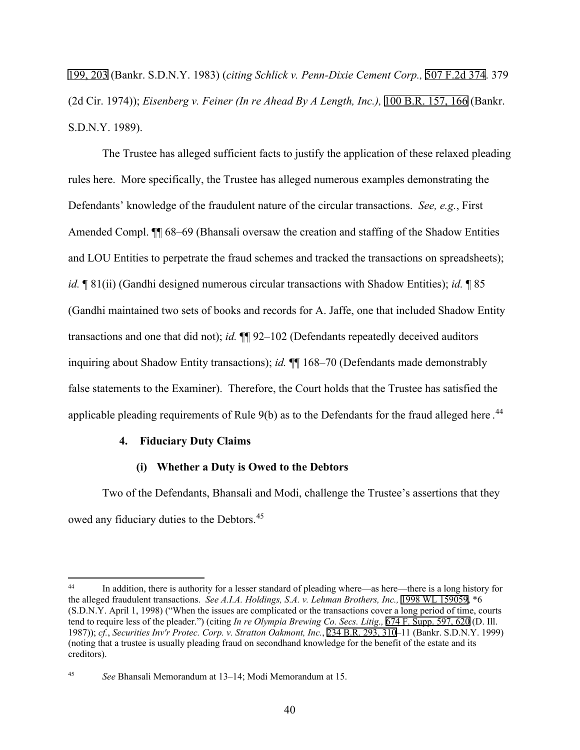199, 203 (Bankr. S.D.N.Y. 1983) (*citing Schlick v. Penn-Dixie Cement Corp.,* 507 F.2d 374. 379 (2d Cir. 1974)); *Eisenberg v. Feiner (In re Ahead By A Length, Inc.),* 100 B.R. 157, 166 (Bankr. S.D.N.Y. 1989).

The Trustee has alleged sufficient facts to justify the application of these relaxed pleading rules here. More specifically, the Trustee has alleged numerous examples demonstrating the Defendants' knowledge of the fraudulent nature of the circular transactions. *See, e.g.*, First Amended Compl. ¶¶ 68–69 (Bhansali oversaw the creation and staffing of the Shadow Entities and LOU Entities to perpetrate the fraud schemes and tracked the transactions on spreadsheets); *id.* ¶ 81(ii) (Gandhi designed numerous circular transactions with Shadow Entities); *id.* ¶ 85 (Gandhi maintained two sets of books and records for A. Jaffe, one that included Shadow Entity transactions and one that did not); *id.* ¶¶ 92–102 (Defendants repeatedly deceived auditors inquiring about Shadow Entity transactions); *id.* ¶¶ 168–70 (Defendants made demonstrably false statements to the Examiner). Therefore, the Court holds that the Trustee has satisfied the applicable pleading requirements of Rule  $9(b)$  as to the Defendants for the fraud alleged here.<sup>[44](#page-39-0)</sup>

# **4. Fiduciary Duty Claims**

# **(i) Whether a Duty is Owed to the Debtors**

Two of the Defendants, Bhansali and Modi, challenge the Trustee's assertions that they owed any fiduciary duties to the Debtors.<sup>45</sup>

<span id="page-39-0"></span><sup>44</sup> In addition, there is authority for a lesser standard of pleading where—as here—there is a long history for the alleged fraudulent transactions. *See A.I.A. Holdings, S.A. v. Lehman Brothers, Inc.,* 1998 WL 159059, \*6 (S.D.N.Y. April 1, 1998) ("When the issues are complicated or the transactions cover a long period of time, courts tend to require less of the pleader.") (citing *In re Olympia Brewing Co. Secs. Litig.,* 674 F. Supp. 597, 620 (D. Ill. 1987)); *cf.*, *Securities Inv'r Protec. Corp. v. Stratton Oakmont, Inc.*, 234 B.R. 293, 310–11 (Bankr. S.D.N.Y. 1999) (noting that a trustee is usually pleading fraud on secondhand knowledge for the benefit of the estate and its creditors).

<span id="page-39-1"></span><sup>45</sup> *See* Bhansali Memorandum at 13–14; Modi Memorandum at 15.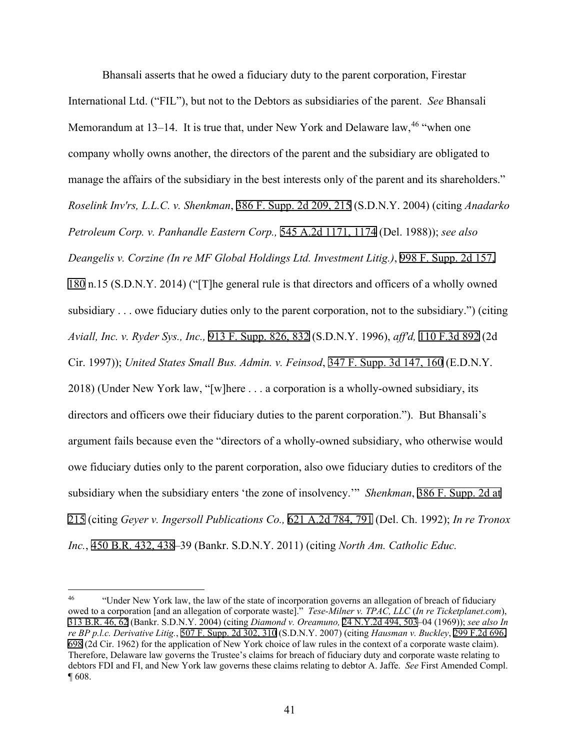Bhansali asserts that he owed a fiduciary duty to the parent corporation, Firestar International Ltd. ("FIL"), but not to the Debtors as subsidiaries of the parent. *See* Bhansali Memorandum at 13–14. It is true that, under New York and Delaware law,  $46$  "when one company wholly owns another, the directors of the parent and the subsidiary are obligated to manage the affairs of the subsidiary in the best interests only of the parent and its shareholders." *Roselink Inv'rs, L.L.C. v. Shenkman*, 386 F. Supp. 2d 209, 215 (S.D.N.Y. 2004) (citing *Anadarko Petroleum Corp. v. Panhandle Eastern Corp.,* 545 A.2d 1171, 1174 (Del. 1988)); *see also Deangelis v. Corzine (In re MF Global Holdings Ltd. Investment Litig.)*, 998 F. Supp. 2d 157, 180 n.15 (S.D.N.Y. 2014) ("[T]he general rule is that directors and officers of a wholly owned subsidiary . . . owe fiduciary duties only to the parent corporation, not to the subsidiary.") (citing *Aviall, Inc. v. Ryder Sys., Inc.,* 913 F. Supp. 826, 832 (S.D.N.Y. 1996), *aff'd,* 110 F.3d 892 (2d Cir. 1997)); *United States Small Bus. Admin. v. Feinsod*, 347 F. Supp. 3d 147, 160 (E.D.N.Y. 2018) (Under New York law, "[w]here . . . a corporation is a wholly-owned subsidiary, its directors and officers owe their fiduciary duties to the parent corporation."). But Bhansali's argument fails because even the "directors of a wholly-owned subsidiary, who otherwise would owe fiduciary duties only to the parent corporation, also owe fiduciary duties to creditors of the subsidiary when the subsidiary enters 'the zone of insolvency.'" *Shenkman*, 386 F. Supp. 2d at 215 (citing *Geyer v. Ingersoll Publications Co.,* 621 A.2d 784, 791 (Del. Ch. 1992); *In re Tronox Inc.*, 450 B.R. 432, 438–39 (Bankr. S.D.N.Y. 2011) (citing *North Am. Catholic Educ.* 

<span id="page-40-0"></span><sup>&</sup>lt;sup>46</sup> "Under New York law, the law of the state of incorporation governs an allegation of breach of fiduciary owed to a corporation [and an allegation of corporate waste]." *Tese-Milner v. TPAC, LLC* (*In re Ticketplanet.com*), 313 B.R. 46, 62 (Bankr. S.D.N.Y. 2004) (citing *Diamond v. Oreamuno,* 24 N.Y.2d 494, 503–04 (1969)); *see also In re BP p.l.c. Derivative Litig.*, 507 F. Supp. 2d 302, 310 (S.D.N.Y. 2007) (citing *Hausman v. Buckley*, 299 F.2d 696, 698 (2d Cir. 1962) for the application of New York choice of law rules in the context of a corporate waste claim). Therefore, Delaware law governs the Trustee's claims for breach of fiduciary duty and corporate waste relating to debtors FDI and FI, and New York law governs these claims relating to debtor A. Jaffe. *See* First Amended Compl. ¶ 608.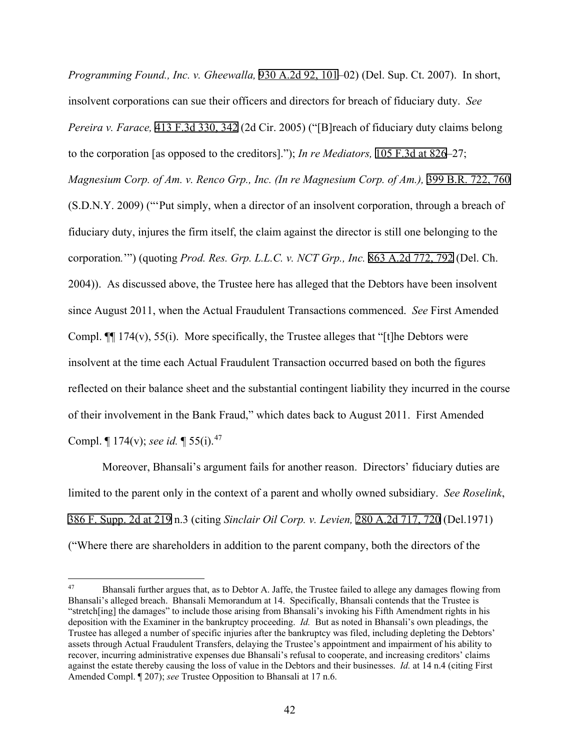*Programming Found., Inc. v. Gheewalla,* 930 A.2d 92, 101–02) (Del. Sup. Ct. 2007). In short, insolvent corporations can sue their officers and directors for breach of fiduciary duty. *See Pereira v. Farace,* 413 F.3d 330, 342 (2d Cir. 2005) ("[B]reach of fiduciary duty claims belong to the corporation [as opposed to the creditors]."); *In re Mediators,* 105 F.3d at 826–27; *Magnesium Corp. of Am. v. Renco Grp., Inc. (In re Magnesium Corp. of Am.),* 399 B.R. 722, 760 (S.D.N.Y. 2009) ("'Put simply, when a director of an insolvent corporation, through a breach of fiduciary duty, injures the firm itself, the claim against the director is still one belonging to the corporation*.*'") (quoting *Prod. Res. Grp. L.L.C. v. NCT Grp., Inc.* 863 A.2d 772, 792 (Del. Ch. 2004)). As discussed above, the Trustee here has alleged that the Debtors have been insolvent since August 2011, when the Actual Fraudulent Transactions commenced. *See* First Amended Compl. ¶¶ 174(v), 55(i). More specifically, the Trustee alleges that "[t]he Debtors were insolvent at the time each Actual Fraudulent Transaction occurred based on both the figures reflected on their balance sheet and the substantial contingent liability they incurred in the course of their involvement in the Bank Fraud," which dates back to August 2011. First Amended Compl. ¶ 174(v); *see id.* ¶ 55(i).[47](#page-41-0)

Moreover, Bhansali's argument fails for another reason. Directors' fiduciary duties are limited to the parent only in the context of a parent and wholly owned subsidiary. *See Roselink*, 386 F. Supp. 2d at 219 n.3 (citing *Sinclair Oil Corp. v. Levien,* 280 A.2d 717, 720 (Del.1971) ("Where there are shareholders in addition to the parent company, both the directors of the

<span id="page-41-0"></span><sup>&</sup>lt;sup>47</sup> Bhansali further argues that, as to Debtor A. Jaffe, the Trustee failed to allege any damages flowing from Bhansali's alleged breach. Bhansali Memorandum at 14. Specifically, Bhansali contends that the Trustee is "stretch[ing] the damages" to include those arising from Bhansali's invoking his Fifth Amendment rights in his deposition with the Examiner in the bankruptcy proceeding. *Id.* But as noted in Bhansali's own pleadings, the Trustee has alleged a number of specific injuries after the bankruptcy was filed, including depleting the Debtors' assets through Actual Fraudulent Transfers, delaying the Trustee's appointment and impairment of his ability to recover, incurring administrative expenses due Bhansali's refusal to cooperate, and increasing creditors' claims against the estate thereby causing the loss of value in the Debtors and their businesses. *Id.* at 14 n.4 (citing First Amended Compl. ¶ 207); *see* Trustee Opposition to Bhansali at 17 n.6.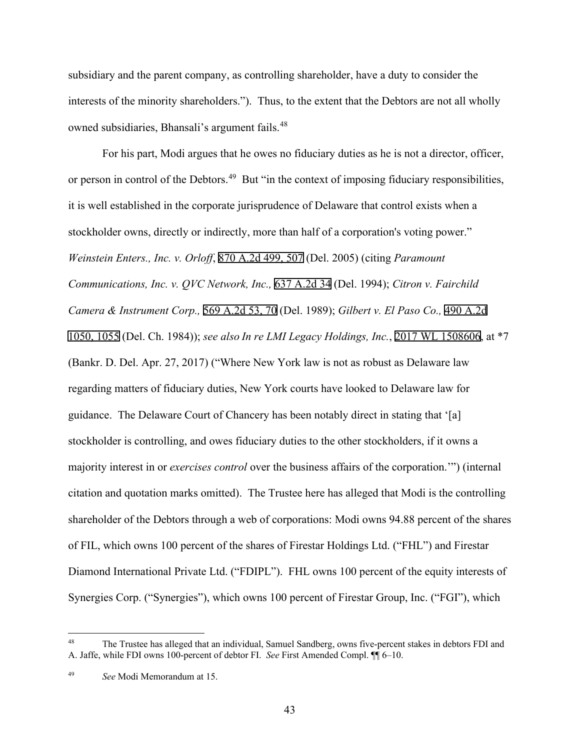subsidiary and the parent company, as controlling shareholder, have a duty to consider the interests of the minority shareholders."). Thus, to the extent that the Debtors are not all wholly owned subsidiaries, Bhansali's argument fails.<sup>48</sup>

For his part, Modi argues that he owes no fiduciary duties as he is not a director, officer, or person in control of the Debtors.<sup>[49](#page-42-1)</sup> But "in the context of imposing fiduciary responsibilities, it is well established in the corporate jurisprudence of Delaware that control exists when a stockholder owns, directly or indirectly, more than half of a corporation's voting power." *Weinstein Enters., Inc. v. Orloff*, 870 A.2d 499, 507 (Del. 2005) (citing *Paramount Communications, Inc. v. QVC Network, Inc.,* 637 A.2d 34 (Del. 1994); *Citron v. Fairchild Camera & Instrument Corp.,* 569 A.2d 53, 70 (Del. 1989); *Gilbert v. El Paso Co.,* 490 A.2d 1050, 1055 (Del. Ch. 1984)); *see also In re LMI Legacy Holdings, Inc.*, 2017 WL 1508606, at \*7 (Bankr. D. Del. Apr. 27, 2017) ("Where New York law is not as robust as Delaware law regarding matters of fiduciary duties, New York courts have looked to Delaware law for guidance. The Delaware Court of Chancery has been notably direct in stating that '[a] stockholder is controlling, and owes fiduciary duties to the other stockholders, if it owns a majority interest in or *exercises control* over the business affairs of the corporation.'") (internal citation and quotation marks omitted). The Trustee here has alleged that Modi is the controlling shareholder of the Debtors through a web of corporations: Modi owns 94.88 percent of the shares of FIL, which owns 100 percent of the shares of Firestar Holdings Ltd. ("FHL") and Firestar Diamond International Private Ltd. ("FDIPL"). FHL owns 100 percent of the equity interests of Synergies Corp. ("Synergies"), which owns 100 percent of Firestar Group, Inc. ("FGI"), which

<span id="page-42-0"></span><sup>48</sup> The Trustee has alleged that an individual, Samuel Sandberg, owns five-percent stakes in debtors FDI and A. Jaffe, while FDI owns 100-percent of debtor FI. *See* First Amended Compl. ¶¶ 6–10.

<span id="page-42-1"></span><sup>49</sup> *See* Modi Memorandum at 15.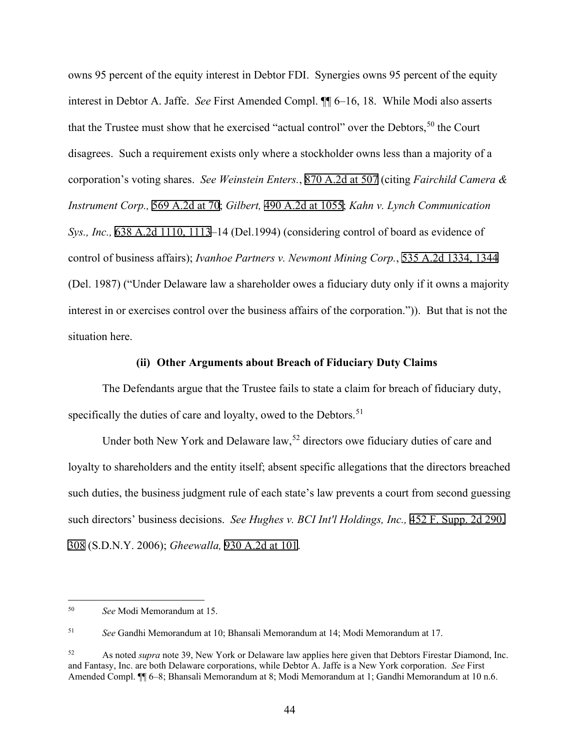owns 95 percent of the equity interest in Debtor FDI. Synergies owns 95 percent of the equity interest in Debtor A. Jaffe. *See* First Amended Compl. ¶¶ 6–16, 18. While Modi also asserts that the Trustee must show that he exercised "actual control" over the Debtors,  $50$  the Court disagrees. Such a requirement exists only where a stockholder owns less than a majority of a corporation's voting shares. *See Weinstein Enters.*, 870 A.2d at 507 (citing *Fairchild Camera & Instrument Corp.,* 569 A.2d at 70; *Gilbert,* 490 A.2d at 1055; *Kahn v. Lynch Communication Sys., Inc.,* 638 A.2d 1110, 1113–14 (Del.1994) (considering control of board as evidence of control of business affairs); *Ivanhoe Partners v. Newmont Mining Corp.*, 535 A.2d 1334, 1344 (Del. 1987) ("Under Delaware law a shareholder owes a fiduciary duty only if it owns a majority interest in or exercises control over the business affairs of the corporation.")). But that is not the situation here.

#### **(ii) Other Arguments about Breach of Fiduciary Duty Claims**

The Defendants argue that the Trustee fails to state a claim for breach of fiduciary duty, specifically the duties of care and loyalty, owed to the Debtors.<sup>51</sup>

Under both New York and Delaware  $\text{law},<sup>52</sup>$  $\text{law},<sup>52</sup>$  $\text{law},<sup>52</sup>$  directors owe fiduciary duties of care and loyalty to shareholders and the entity itself; absent specific allegations that the directors breached such duties, the business judgment rule of each state's law prevents a court from second guessing such directors' business decisions. *See Hughes v. BCI Int'l Holdings, Inc.,* 452 F. Supp. 2d 290, 308 (S.D.N.Y. 2006); *Gheewalla,* 930 A.2d at 101.

<span id="page-43-0"></span><sup>50</sup> *See* Modi Memorandum at 15.

<span id="page-43-1"></span><sup>51</sup> *See* Gandhi Memorandum at 10; Bhansali Memorandum at 14; Modi Memorandum at 17.

<span id="page-43-2"></span><sup>52</sup> As noted *supra* note 39, New York or Delaware law applies here given that Debtors Firestar Diamond, Inc. and Fantasy, Inc. are both Delaware corporations, while Debtor A. Jaffe is a New York corporation. *See* First Amended Compl. ¶¶ 6–8; Bhansali Memorandum at 8; Modi Memorandum at 1; Gandhi Memorandum at 10 n.6.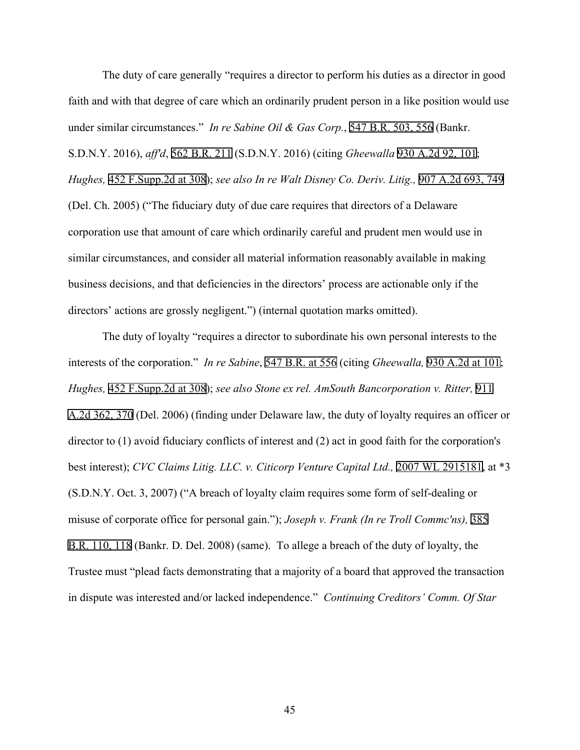The duty of care generally "requires a director to perform his duties as a director in good faith and with that degree of care which an ordinarily prudent person in a like position would use under similar circumstances." *In re Sabine Oil & Gas Corp.*, 547 B.R. 503, 556 (Bankr. S.D.N.Y. 2016), *aff'd*, 562 B.R. 211 (S.D.N.Y. 2016) (citing *Gheewalla* 930 A.2d 92, 101; *Hughes,* 452 F.Supp.2d at 308); *see also In re Walt Disney Co. Deriv. Litig.,* 907 A.2d 693, 749 (Del. Ch. 2005) ("The fiduciary duty of due care requires that directors of a Delaware corporation use that amount of care which ordinarily careful and prudent men would use in similar circumstances, and consider all material information reasonably available in making business decisions, and that deficiencies in the directors' process are actionable only if the directors' actions are grossly negligent.") (internal quotation marks omitted).

The duty of loyalty "requires a director to subordinate his own personal interests to the interests of the corporation." *In re Sabine*, 547 B.R. at 556 (citing *Gheewalla,* 930 A.2d at 101; *Hughes,* 452 F.Supp.2d at 308); *see also Stone ex rel. AmSouth Bancorporation v. Ritter,* 911 A.2d 362, 370 (Del. 2006) (finding under Delaware law, the duty of loyalty requires an officer or director to (1) avoid fiduciary conflicts of interest and (2) act in good faith for the corporation's best interest); *CVC Claims Litig. LLC. v. Citicorp Venture Capital Ltd.,* 2007 WL 2915181, at \*3 (S.D.N.Y. Oct. 3, 2007) ("A breach of loyalty claim requires some form of self-dealing or misuse of corporate office for personal gain."); *Joseph v. Frank (In re Troll Commc'ns),* 385 B.R. 110, 118 (Bankr. D. Del. 2008) (same). To allege a breach of the duty of loyalty, the Trustee must "plead facts demonstrating that a majority of a board that approved the transaction in dispute was interested and/or lacked independence." *Continuing Creditors' Comm. Of Star* 

45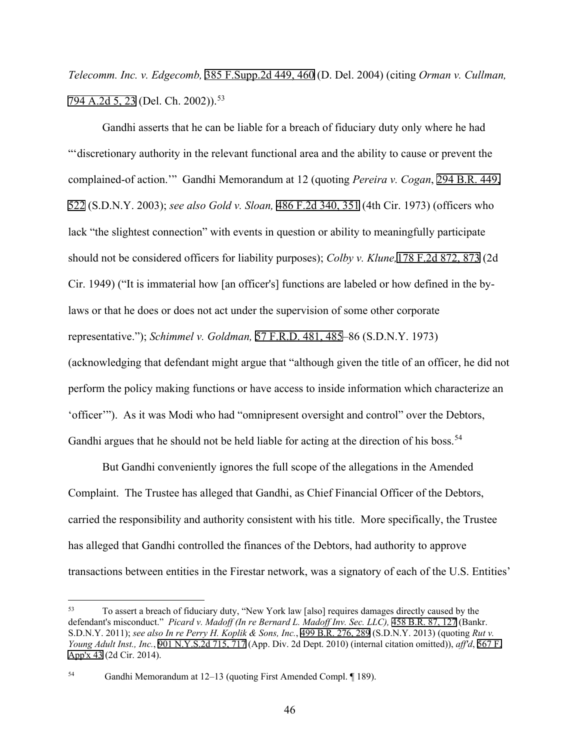*Telecomm. Inc. v. Edgecomb,* 385 F.Supp.2d 449, 460 (D. Del. 2004) (citing *Orman v. Cullman,* 794 A.2d 5, 23 (Del. Ch. 2002)).<sup>[53](#page-45-0)</sup>

Gandhi asserts that he can be liable for a breach of fiduciary duty only where he had "'discretionary authority in the relevant functional area and the ability to cause or prevent the complained-of action.'" Gandhi Memorandum at 12 (quoting *Pereira v. Cogan*, 294 B.R. 449, 522 (S.D.N.Y. 2003); *see also Gold v. Sloan,* 486 F.2d 340, 351 (4th Cir. 1973) (officers who lack "the slightest connection" with events in question or ability to meaningfully participate should not be considered officers for liability purposes); *Colby v. Klune,*178 F.2d 872, 873 (2d Cir. 1949) ("It is immaterial how [an officer's] functions are labeled or how defined in the bylaws or that he does or does not act under the supervision of some other corporate representative."); *Schimmel v. Goldman,* 57 F.R.D. 481, 485–86 (S.D.N.Y. 1973) (acknowledging that defendant might argue that "although given the title of an officer, he did not perform the policy making functions or have access to inside information which characterize an 'officer'"). As it was Modi who had "omnipresent oversight and control" over the Debtors,

Gandhi argues that he should not be held liable for acting at the direction of his boss.<sup>[54](#page-45-1)</sup>

But Gandhi conveniently ignores the full scope of the allegations in the Amended Complaint. The Trustee has alleged that Gandhi, as Chief Financial Officer of the Debtors, carried the responsibility and authority consistent with his title. More specifically, the Trustee has alleged that Gandhi controlled the finances of the Debtors, had authority to approve transactions between entities in the Firestar network, was a signatory of each of the U.S. Entities'

<span id="page-45-0"></span><sup>53</sup> To assert a breach of fiduciary duty, "New York law [also] requires damages directly caused by the defendant's misconduct." *Picard v. Madoff (In re Bernard L. Madoff Inv. Sec. LLC),* 458 B.R. 87, 127 (Bankr. S.D.N.Y. 2011); *see also In re Perry H. Koplik & Sons, Inc.*, 499 B.R. 276, 289 (S.D.N.Y. 2013) (quoting *Rut v. Young Adult Inst., Inc.*, 901 N.Y.S.2d 715, 717 (App. Div. 2d Dept. 2010) (internal citation omitted)), *aff'd*, 567 F. App'x 43 (2d Cir. 2014).

<span id="page-45-1"></span><sup>54</sup> Gandhi Memorandum at 12–13 (quoting First Amended Compl. ¶ 189).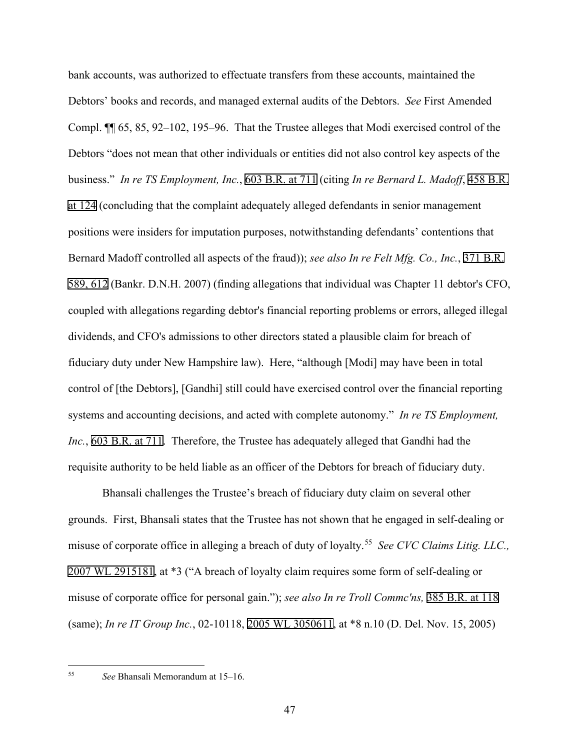bank accounts, was authorized to effectuate transfers from these accounts, maintained the Debtors' books and records, and managed external audits of the Debtors. *See* First Amended Compl. ¶¶ 65, 85, 92–102, 195–96. That the Trustee alleges that Modi exercised control of the Debtors "does not mean that other individuals or entities did not also control key aspects of the business." *In re TS Employment, Inc.*, 603 B.R. at 711 (citing *In re Bernard L. Madoff*, 458 B.R. at 124 (concluding that the complaint adequately alleged defendants in senior management positions were insiders for imputation purposes, notwithstanding defendants' contentions that Bernard Madoff controlled all aspects of the fraud)); *see also In re Felt Mfg. Co., Inc.*, 371 B.R. 589, 612 (Bankr. D.N.H. 2007) (finding allegations that individual was Chapter 11 debtor's CFO, coupled with allegations regarding debtor's financial reporting problems or errors, alleged illegal dividends, and CFO's admissions to other directors stated a plausible claim for breach of fiduciary duty under New Hampshire law). Here, "although [Modi] may have been in total control of [the Debtors], [Gandhi] still could have exercised control over the financial reporting systems and accounting decisions, and acted with complete autonomy." *In re TS Employment, Inc.*, 603 B.R. at 711. Therefore, the Trustee has adequately alleged that Gandhi had the requisite authority to be held liable as an officer of the Debtors for breach of fiduciary duty.

Bhansali challenges the Trustee's breach of fiduciary duty claim on several other grounds. First, Bhansali states that the Trustee has not shown that he engaged in self-dealing or misuse of corporate office in alleging a breach of duty of loyalty.[55](#page-46-0) *See CVC Claims Litig. LLC.,* 2007 WL 2915181, at \*3 ("A breach of loyalty claim requires some form of self-dealing or misuse of corporate office for personal gain."); *see also In re Troll Commc'ns,* 385 B.R. at 118 (same); *In re IT Group Inc.*, 02-10118, 2005 WL 3050611, at \*8 n.10 (D. Del. Nov. 15, 2005)

<span id="page-46-0"></span><sup>55</sup> *See* Bhansali Memorandum at 15–16.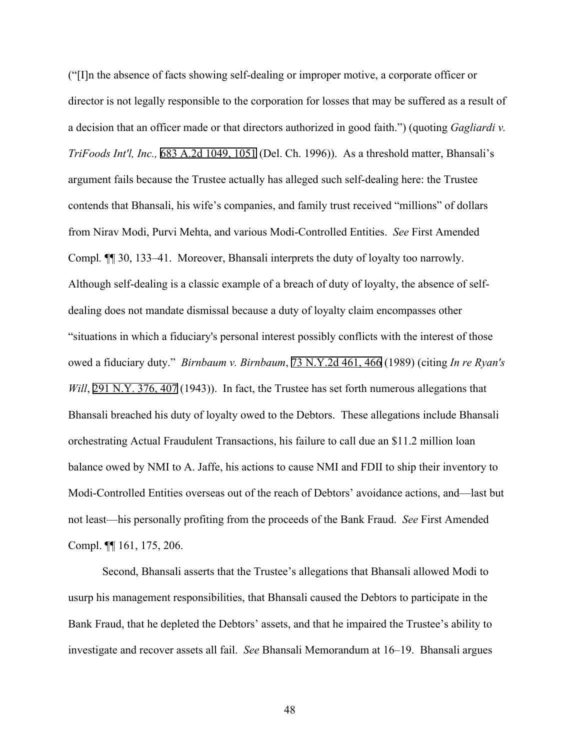("[I]n the absence of facts showing self-dealing or improper motive, a corporate officer or director is not legally responsible to the corporation for losses that may be suffered as a result of a decision that an officer made or that directors authorized in good faith.") (quoting *Gagliardi v. TriFoods Int'l, Inc.,* 683 A.2d 1049, 1051 (Del. Ch. 1996)). As a threshold matter, Bhansali's argument fails because the Trustee actually has alleged such self-dealing here: the Trustee contends that Bhansali, his wife's companies, and family trust received "millions" of dollars from Nirav Modi, Purvi Mehta, and various Modi-Controlled Entities. *See* First Amended Compl*.* ¶¶ 30, 133–41. Moreover, Bhansali interprets the duty of loyalty too narrowly. Although self-dealing is a classic example of a breach of duty of loyalty, the absence of selfdealing does not mandate dismissal because a duty of loyalty claim encompasses other "situations in which a fiduciary's personal interest possibly conflicts with the interest of those owed a fiduciary duty." *Birnbaum v. Birnbaum*, 73 N.Y.2d 461, 466 (1989) (citing *In re Ryan's Will*, 291 N.Y. 376, 407 (1943)). In fact, the Trustee has set forth numerous allegations that Bhansali breached his duty of loyalty owed to the Debtors. These allegations include Bhansali orchestrating Actual Fraudulent Transactions, his failure to call due an \$11.2 million loan balance owed by NMI to A. Jaffe, his actions to cause NMI and FDII to ship their inventory to Modi-Controlled Entities overseas out of the reach of Debtors' avoidance actions, and—last but not least—his personally profiting from the proceeds of the Bank Fraud. *See* First Amended Compl. ¶¶ 161, 175, 206.

Second, Bhansali asserts that the Trustee's allegations that Bhansali allowed Modi to usurp his management responsibilities, that Bhansali caused the Debtors to participate in the Bank Fraud, that he depleted the Debtors' assets, and that he impaired the Trustee's ability to investigate and recover assets all fail. *See* Bhansali Memorandum at 16–19. Bhansali argues

48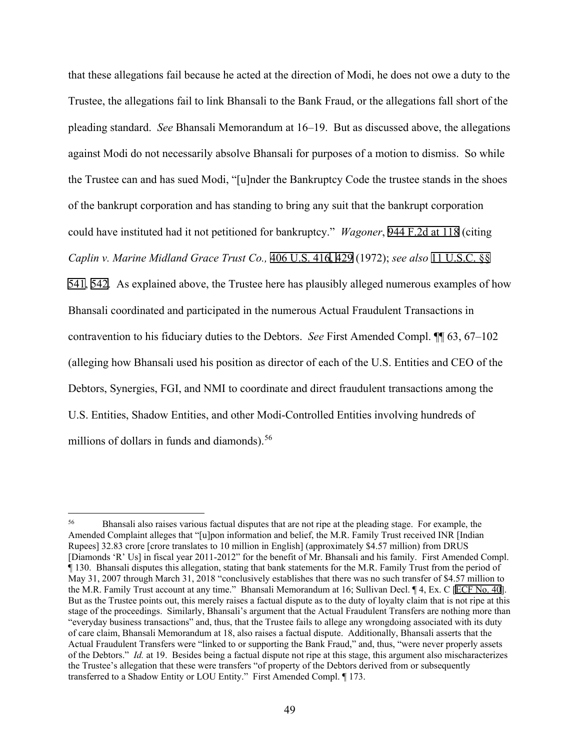that these allegations fail because he acted at the direction of Modi, he does not owe a duty to the Trustee, the allegations fail to link Bhansali to the Bank Fraud, or the allegations fall short of the pleading standard. *See* Bhansali Memorandum at 16–19. But as discussed above, the allegations against Modi do not necessarily absolve Bhansali for purposes of a motion to dismiss. So while the Trustee can and has sued Modi, "[u]nder the Bankruptcy Code the trustee stands in the shoes of the bankrupt corporation and has standing to bring any suit that the bankrupt corporation could have instituted had it not petitioned for bankruptcy." *Wagoner*, 944 F.2d at 118 (citing *Caplin v. Marine Midland Grace Trust Co.,* 406 U.S. 416, 429 (1972); *see also* 11 U.S.C. §§ 541, 542. As explained above, the Trustee here has plausibly alleged numerous examples of how Bhansali coordinated and participated in the numerous Actual Fraudulent Transactions in contravention to his fiduciary duties to the Debtors. *See* First Amended Compl. ¶¶ 63, 67–102 (alleging how Bhansali used his position as director of each of the U.S. Entities and CEO of the Debtors, Synergies, FGI, and NMI to coordinate and direct fraudulent transactions among the U.S. Entities, Shadow Entities, and other Modi-Controlled Entities involving hundreds of millions of dollars in funds and diamonds).<sup>[56](#page-48-0)</sup>

<span id="page-48-0"></span><sup>&</sup>lt;sup>56</sup> Bhansali also raises various factual disputes that are not ripe at the pleading stage. For example, the Amended Complaint alleges that "[u]pon information and belief, the M.R. Family Trust received INR [Indian Rupees] 32.83 crore [crore translates to 10 million in English] (approximately \$4.57 million) from DRUS [Diamonds 'R' Us] in fiscal year 2011-2012" for the benefit of Mr. Bhansali and his family. First Amended Compl. ¶ 130. Bhansali disputes this allegation, stating that bank statements for the M.R. Family Trust from the period of May 31, 2007 through March 31, 2018 "conclusively establishes that there was no such transfer of \$4.57 million to the M.R. Family Trust account at any time." Bhansali Memorandum at 16; Sullivan Decl. ¶ 4, Ex. C [ECF No. 40]. But as the Trustee points out, this merely raises a factual dispute as to the duty of loyalty claim that is not ripe at this stage of the proceedings. Similarly, Bhansali's argument that the Actual Fraudulent Transfers are nothing more than "everyday business transactions" and, thus, that the Trustee fails to allege any wrongdoing associated with its duty of care claim, Bhansali Memorandum at 18, also raises a factual dispute. Additionally, Bhansali asserts that the Actual Fraudulent Transfers were "linked to or supporting the Bank Fraud," and, thus, "were never properly assets of the Debtors." *Id.* at 19. Besides being a factual dispute not ripe at this stage, this argument also mischaracterizes the Trustee's allegation that these were transfers "of property of the Debtors derived from or subsequently transferred to a Shadow Entity or LOU Entity." First Amended Compl. ¶ 173.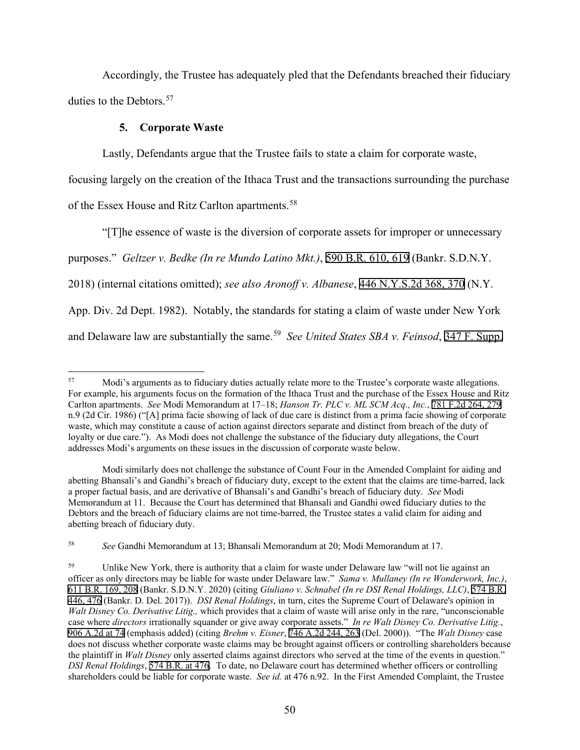Accordingly, the Trustee has adequately pled that the Defendants breached their fiduciary duties to the Debtors.<sup>[57](#page-49-0)</sup>

# **5. Corporate Waste**

Lastly, Defendants argue that the Trustee fails to state a claim for corporate waste,

focusing largely on the creation of the Ithaca Trust and the transactions surrounding the purchase

of the Essex House and Ritz Carlton apartments.<sup>58</sup>

"[T]he essence of waste is the diversion of corporate assets for improper or unnecessary purposes." *Geltzer v. Bedke (In re Mundo Latino Mkt.)*, 590 B.R. 610, 619 (Bankr. S.D.N.Y. 2018) (internal citations omitted); *see also Aronoff v. Albanese*, 446 N.Y.S.2d 368, 370 (N.Y. App. Div. 2d Dept. 1982). Notably, the standards for stating a claim of waste under New York and Delaware law are substantially the same.<sup>[59](#page-49-2)</sup> *See United States SBA v. Feinsod*, 347 F. Supp.

<span id="page-49-0"></span><sup>57</sup> Modi's arguments as to fiduciary duties actually relate more to the Trustee's corporate waste allegations. For example, his arguments focus on the formation of the Ithaca Trust and the purchase of the Essex House and Ritz Carlton apartments. *See* Modi Memorandum at 17–18; *Hanson Tr. PLC v. ML SCM Acq., Inc.*, 781 F.2d 264, 279 n.9 (2d Cir. 1986) ("[A] prima facie showing of lack of due care is distinct from a prima facie showing of corporate waste, which may constitute a cause of action against directors separate and distinct from breach of the duty of loyalty or due care."). As Modi does not challenge the substance of the fiduciary duty allegations, the Court addresses Modi's arguments on these issues in the discussion of corporate waste below.

Modi similarly does not challenge the substance of Count Four in the Amended Complaint for aiding and abetting Bhansali's and Gandhi's breach of fiduciary duty, except to the extent that the claims are time-barred, lack a proper factual basis, and are derivative of Bhansali's and Gandhi's breach of fiduciary duty. *See* Modi Memorandum at 11. Because the Court has determined that Bhansali and Gandhi owed fiduciary duties to the Debtors and the breach of fiduciary claims are not time-barred, the Trustee states a valid claim for aiding and abetting breach of fiduciary duty.

<span id="page-49-1"></span><sup>58</sup> *See* Gandhi Memorandum at 13; Bhansali Memorandum at 20; Modi Memorandum at 17.

<span id="page-49-2"></span>Unlike New York, there is authority that a claim for waste under Delaware law "will not lie against an officer as only directors may be liable for waste under Delaware law." *Sama v. Mullaney (In re Wonderwork, Inc.)*, 611 B.R. 169, 208 (Bankr. S.D.N.Y. 2020) (citing *Giuliano v. Schnabel (In re DSI Renal Holdings, LLC)*, 574 B.R. 446, 476 (Bankr. D. Del. 2017)). *DSI Renal Holdings*, in turn, cites the Supreme Court of Delaware's opinion in *Walt Disney Co. Derivative Litig.,* which provides that a claim of waste will arise only in the rare, "unconscionable case where *directors* irrationally squander or give away corporate assets." *In re Walt Disney Co. Derivative Litig.*, 906 A.2d at 74 (emphasis added) (citing *Brehm v. Eisner*, 746 A.2d 244, 263 (Del. 2000)). "The *Walt Disney* case does not discuss whether corporate waste claims may be brought against officers or controlling shareholders because the plaintiff in *Walt Disney* only asserted claims against directors who served at the time of the events in question." *DSI Renal Holdings*, 574 B.R. at 476. To date, no Delaware court has determined whether officers or controlling shareholders could be liable for corporate waste. *See id.* at 476 n.92. In the First Amended Complaint, the Trustee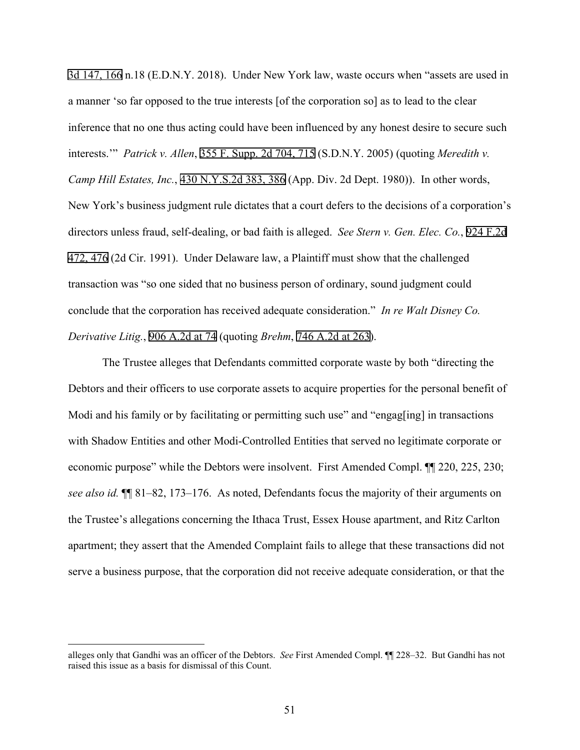3d 147, 166 n.18 (E.D.N.Y. 2018). Under New York law, waste occurs when "assets are used in a manner 'so far opposed to the true interests [of the corporation so] as to lead to the clear inference that no one thus acting could have been influenced by any honest desire to secure such interests.'" *Patrick v. Allen*, 355 F. Supp. 2d 704, 715 (S.D.N.Y. 2005) (quoting *Meredith v. Camp Hill Estates, Inc.*, 430 N.Y.S.2d 383, 386 (App. Div. 2d Dept. 1980)). In other words, New York's business judgment rule dictates that a court defers to the decisions of a corporation's directors unless fraud, self-dealing, or bad faith is alleged. *See Stern v. Gen. Elec. Co.*, 924 F.2d 472, 476 (2d Cir. 1991). Under Delaware law, a Plaintiff must show that the challenged transaction was "so one sided that no business person of ordinary, sound judgment could conclude that the corporation has received adequate consideration." *In re Walt Disney Co. Derivative Litig.*, 906 A.2d at 74 (quoting *Brehm*, 746 A.2d at 263).

The Trustee alleges that Defendants committed corporate waste by both "directing the Debtors and their officers to use corporate assets to acquire properties for the personal benefit of Modi and his family or by facilitating or permitting such use" and "engag[ing] in transactions with Shadow Entities and other Modi-Controlled Entities that served no legitimate corporate or economic purpose" while the Debtors were insolvent. First Amended Compl. ¶¶ 220, 225, 230; *see also id.* ¶¶ 81–82, 173–176. As noted, Defendants focus the majority of their arguments on the Trustee's allegations concerning the Ithaca Trust, Essex House apartment, and Ritz Carlton apartment; they assert that the Amended Complaint fails to allege that these transactions did not serve a business purpose, that the corporation did not receive adequate consideration, or that the

alleges only that Gandhi was an officer of the Debtors. *See* First Amended Compl. ¶¶ 228–32. But Gandhi has not raised this issue as a basis for dismissal of this Count.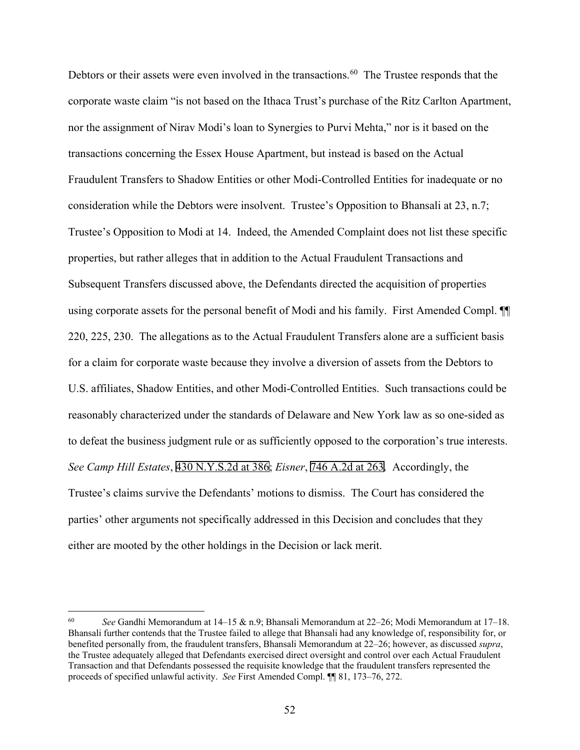Debtors or their assets were even involved in the transactions.<sup>60</sup> The Trustee responds that the corporate waste claim "is not based on the Ithaca Trust's purchase of the Ritz Carlton Apartment, nor the assignment of Nirav Modi's loan to Synergies to Purvi Mehta," nor is it based on the transactions concerning the Essex House Apartment, but instead is based on the Actual Fraudulent Transfers to Shadow Entities or other Modi-Controlled Entities for inadequate or no consideration while the Debtors were insolvent. Trustee's Opposition to Bhansali at 23, n.7; Trustee's Opposition to Modi at 14. Indeed, the Amended Complaint does not list these specific properties, but rather alleges that in addition to the Actual Fraudulent Transactions and Subsequent Transfers discussed above, the Defendants directed the acquisition of properties using corporate assets for the personal benefit of Modi and his family. First Amended Compl. ¶¶ 220, 225, 230. The allegations as to the Actual Fraudulent Transfers alone are a sufficient basis for a claim for corporate waste because they involve a diversion of assets from the Debtors to U.S. affiliates, Shadow Entities, and other Modi-Controlled Entities. Such transactions could be reasonably characterized under the standards of Delaware and New York law as so one-sided as to defeat the business judgment rule or as sufficiently opposed to the corporation's true interests. *See Camp Hill Estates*, 430 N.Y.S.2d at 386; *Eisner*, 746 A.2d at 263. Accordingly, the Trustee's claims survive the Defendants' motions to dismiss. The Court has considered the parties' other arguments not specifically addressed in this Decision and concludes that they either are mooted by the other holdings in the Decision or lack merit.

<span id="page-51-0"></span><sup>60</sup> *See* Gandhi Memorandum at 14–15 & n.9; Bhansali Memorandum at 22–26; Modi Memorandum at 17–18. Bhansali further contends that the Trustee failed to allege that Bhansali had any knowledge of, responsibility for, or benefited personally from, the fraudulent transfers, Bhansali Memorandum at 22–26; however, as discussed *supra*, the Trustee adequately alleged that Defendants exercised direct oversight and control over each Actual Fraudulent Transaction and that Defendants possessed the requisite knowledge that the fraudulent transfers represented the proceeds of specified unlawful activity. *See* First Amended Compl. ¶¶ 81, 173–76, 272.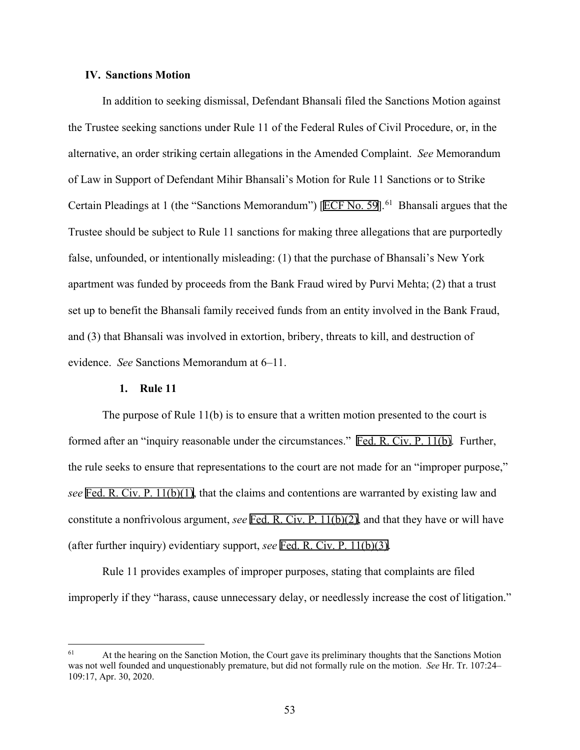# **IV. Sanctions Motion**

In addition to seeking dismissal, Defendant Bhansali filed the Sanctions Motion against the Trustee seeking sanctions under Rule 11 of the Federal Rules of Civil Procedure, or, in the alternative, an order striking certain allegations in the Amended Complaint. *See* Memorandum of Law in Support of Defendant Mihir Bhansali's Motion for Rule 11 Sanctions or to Strike Certain Pleadings at 1 (the "Sanctions Memorandum") [ECF No. 59].<sup>61</sup> Bhansali argues that the Trustee should be subject to Rule 11 sanctions for making three allegations that are purportedly false, unfounded, or intentionally misleading: (1) that the purchase of Bhansali's New York apartment was funded by proceeds from the Bank Fraud wired by Purvi Mehta; (2) that a trust set up to benefit the Bhansali family received funds from an entity involved in the Bank Fraud, and (3) that Bhansali was involved in extortion, bribery, threats to kill, and destruction of evidence. *See* Sanctions Memorandum at 6–11.

#### **1. Rule 11**

The purpose of Rule 11(b) is to ensure that a written motion presented to the court is formed after an "inquiry reasonable under the circumstances." Fed. R. Civ. P. 11(b). Further, the rule seeks to ensure that representations to the court are not made for an "improper purpose," *see* Fed. R. Civ. P. 11(b)(1), that the claims and contentions are warranted by existing law and constitute a nonfrivolous argument, *see* Fed. R. Civ. P. 11(b)(2), and that they have or will have (after further inquiry) evidentiary support, *see* Fed. R. Civ. P. 11(b)(3).

Rule 11 provides examples of improper purposes, stating that complaints are filed improperly if they "harass, cause unnecessary delay, or needlessly increase the cost of litigation."

<span id="page-52-0"></span> $61$  At the hearing on the Sanction Motion, the Court gave its preliminary thoughts that the Sanctions Motion was not well founded and unquestionably premature, but did not formally rule on the motion. *See* Hr. Tr. 107:24– 109:17, Apr. 30, 2020.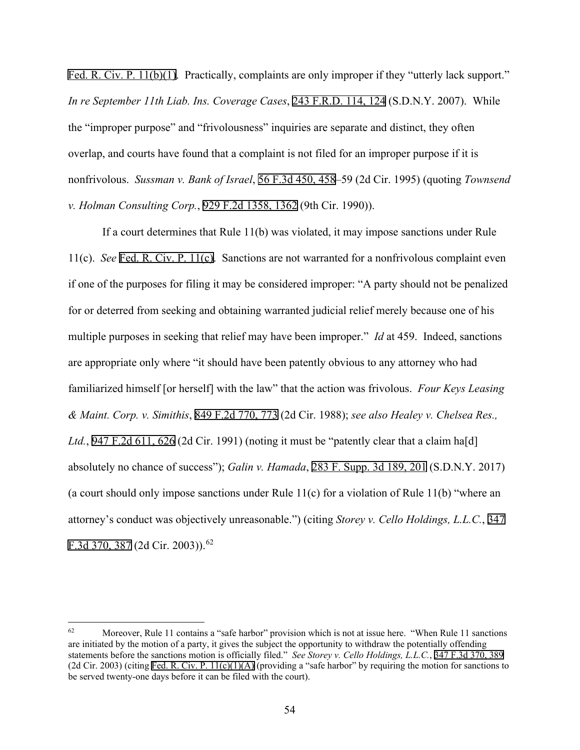Fed. R. Civ. P. 11(b)(1). Practically, complaints are only improper if they "utterly lack support." *In re September 11th Liab. Ins. Coverage Cases*, 243 F.R.D. 114, 124 (S.D.N.Y. 2007). While the "improper purpose" and "frivolousness" inquiries are separate and distinct, they often overlap, and courts have found that a complaint is not filed for an improper purpose if it is nonfrivolous. *Sussman v. Bank of Israel*, 56 F.3d 450, 458–59 (2d Cir. 1995) (quoting *Townsend v. Holman Consulting Corp.*, 929 F.2d 1358, 1362 (9th Cir. 1990)).

If a court determines that Rule 11(b) was violated, it may impose sanctions under Rule 11(c). *See* Fed. R. Civ. P. 11(c). Sanctions are not warranted for a nonfrivolous complaint even if one of the purposes for filing it may be considered improper: "A party should not be penalized for or deterred from seeking and obtaining warranted judicial relief merely because one of his multiple purposes in seeking that relief may have been improper." *Id* at 459. Indeed, sanctions are appropriate only where "it should have been patently obvious to any attorney who had familiarized himself [or herself] with the law" that the action was frivolous. *Four Keys Leasing & Maint. Corp. v. Simithis*, 849 F.2d 770, 773 (2d Cir. 1988); *see also Healey v. Chelsea Res.,*  Ltd., 947 F.2d 611, 626 (2d Cir. 1991) (noting it must be "patently clear that a claim ha<sup>[d]</sup> absolutely no chance of success"); *Galin v. Hamada*, 283 F. Supp. 3d 189, 201 (S.D.N.Y. 2017) (a court should only impose sanctions under Rule 11(c) for a violation of Rule 11(b) "where an attorney's conduct was objectively unreasonable.") (citing *Storey v. Cello Holdings, L.L.C.*, 347 F.3d 370, 387 (2d Cir. 2003)).[62](#page-53-0)

<span id="page-53-0"></span> $62$  Moreover, Rule 11 contains a "safe harbor" provision which is not at issue here. "When Rule 11 sanctions" are initiated by the motion of a party, it gives the subject the opportunity to withdraw the potentially offending statements before the sanctions motion is officially filed." *See Storey v. Cello Holdings, L.L.C.*, 347 F.3d 370, 389 (2d Cir. 2003) (citing Fed. R. Civ. P.  $11(c)(1)(A)$  (providing a "safe harbor" by requiring the motion for sanctions to be served twenty-one days before it can be filed with the court).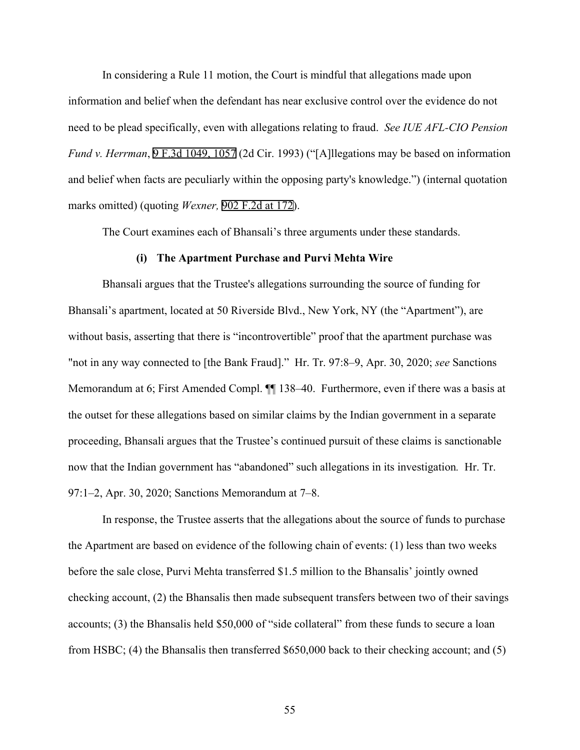In considering a Rule 11 motion, the Court is mindful that allegations made upon information and belief when the defendant has near exclusive control over the evidence do not need to be plead specifically, even with allegations relating to fraud. *See IUE AFL-CIO Pension Fund v. Herrman*, 9 F.3d 1049, 1057 (2d Cir. 1993) ("[A]llegations may be based on information and belief when facts are peculiarly within the opposing party's knowledge.") (internal quotation marks omitted) (quoting *Wexner,* 902 F.2d at 172).

The Court examines each of Bhansali's three arguments under these standards.

#### **(i) The Apartment Purchase and Purvi Mehta Wire**

Bhansali argues that the Trustee's allegations surrounding the source of funding for Bhansali's apartment, located at 50 Riverside Blvd., New York, NY (the "Apartment"), are without basis, asserting that there is "incontrovertible" proof that the apartment purchase was "not in any way connected to [the Bank Fraud]." Hr. Tr. 97:8–9, Apr. 30, 2020; *see* Sanctions Memorandum at 6; First Amended Compl. ¶¶ 138–40. Furthermore, even if there was a basis at the outset for these allegations based on similar claims by the Indian government in a separate proceeding, Bhansali argues that the Trustee's continued pursuit of these claims is sanctionable now that the Indian government has "abandoned" such allegations in its investigation*.* Hr. Tr. 97:1–2, Apr. 30, 2020; Sanctions Memorandum at 7–8.

In response, the Trustee asserts that the allegations about the source of funds to purchase the Apartment are based on evidence of the following chain of events: (1) less than two weeks before the sale close, Purvi Mehta transferred \$1.5 million to the Bhansalis' jointly owned checking account, (2) the Bhansalis then made subsequent transfers between two of their savings accounts; (3) the Bhansalis held \$50,000 of "side collateral" from these funds to secure a loan from HSBC; (4) the Bhansalis then transferred \$650,000 back to their checking account; and (5)

55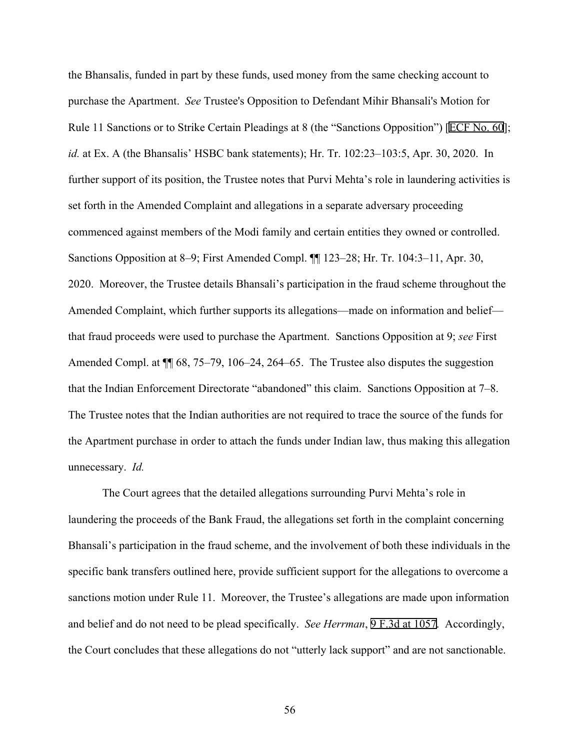the Bhansalis, funded in part by these funds, used money from the same checking account to purchase the Apartment. *See* Trustee's Opposition to Defendant Mihir Bhansali's Motion for Rule 11 Sanctions or to Strike Certain Pleadings at 8 (the "Sanctions Opposition") [ECF No. 60]; *id.* at Ex. A (the Bhansalis' HSBC bank statements); Hr. Tr. 102:23–103:5, Apr. 30, 2020. In further support of its position, the Trustee notes that Purvi Mehta's role in laundering activities is set forth in the Amended Complaint and allegations in a separate adversary proceeding commenced against members of the Modi family and certain entities they owned or controlled. Sanctions Opposition at 8–9; First Amended Compl. ¶¶ 123–28; Hr. Tr. 104:3–11, Apr. 30, 2020. Moreover, the Trustee details Bhansali's participation in the fraud scheme throughout the Amended Complaint, which further supports its allegations—made on information and belief that fraud proceeds were used to purchase the Apartment. Sanctions Opposition at 9; *see* First Amended Compl. at  $\P$  68, 75–79, 106–24, 264–65. The Trustee also disputes the suggestion that the Indian Enforcement Directorate "abandoned" this claim. Sanctions Opposition at 7–8. The Trustee notes that the Indian authorities are not required to trace the source of the funds for the Apartment purchase in order to attach the funds under Indian law, thus making this allegation unnecessary. *Id.*

The Court agrees that the detailed allegations surrounding Purvi Mehta's role in laundering the proceeds of the Bank Fraud, the allegations set forth in the complaint concerning Bhansali's participation in the fraud scheme, and the involvement of both these individuals in the specific bank transfers outlined here, provide sufficient support for the allegations to overcome a sanctions motion under Rule 11. Moreover, the Trustee's allegations are made upon information and belief and do not need to be plead specifically. *See Herrman*, 9 F.3d at 1057. Accordingly, the Court concludes that these allegations do not "utterly lack support" and are not sanctionable.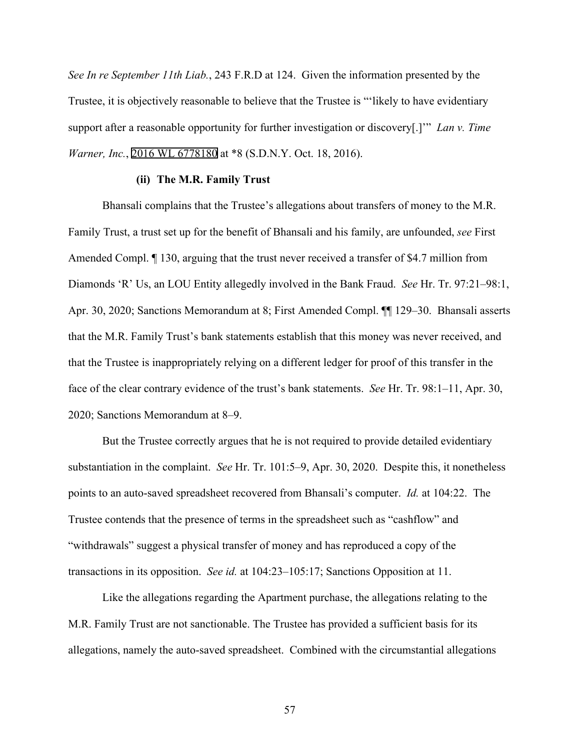*See In re September 11th Liab.*, 243 F.R.D at 124. Given the information presented by the Trustee, it is objectively reasonable to believe that the Trustee is "'likely to have evidentiary support after a reasonable opportunity for further investigation or discovery[.]'" *Lan v. Time Warner, Inc.*, 2016 WL 6778180 at \*8 (S.D.N.Y. Oct. 18, 2016).

#### **(ii) The M.R. Family Trust**

Bhansali complains that the Trustee's allegations about transfers of money to the M.R. Family Trust, a trust set up for the benefit of Bhansali and his family, are unfounded, *see* First Amended Compl. ¶ 130, arguing that the trust never received a transfer of \$4.7 million from Diamonds 'R' Us, an LOU Entity allegedly involved in the Bank Fraud. *See* Hr. Tr. 97:21–98:1, Apr. 30, 2020; Sanctions Memorandum at 8; First Amended Compl. ¶¶ 129–30. Bhansali asserts that the M.R. Family Trust's bank statements establish that this money was never received, and that the Trustee is inappropriately relying on a different ledger for proof of this transfer in the face of the clear contrary evidence of the trust's bank statements. *See* Hr. Tr. 98:1–11, Apr. 30, 2020; Sanctions Memorandum at 8–9.

But the Trustee correctly argues that he is not required to provide detailed evidentiary substantiation in the complaint. *See* Hr. Tr. 101:5–9, Apr. 30, 2020. Despite this, it nonetheless points to an auto-saved spreadsheet recovered from Bhansali's computer. *Id.* at 104:22. The Trustee contends that the presence of terms in the spreadsheet such as "cashflow" and "withdrawals" suggest a physical transfer of money and has reproduced a copy of the transactions in its opposition. *See id.* at 104:23–105:17; Sanctions Opposition at 11.

Like the allegations regarding the Apartment purchase, the allegations relating to the M.R. Family Trust are not sanctionable. The Trustee has provided a sufficient basis for its allegations, namely the auto-saved spreadsheet. Combined with the circumstantial allegations

57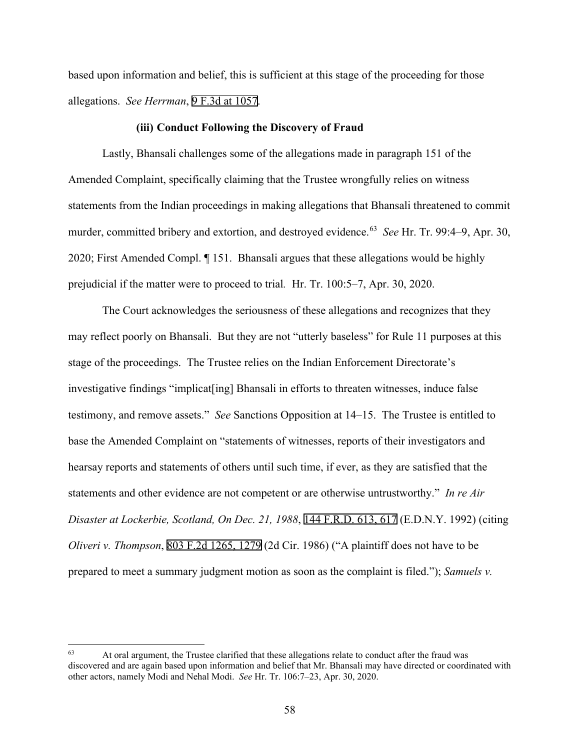based upon information and belief, this is sufficient at this stage of the proceeding for those allegations. *See Herrman*, 9 F.3d at 1057.

#### **(iii) Conduct Following the Discovery of Fraud**

Lastly, Bhansali challenges some of the allegations made in paragraph 151 of the Amended Complaint, specifically claiming that the Trustee wrongfully relies on witness statements from the Indian proceedings in making allegations that Bhansali threatened to commit murder, committed bribery and extortion, and destroyed evidence.<sup>[63](#page-57-0)</sup> *See* Hr. Tr. 99:4–9, Apr. 30, 2020; First Amended Compl. ¶ 151. Bhansali argues that these allegations would be highly prejudicial if the matter were to proceed to trial*.* Hr. Tr. 100:5–7, Apr. 30, 2020.

The Court acknowledges the seriousness of these allegations and recognizes that they may reflect poorly on Bhansali. But they are not "utterly baseless" for Rule 11 purposes at this stage of the proceedings. The Trustee relies on the Indian Enforcement Directorate's investigative findings "implicat[ing] Bhansali in efforts to threaten witnesses, induce false testimony, and remove assets." *See* Sanctions Opposition at 14–15. The Trustee is entitled to base the Amended Complaint on "statements of witnesses, reports of their investigators and hearsay reports and statements of others until such time, if ever, as they are satisfied that the statements and other evidence are not competent or are otherwise untrustworthy." *In re Air Disaster at Lockerbie, Scotland, On Dec. 21, 1988*, 144 F.R.D. 613, 617 (E.D.N.Y. 1992) (citing *Oliveri v. Thompson*, 803 F.2d 1265, 1279 (2d Cir. 1986) ("A plaintiff does not have to be prepared to meet a summary judgment motion as soon as the complaint is filed."); *Samuels v.* 

<span id="page-57-0"></span><sup>&</sup>lt;sup>63</sup> At oral argument, the Trustee clarified that these allegations relate to conduct after the fraud was discovered and are again based upon information and belief that Mr. Bhansali may have directed or coordinated with other actors, namely Modi and Nehal Modi. *See* Hr. Tr. 106:7–23, Apr. 30, 2020.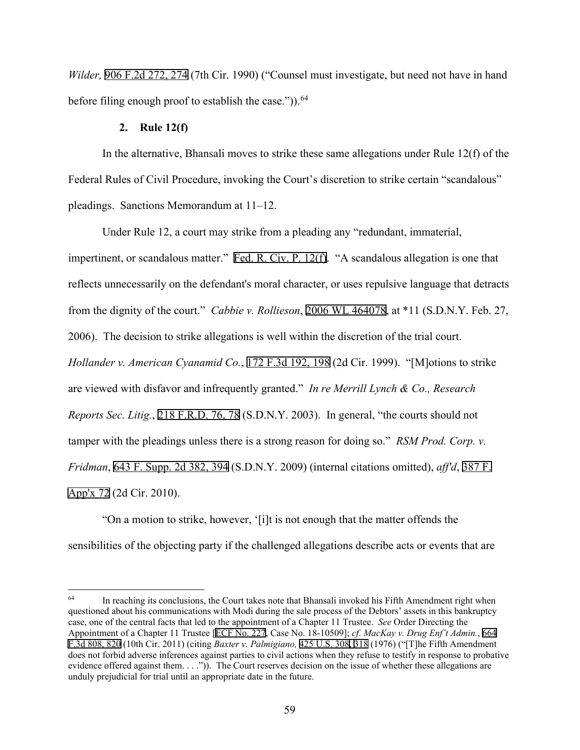*Wilder,* 906 F.2d 272, 274 (7th Cir. 1990) ("Counsel must investigate, but need not have in hand before filing enough proof to establish the case.")).<sup>[64](#page-58-0)</sup>

## **2. Rule 12(f)**

In the alternative, Bhansali moves to strike these same allegations under Rule 12(f) of the Federal Rules of Civil Procedure, invoking the Court's discretion to strike certain "scandalous" pleadings. Sanctions Memorandum at 11–12.

Under Rule 12, a court may strike from a pleading any "redundant, immaterial, impertinent, or scandalous matter." Fed. R. Civ. P. 12(f). "A scandalous allegation is one that reflects unnecessarily on the defendant's moral character, or uses repulsive language that detracts from the dignity of the court." *Cabbie v. Rollieson*, 2006 WL 464078, at \*11 (S.D.N.Y. Feb. 27, 2006). The decision to strike allegations is well within the discretion of the trial court. *Hollander v. American Cyanamid Co.*, 172 F.3d 192, 198 (2d Cir. 1999). "[M]otions to strike are viewed with disfavor and infrequently granted." *In re Merrill Lynch & Co., Research Reports Sec. Litig.*, 218 F.R.D. 76, 78 (S.D.N.Y. 2003). In general, "the courts should not tamper with the pleadings unless there is a strong reason for doing so." *RSM Prod. Corp. v. Fridman*, 643 F. Supp. 2d 382, 394 (S.D.N.Y. 2009) (internal citations omitted), *aff'd*, 387 F. App'x 72 (2d Cir. 2010).

"On a motion to strike, however, '[i]t is not enough that the matter offends the sensibilities of the objecting party if the challenged allegations describe acts or events that are

<span id="page-58-0"></span> $64$  In reaching its conclusions, the Court takes note that Bhansali invoked his Fifth Amendment right when questioned about his communications with Modi during the sale process of the Debtors' assets in this bankruptcy case, one of the central facts that led to the appointment of a Chapter 11 Trustee. *See* Order Directing the Appointment of a Chapter 11 Trustee [ECF No. 227, Case No. 18-10509]; *cf*. *MacKay v. Drug Enf't Admin.*, 664 F.3d 808, 820 (10th Cir. 2011) (citing *Baxter v. Palmigiano,* 425 U.S. 308, 318 (1976) ("[T]he Fifth Amendment does not forbid adverse inferences against parties to civil actions when they refuse to testify in response to probative evidence offered against them. . . .")). The Court reserves decision on the issue of whether these allegations are unduly prejudicial for trial until an appropriate date in the future.